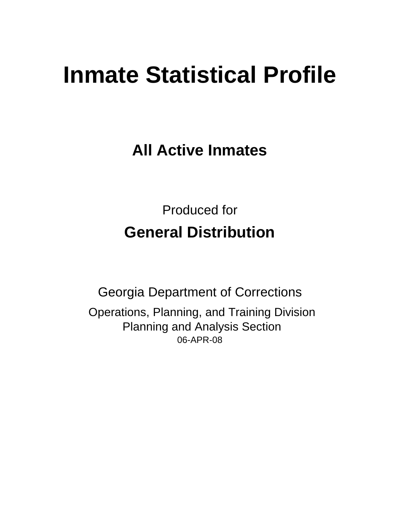# **Inmate Statistical Profile**

**All Active Inmates**

Produced for **General Distribution**

06-APR-08 Georgia Department of Corrections Operations, Planning, and Training Division Planning and Analysis Section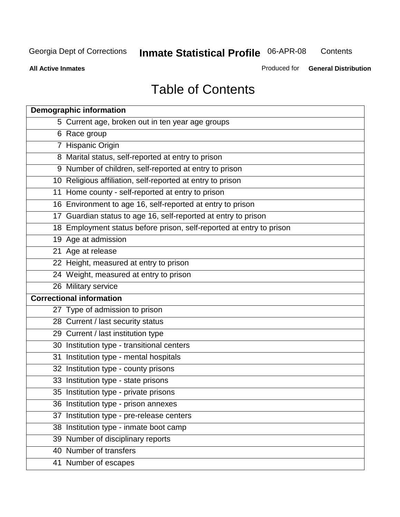**Contents** 

**All Active Inmates**

Produced for **General Distribution**

# Table of Contents

| <b>Demographic information</b>                                       |  |
|----------------------------------------------------------------------|--|
| 5 Current age, broken out in ten year age groups                     |  |
| 6 Race group                                                         |  |
| 7 Hispanic Origin                                                    |  |
| 8 Marital status, self-reported at entry to prison                   |  |
| 9 Number of children, self-reported at entry to prison               |  |
| 10 Religious affiliation, self-reported at entry to prison           |  |
| 11 Home county - self-reported at entry to prison                    |  |
| 16 Environment to age 16, self-reported at entry to prison           |  |
| 17 Guardian status to age 16, self-reported at entry to prison       |  |
| 18 Employment status before prison, self-reported at entry to prison |  |
| 19 Age at admission                                                  |  |
| 21 Age at release                                                    |  |
| 22 Height, measured at entry to prison                               |  |
| 24 Weight, measured at entry to prison                               |  |
| 26 Military service                                                  |  |
| <b>Correctional information</b>                                      |  |
| 27 Type of admission to prison                                       |  |
| 28 Current / last security status                                    |  |
| 29 Current / last institution type                                   |  |
| 30 Institution type - transitional centers                           |  |
| 31 Institution type - mental hospitals                               |  |
| 32 Institution type - county prisons                                 |  |
| 33 Institution type - state prisons                                  |  |
| 35 Institution type - private prisons                                |  |
| 36 Institution type - prison annexes                                 |  |
| 37 Institution type - pre-release centers                            |  |
| 38 Institution type - inmate boot camp                               |  |
| 39 Number of disciplinary reports                                    |  |
| 40 Number of transfers                                               |  |
| 41 Number of escapes                                                 |  |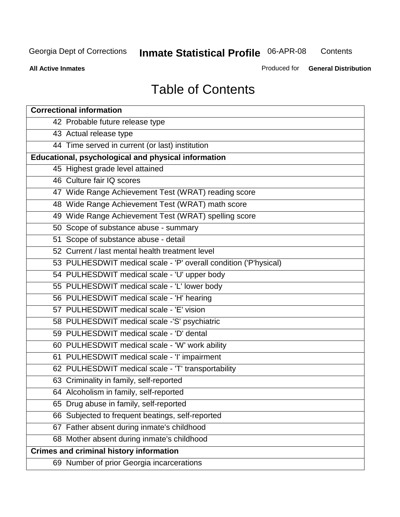**Contents** 

**All Active Inmates**

Produced for **General Distribution**

# Table of Contents

| <b>Correctional information</b>                                  |
|------------------------------------------------------------------|
| 42 Probable future release type                                  |
| 43 Actual release type                                           |
| 44 Time served in current (or last) institution                  |
| Educational, psychological and physical information              |
| 45 Highest grade level attained                                  |
| 46 Culture fair IQ scores                                        |
| 47 Wide Range Achievement Test (WRAT) reading score              |
| 48 Wide Range Achievement Test (WRAT) math score                 |
| 49 Wide Range Achievement Test (WRAT) spelling score             |
| 50 Scope of substance abuse - summary                            |
| 51 Scope of substance abuse - detail                             |
| 52 Current / last mental health treatment level                  |
| 53 PULHESDWIT medical scale - 'P' overall condition ('P'hysical) |
| 54 PULHESDWIT medical scale - 'U' upper body                     |
| 55 PULHESDWIT medical scale - 'L' lower body                     |
| 56 PULHESDWIT medical scale - 'H' hearing                        |
| 57 PULHESDWIT medical scale - 'E' vision                         |
| 58 PULHESDWIT medical scale -'S' psychiatric                     |
| 59 PULHESDWIT medical scale - 'D' dental                         |
| 60 PULHESDWIT medical scale - 'W' work ability                   |
| 61 PULHESDWIT medical scale - 'I' impairment                     |
| 62 PULHESDWIT medical scale - 'T' transportability               |
| 63 Criminality in family, self-reported                          |
| 64 Alcoholism in family, self-reported                           |
| 65 Drug abuse in family, self-reported                           |
| 66 Subjected to frequent beatings, self-reported                 |
| 67 Father absent during inmate's childhood                       |
| 68 Mother absent during inmate's childhood                       |
| <b>Crimes and criminal history information</b>                   |
| 69 Number of prior Georgia incarcerations                        |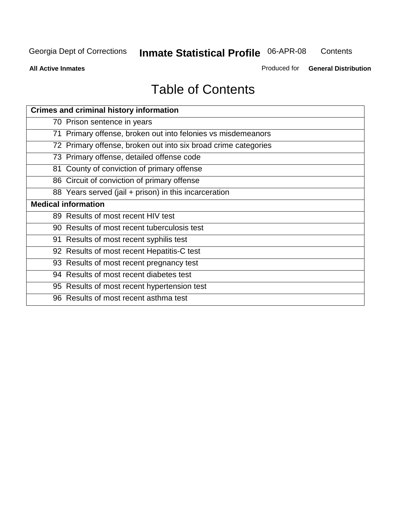**Contents** 

**All Active Inmates**

Produced for **General Distribution**

# Table of Contents

| <b>Crimes and criminal history information</b>                 |
|----------------------------------------------------------------|
| 70 Prison sentence in years                                    |
| 71 Primary offense, broken out into felonies vs misdemeanors   |
| 72 Primary offense, broken out into six broad crime categories |
| 73 Primary offense, detailed offense code                      |
| 81 County of conviction of primary offense                     |
| 86 Circuit of conviction of primary offense                    |
| 88 Years served (jail + prison) in this incarceration          |
| <b>Medical information</b>                                     |
| 89 Results of most recent HIV test                             |
| 90 Results of most recent tuberculosis test                    |
| 91 Results of most recent syphilis test                        |
| 92 Results of most recent Hepatitis-C test                     |
| 93 Results of most recent pregnancy test                       |
| 94 Results of most recent diabetes test                        |
| 95 Results of most recent hypertension test                    |
| 96 Results of most recent asthma test                          |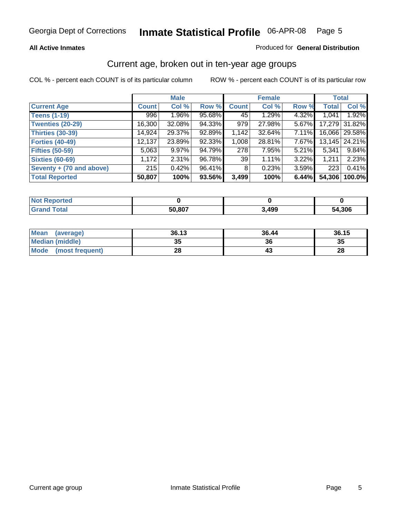### **All Active Inmates**

### Produced for **General Distribution**

### Current age, broken out in ten-year age groups

|                          |              | <b>Male</b> |        |              | <b>Female</b> |          | <b>Total</b> |                 |
|--------------------------|--------------|-------------|--------|--------------|---------------|----------|--------------|-----------------|
| <b>Current Age</b>       | <b>Count</b> | Col %       | Row %  | <b>Count</b> | Col %         | Row %    | <b>Total</b> | Col %           |
| <b>Teens (1-19)</b>      | 996          | $1.96\%$    | 95.68% | 45           | 1.29%         | 4.32%    | 1,041        | 1.92%           |
| <b>Twenties (20-29)</b>  | 16,300       | 32.08%      | 94.33% | 979          | 27.98%        | 5.67%    |              | 17,279 31.82%   |
| <b>Thirties (30-39)</b>  | 14,924       | 29.37%      | 92.89% | 1,142        | 32.64%        | 7.11%    |              | 16,066 29.58%   |
| <b>Forties (40-49)</b>   | 12,137       | 23.89%      | 92.33% | 1,008        | 28.81%        | 7.67%    |              | 13,145   24.21% |
| <b>Fifties (50-59)</b>   | 5,063        | $9.97\%$    | 94.79% | 278          | 7.95%         | $5.21\%$ | 5,341        | 9.84%           |
| <b>Sixties (60-69)</b>   | 1,172        | $2.31\%$    | 96.78% | 39           | 1.11%         | 3.22%    | 1,211        | 2.23%           |
| Seventy + (70 and above) | 215          | 0.42%       | 96.41% | 8            | 0.23%         | $3.59\%$ | 223          | 0.41%           |
| <b>Total Reported</b>    | 50,807       | 100%        | 93.56% | 3,499        | 100%          | 6.44%    | 54,306       | 100.0%          |

| <b>Not Renor</b><br>للمراجع بالتعوين<br><b>rteo</b> |        |       |        |
|-----------------------------------------------------|--------|-------|--------|
| <b>Total</b>                                        | 50,807 | 3,499 | 54,306 |

| <b>Mean</b><br>(average) | 36.13     | 36.44 | 36.15 |
|--------------------------|-----------|-------|-------|
| Median (middle)          | 25<br>JJ. | 36    | 35    |
| Mode<br>(most frequent)  | 28        |       | 28    |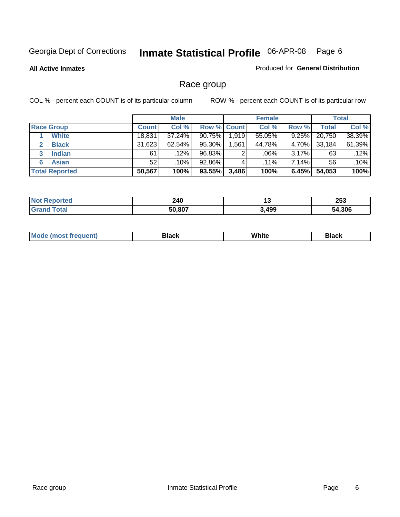**All Active Inmates**

### Produced for **General Distribution**

# Race group

|                       |              | <b>Male</b> |                    |       | <b>Female</b> |          |        | <b>Total</b> |
|-----------------------|--------------|-------------|--------------------|-------|---------------|----------|--------|--------------|
| <b>Race Group</b>     | <b>Count</b> | Col %       | <b>Row % Count</b> |       | Col %         | Row %    | Total  | Col %        |
| <b>White</b>          | 18,831       | 37.24%      | $90.75\%$          | 1,919 | 55.05%        | 9.25%    | 20,750 | 38.39%       |
| <b>Black</b>          | 31,623       | $62.54\%$   | 95.30%             | .561  | 44.78%        | 4.70%    | 33,184 | 61.39%       |
| <b>Indian</b><br>3    | 61           | .12%        | 96.83%             | 2     | .06%          | 3.17%    | 63     | .12%         |
| <b>Asian</b>          | 52           | .10%        | 92.86%             |       | $.11\%$       | $7.14\%$ | 56     | .10%         |
| <b>Total Reported</b> | 50,567       | 100%        | 93.55%             | 3,486 | 100%          | 6.45%    | 54,053 | 100%         |

| 240<br>$\sim$   | יי   | <b>OFO</b><br>∠ບວ<br>__ |
|-----------------|------|-------------------------|
| 807<br>-0<br>יי | ,499 | .306                    |

|  | $Mc$ | Black | White<br>$ -$ | 21904<br>DIACK |
|--|------|-------|---------------|----------------|
|--|------|-------|---------------|----------------|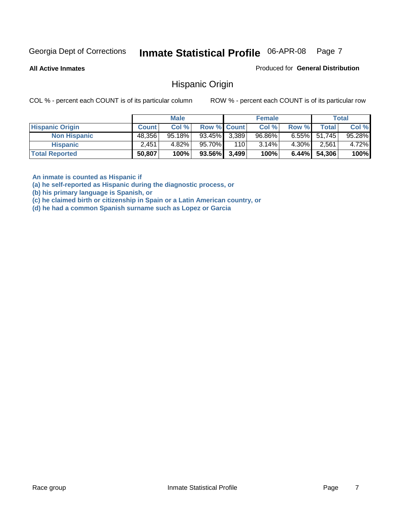**All Active Inmates**

Produced for **General Distribution**

### Hispanic Origin

COL % - percent each COUNT is of its particular column ROW % - percent each COUNT is of its particular row

|                        |              | <b>Male</b> |                    |     | <b>Female</b> |          |        | <b>Total</b> |
|------------------------|--------------|-------------|--------------------|-----|---------------|----------|--------|--------------|
| <b>Hispanic Origin</b> | <b>Count</b> | Col %       | <b>Row % Count</b> |     | Col %         | Row %    | Total  | Col %        |
| <b>Non Hispanic</b>    | 48,356       | $95.18\%$   | $93.45\%$ 3,389    |     | 96.86%        | $6.55\%$ | 51,745 | 95.28%       |
| <b>Hispanic</b>        | 2.451        | 4.82%       | 95.70%             | 110 | 3.14%         | 4.30%    | 2.561  | 4.72%        |
| <b>Total Reported</b>  | 50,807       | 100%        | $93.56\%$ 3,499    |     | 100%          | $6.44\%$ | 54,306 | 100%         |

**An inmate is counted as Hispanic if** 

**(a) he self-reported as Hispanic during the diagnostic process, or** 

**(b) his primary language is Spanish, or** 

**(c) he claimed birth or citizenship in Spain or a Latin American country, or** 

**(d) he had a common Spanish surname such as Lopez or Garcia**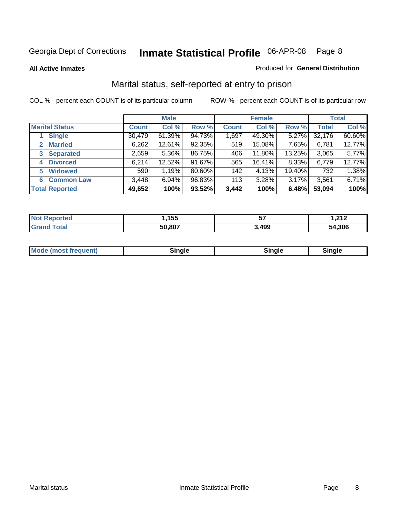**All Active Inmates**

### Produced for **General Distribution**

# Marital status, self-reported at entry to prison

|                                  | <b>Male</b>  |           |        | <b>Female</b> |        |          | <b>Total</b> |        |
|----------------------------------|--------------|-----------|--------|---------------|--------|----------|--------------|--------|
| <b>Marital Status</b>            | <b>Count</b> | Col %     | Row %  | <b>Count</b>  | Col %  | Row %    | <b>Total</b> | Col %  |
| <b>Single</b>                    | 30,479       | $61.39\%$ | 94.73% | 1,697         | 49.30% | $5.27\%$ | 32,176       | 60.60% |
| <b>Married</b><br>$\mathbf{2}^-$ | 6,262        | 12.61%    | 92.35% | 519           | 15.08% | 7.65%    | 6,781        | 12.77% |
| <b>Separated</b><br>3            | 2,659        | $5.36\%$  | 86.75% | 406           | 11.80% | 13.25%   | 3,065        | 5.77%  |
| <b>Divorced</b><br>4             | 6,214        | 12.52%    | 91.67% | 565           | 16.41% | 8.33%    | 6,779        | 12.77% |
| <b>Widowed</b><br>5              | 590          | 1.19%     | 80.60% | 142           | 4.13%  | 19.40%   | 732          | 1.38%  |
| <b>Common Law</b><br>6.          | 3,448        | 6.94%     | 96.83% | 113           | 3.28%  | 3.17%    | 3,561        | 6.71%  |
| <b>Total Reported</b>            | 49,652       | 100%      | 93.52% | 3,442         | 100%   | 6.48%    | 53,094       | 100%   |

| nu c | ,155   | --    | ה גה ו<br>5. I A.<br>. |
|------|--------|-------|------------------------|
|      | 50.807 | 3,499 | 54.306                 |

|  | Mode (most f<br>freauent) | `ınale |  | `inale |
|--|---------------------------|--------|--|--------|
|--|---------------------------|--------|--|--------|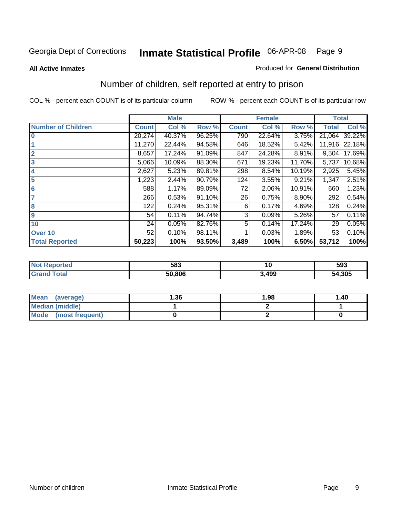### **All Active Inmates**

### Produced for **General Distribution**

# Number of children, self reported at entry to prison

|                           |              | <b>Male</b> |        |              | <b>Female</b> |        | <b>Total</b> |        |
|---------------------------|--------------|-------------|--------|--------------|---------------|--------|--------------|--------|
| <b>Number of Children</b> | <b>Count</b> | Col %       | Row %  | <b>Count</b> | Col %         | Row %  | <b>Total</b> | Col %  |
| $\bf{0}$                  | 20,274       | 40.37%      | 96.25% | 790          | 22.64%        | 3.75%  | 21,064       | 39.22% |
|                           | 11,270       | 22.44%      | 94.58% | 646          | 18.52%        | 5.42%  | 11,916       | 22.18% |
| $\overline{2}$            | 8,657        | 17.24%      | 91.09% | 847          | 24.28%        | 8.91%  | 9,504        | 17.69% |
| 3                         | 5,066        | 10.09%      | 88.30% | 671          | 19.23%        | 11.70% | 5,737        | 10.68% |
| 4                         | 2,627        | 5.23%       | 89.81% | 298          | 8.54%         | 10.19% | 2,925        | 5.45%  |
| 5                         | 1,223        | 2.44%       | 90.79% | 124          | 3.55%         | 9.21%  | 1,347        | 2.51%  |
| $6\phantom{a}$            | 588          | 1.17%       | 89.09% | 72           | 2.06%         | 10.91% | 660          | 1.23%  |
|                           | 266          | 0.53%       | 91.10% | 26           | 0.75%         | 8.90%  | 292          | 0.54%  |
| 8                         | 122          | 0.24%       | 95.31% | 6            | 0.17%         | 4.69%  | 128          | 0.24%  |
| 9                         | 54           | 0.11%       | 94.74% | 3            | 0.09%         | 5.26%  | 57           | 0.11%  |
| 10                        | 24           | 0.05%       | 82.76% | 5            | 0.14%         | 17.24% | 29           | 0.05%  |
| Over 10                   | 52           | 0.10%       | 98.11% |              | 0.03%         | 1.89%  | 53           | 0.10%  |
| <b>Total Reported</b>     | 50,223       | 100%        | 93.50% | 3,489        | 100%          | 6.50%  | 53,712       | 100%   |

| 583    | 1 V  | 593    |
|--------|------|--------|
| 50.806 | .499 | 54.305 |

| Mean<br>(average)              | 36. ا | 1.98 | 1.40 |
|--------------------------------|-------|------|------|
| <b>Median (middle)</b>         |       |      |      |
| <b>Mode</b><br>(most frequent) |       |      |      |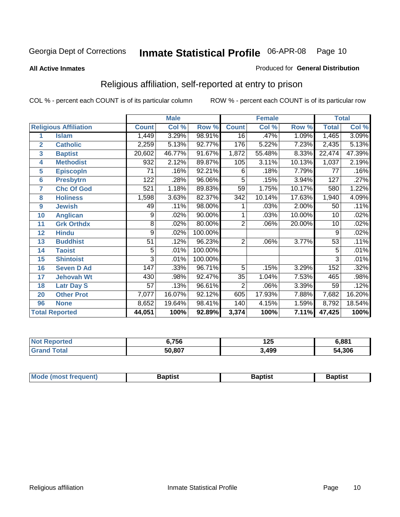### **All Active Inmates**

### Produced for **General Distribution**

# Religious affiliation, self-reported at entry to prison

| <b>Male</b><br><b>Female</b> |                              |                 |        |         | <b>Total</b>     |        |        |                 |        |
|------------------------------|------------------------------|-----------------|--------|---------|------------------|--------|--------|-----------------|--------|
|                              | <b>Religious Affiliation</b> | <b>Count</b>    | Col %  | Row %   | <b>Count</b>     | Col %  | Row %  | <b>Total</b>    | Col %  |
| 1                            | <b>Islam</b>                 | 1,449           | 3.29%  | 98.91%  | $\overline{16}$  | .47%   | 1.09%  | 1,465           | 3.09%  |
| $\overline{2}$               | <b>Catholic</b>              | 2,259           | 5.13%  | 92.77%  | 176              | 5.22%  | 7.23%  | 2,435           | 5.13%  |
| 3                            | <b>Baptist</b>               | 20,602          | 46.77% | 91.67%  | 1,872            | 55.48% | 8.33%  | 22,474          | 47.39% |
| 4                            | <b>Methodist</b>             | 932             | 2.12%  | 89.87%  | 105              | 3.11%  | 10.13% | 1,037           | 2.19%  |
| 5                            | <b>EpiscopIn</b>             | 71              | .16%   | 92.21%  | 6                | .18%   | 7.79%  | 77              | .16%   |
| 6                            | <b>Presbytrn</b>             | 122             | .28%   | 96.06%  | 5                | .15%   | 3.94%  | 127             | .27%   |
| 7                            | <b>Chc Of God</b>            | 521             | 1.18%  | 89.83%  | 59               | 1.75%  | 10.17% | 580             | 1.22%  |
| 8                            | <b>Holiness</b>              | 1,598           | 3.63%  | 82.37%  | $\overline{342}$ | 10.14% | 17.63% | 1,940           | 4.09%  |
| $\boldsymbol{9}$             | <b>Jewish</b>                | 49              | .11%   | 98.00%  |                  | .03%   | 2.00%  | 50              | .11%   |
| 10                           | <b>Anglican</b>              | 9               | .02%   | 90.00%  |                  | .03%   | 10.00% | 10              | .02%   |
| 11                           | <b>Grk Orthdx</b>            | 8               | .02%   | 80.00%  | $\overline{2}$   | .06%   | 20.00% | 10              | .02%   |
| 12                           | <b>Hindu</b>                 | 9               | .02%   | 100.00% |                  |        |        | 9               | .02%   |
| 13                           | <b>Buddhist</b>              | $\overline{51}$ | .12%   | 96.23%  | $\overline{2}$   | .06%   | 3.77%  | $\overline{53}$ | .11%   |
| 14                           | <b>Taoist</b>                | 5               | .01%   | 100.00% |                  |        |        | 5               | .01%   |
| 15                           | <b>Shintoist</b>             | $\overline{3}$  | .01%   | 100.00% |                  |        |        | 3               | .01%   |
| 16                           | <b>Seven D Ad</b>            | 147             | .33%   | 96.71%  | 5                | .15%   | 3.29%  | 152             | .32%   |
| 17                           | <b>Jehovah Wt</b>            | 430             | .98%   | 92.47%  | 35               | 1.04%  | 7.53%  | 465             | .98%   |
| 18                           | <b>Latr Day S</b>            | 57              | .13%   | 96.61%  | $\overline{2}$   | .06%   | 3.39%  | 59              | .12%   |
| 20                           | <b>Other Prot</b>            | 7,077           | 16.07% | 92.12%  | 605              | 17.93% | 7.88%  | 7,682           | 16.20% |
| 96                           | <b>None</b>                  | 8,652           | 19.64% | 98.41%  | 140              | 4.15%  | 1.59%  | 8,792           | 18.54% |
|                              | <b>Total Reported</b>        | 44,051          | 100%   | 92.89%  | 3,374            | 100%   | 7.11%  | 47,425          | 100%   |

| <b>756</b> | $\sim$<br>.,,<br>1 Z.J | 6.881  |
|------------|------------------------|--------|
| 50.807     | 3,499                  | 54.306 |

| Mode (most frequent)<br>Baptist<br>Baptist<br><b>Baptist</b> |
|--------------------------------------------------------------|
|--------------------------------------------------------------|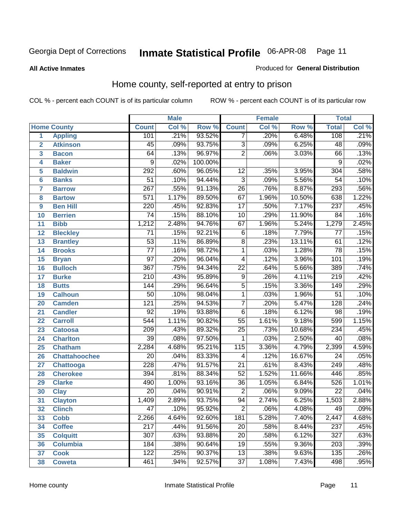### **All Active Inmates**

### Produced for **General Distribution**

# Home county, self-reported at entry to prison

|                |                      |                  | <b>Male</b> |         |                  | <b>Female</b> |        | <b>Total</b>     |       |
|----------------|----------------------|------------------|-------------|---------|------------------|---------------|--------|------------------|-------|
|                | <b>Home County</b>   | <b>Count</b>     | Col %       | Row %   | <b>Count</b>     | Col %         | Row %  | <b>Total</b>     | Col % |
| 1              | <b>Appling</b>       | 101              | .21%        | 93.52%  | 7                | .20%          | 6.48%  | 108              | .21%  |
| $\overline{2}$ | <b>Atkinson</b>      | $\overline{45}$  | .09%        | 93.75%  | $\overline{3}$   | .09%          | 6.25%  | 48               | .09%  |
| 3              | <b>Bacon</b>         | 64               | .13%        | 96.97%  | $\overline{2}$   | .06%          | 3.03%  | 66               | .13%  |
| 4              | <b>Baker</b>         | $\overline{9}$   | .02%        | 100.00% |                  |               |        | $\overline{9}$   | .02%  |
| 5              | <b>Baldwin</b>       | 292              | .60%        | 96.05%  | 12               | .35%          | 3.95%  | 304              | .58%  |
| $6\phantom{a}$ | <b>Banks</b>         | $\overline{51}$  | .10%        | 94.44%  | $\overline{3}$   | .09%          | 5.56%  | $\overline{54}$  | .10%  |
| $\overline{7}$ | <b>Barrow</b>        | $\overline{267}$ | .55%        | 91.13%  | $\overline{26}$  | .76%          | 8.87%  | 293              | .56%  |
| 8              | <b>Bartow</b>        | $\overline{571}$ | 1.17%       | 89.50%  | $\overline{67}$  | 1.96%         | 10.50% | 638              | 1.22% |
| 9              | <b>Ben Hill</b>      | $\overline{220}$ | .45%        | 92.83%  | $\overline{17}$  | .50%          | 7.17%  | 237              | .45%  |
| 10             | <b>Berrien</b>       | $\overline{74}$  | .15%        | 88.10%  | $\overline{10}$  | .29%          | 11.90% | $\overline{84}$  | .16%  |
| 11             | <b>Bibb</b>          | 1,212            | 2.48%       | 94.76%  | 67               | 1.96%         | 5.24%  | 1,279            | 2.45% |
| 12             | <b>Bleckley</b>      | $\overline{71}$  | .15%        | 92.21%  | $\overline{6}$   | .18%          | 7.79%  | 77               | .15%  |
| 13             | <b>Brantley</b>      | $\overline{53}$  | .11%        | 86.89%  | $\overline{8}$   | .23%          | 13.11% | 61               | .12%  |
| 14             | <b>Brooks</b>        | $\overline{77}$  | .16%        | 98.72%  | $\overline{1}$   | .03%          | 1.28%  | $\overline{78}$  | .15%  |
| 15             | <b>Bryan</b>         | $\overline{97}$  | .20%        | 96.04%  | $\overline{4}$   | .12%          | 3.96%  | 101              | .19%  |
| 16             | <b>Bulloch</b>       | $\overline{367}$ | .75%        | 94.34%  | $\overline{22}$  | .64%          | 5.66%  | 389              | .74%  |
| 17             | <b>Burke</b>         | $\overline{210}$ | .43%        | 95.89%  | $\overline{9}$   | .26%          | 4.11%  | $\overline{219}$ | .42%  |
| 18             | <b>Butts</b>         | 144              | .29%        | 96.64%  | $\overline{5}$   | .15%          | 3.36%  | 149              | .29%  |
| 19             | <b>Calhoun</b>       | 50               | .10%        | 98.04%  | 1                | .03%          | 1.96%  | $\overline{51}$  | .10%  |
| 20             | <b>Camden</b>        | $\overline{121}$ | .25%        | 94.53%  | $\overline{7}$   | .20%          | 5.47%  | 128              | .24%  |
| 21             | <b>Candler</b>       | $\overline{92}$  | .19%        | 93.88%  | $\overline{6}$   | .18%          | 6.12%  | 98               | .19%  |
| 22             | <b>Carroll</b>       | $\overline{544}$ | 1.11%       | 90.82%  | $\overline{55}$  | 1.61%         | 9.18%  | 599              | 1.15% |
| 23             | <b>Catoosa</b>       | $\overline{209}$ | .43%        | 89.32%  | $\overline{25}$  | .73%          | 10.68% | 234              | .45%  |
| 24             | <b>Charlton</b>      | $\overline{39}$  | .08%        | 97.50%  | $\mathbf{1}$     | .03%          | 2.50%  | $\overline{40}$  | .08%  |
| 25             | <b>Chatham</b>       | 2,284            | 4.68%       | 95.21%  | $\overline{115}$ | 3.36%         | 4.79%  | 2,399            | 4.59% |
| 26             | <b>Chattahoochee</b> | $\overline{20}$  | .04%        | 83.33%  | 4                | .12%          | 16.67% | $\overline{24}$  | .05%  |
| 27             | <b>Chattooga</b>     | $\overline{228}$ | .47%        | 91.57%  | $\overline{21}$  | .61%          | 8.43%  | $\overline{249}$ | .48%  |
| 28             | <b>Cherokee</b>      | 394              | .81%        | 88.34%  | $\overline{52}$  | 1.52%         | 11.66% | 446              | .85%  |
| 29             | <b>Clarke</b>        | 490              | 1.00%       | 93.16%  | $\overline{36}$  | 1.05%         | 6.84%  | 526              | 1.01% |
| 30             | <b>Clay</b>          | $\overline{20}$  | .04%        | 90.91%  | $\overline{2}$   | .06%          | 9.09%  | $\overline{22}$  | .04%  |
| 31             | <b>Clayton</b>       | 1,409            | 2.89%       | 93.75%  | 94               | 2.74%         | 6.25%  | 1,503            | 2.88% |
| 32             | <b>Clinch</b>        | $\overline{47}$  | .10%        | 95.92%  | $\overline{2}$   | .06%          | 4.08%  | 49               | .09%  |
| 33             | <b>Cobb</b>          | 2,266            | 4.64%       | 92.60%  | 181              | 5.28%         | 7.40%  | 2,447            | 4.68% |
| 34             | <b>Coffee</b>        | $\overline{217}$ | .44%        | 91.56%  | $\overline{20}$  | .58%          | 8.44%  | $\overline{237}$ | .45%  |
| 35             | <b>Colquitt</b>      | 307              | .63%        | 93.88%  | 20               | .58%          | 6.12%  | 327              | .63%  |
| 36             | <b>Columbia</b>      | 184              | .38%        | 90.64%  | $\overline{19}$  | .55%          | 9.36%  | 203              | .39%  |
| 37             | <b>Cook</b>          | 122              | .25%        | 90.37%  | $\overline{13}$  | .38%          | 9.63%  | 135              | .26%  |
| 38             | <b>Coweta</b>        | 461              | .94%        | 92.57%  | $\overline{37}$  | 1.08%         | 7.43%  | 498              | .95%  |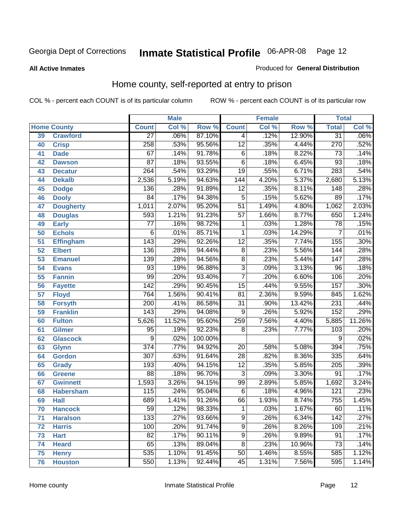**All Active Inmates**

### Produced for **General Distribution**

# Home county, self-reported at entry to prison

|                 | <b>Male</b><br><b>Female</b> |                  |        | <b>Total</b> |                  |         |        |                  |         |
|-----------------|------------------------------|------------------|--------|--------------|------------------|---------|--------|------------------|---------|
|                 | <b>Home County</b>           | <b>Count</b>     | Col %  | Row %        | <b>Count</b>     | Col %   | Row %  | <b>Total</b>     | Col %   |
| 39              | <b>Crawford</b>              | $\overline{27}$  | .06%   | 87.10%       | 4                | .12%    | 12.90% | $\overline{31}$  | $.06\%$ |
| 40              | <b>Crisp</b>                 | 258              | .53%   | 95.56%       | $\overline{12}$  | .35%    | 4.44%  | 270              | .52%    |
| 41              | <b>Dade</b>                  | 67               | .14%   | 91.78%       | $\overline{6}$   | .18%    | 8.22%  | 73               | .14%    |
| 42              | <b>Dawson</b>                | $\overline{87}$  | .18%   | 93.55%       | $\overline{6}$   | .18%    | 6.45%  | $\overline{93}$  | .18%    |
| 43              | <b>Decatur</b>               | $\overline{264}$ | .54%   | 93.29%       | $\overline{19}$  | .55%    | 6.71%  | 283              | .54%    |
| 44              | <b>Dekalb</b>                | 2,536            | 5.19%  | 94.63%       | $\overline{144}$ | 4.20%   | 5.37%  | 2,680            | 5.13%   |
| 45              | <b>Dodge</b>                 | 136              | .28%   | 91.89%       | $\overline{12}$  | .35%    | 8.11%  | 148              | .28%    |
| 46              | <b>Dooly</b>                 | $\overline{84}$  | .17%   | 94.38%       | $\overline{5}$   | .15%    | 5.62%  | $\overline{89}$  | .17%    |
| 47              | <b>Dougherty</b>             | 1,011            | 2.07%  | 95.20%       | $\overline{51}$  | 1.49%   | 4.80%  | 1,062            | 2.03%   |
| 48              | <b>Douglas</b>               | 593              | 1.21%  | 91.23%       | $\overline{57}$  | 1.66%   | 8.77%  | 650              | 1.24%   |
| 49              | <b>Early</b>                 | $\overline{77}$  | .16%   | 98.72%       | 1                | .03%    | 1.28%  | $\overline{78}$  | .15%    |
| 50              | <b>Echols</b>                | 6                | .01%   | 85.71%       | $\mathbf{1}$     | .03%    | 14.29% | 7                | .01%    |
| $\overline{51}$ | Effingham                    | 143              | .29%   | 92.26%       | $\overline{12}$  | .35%    | 7.74%  | 155              | .30%    |
| 52              | <b>Elbert</b>                | 136              | .28%   | 94.44%       | $\overline{8}$   | .23%    | 5.56%  | 144              | .28%    |
| 53              | <b>Emanuel</b>               | 139              | .28%   | 94.56%       | $\overline{8}$   | .23%    | 5.44%  | 147              | .28%    |
| 54              | <b>Evans</b>                 | 93               | .19%   | 96.88%       | $\overline{3}$   | .09%    | 3.13%  | 96               | .18%    |
| 55              | <b>Fannin</b>                | 99               | .20%   | 93.40%       | $\overline{7}$   | .20%    | 6.60%  | 106              | .20%    |
| 56              | <b>Fayette</b>               | $\overline{142}$ | .29%   | 90.45%       | $\overline{15}$  | .44%    | 9.55%  | 157              | .30%    |
| 57              | <b>Floyd</b>                 | 764              | 1.56%  | 90.41%       | $\overline{81}$  | 2.36%   | 9.59%  | 845              | 1.62%   |
| 58              | <b>Forsyth</b>               | $\overline{200}$ | .41%   | 86.58%       | $\overline{31}$  | $.90\%$ | 13.42% | 231              | .44%    |
| 59              | <b>Franklin</b>              | $\overline{143}$ | .29%   | 94.08%       | 9                | .26%    | 5.92%  | $\overline{152}$ | .29%    |
| 60              | <b>Fulton</b>                | 5,626            | 11.52% | 95.60%       | 259              | 7.56%   | 4.40%  | 5,885            | 11.26%  |
| 61              | Gilmer                       | 95               | .19%   | 92.23%       | 8                | .23%    | 7.77%  | 103              | .20%    |
| 62              | <b>Glascock</b>              | $\overline{9}$   | .02%   | 100.00%      |                  |         |        | 9                | .02%    |
| 63              | <b>Glynn</b>                 | $\overline{374}$ | .77%   | 94.92%       | $\overline{20}$  | .58%    | 5.08%  | 394              | .75%    |
| 64              | <b>Gordon</b>                | $\overline{307}$ | .63%   | 91.64%       | $\overline{28}$  | .82%    | 8.36%  | 335              | .64%    |
| 65              | <b>Grady</b>                 | 193              | .40%   | 94.15%       | $\overline{12}$  | .35%    | 5.85%  | 205              | .39%    |
| 66              | <b>Greene</b>                | $\overline{88}$  | .18%   | 96.70%       | $\overline{3}$   | .09%    | 3.30%  | $\overline{91}$  | .17%    |
| 67              | <b>Gwinnett</b>              | 1,593            | 3.26%  | 94.15%       | 99               | 2.89%   | 5.85%  | 1,692            | 3.24%   |
| 68              | <b>Habersham</b>             | 115              | .24%   | 95.04%       | 6                | .18%    | 4.96%  | 121              | .23%    |
| 69              | <b>Hall</b>                  | 689              | 1.41%  | 91.26%       | 66               | 1.93%   | 8.74%  | 755              | 1.45%   |
| 70              | <b>Hancock</b>               | 59               | .12%   | 98.33%       | 1                | .03%    | 1.67%  | 60               | .11%    |
| 71              | <b>Haralson</b>              | 133              | .27%   | 93.66%       | $\overline{9}$   | .26%    | 6.34%  | 142              | .27%    |
| 72              | <b>Harris</b>                | 100              | .20%   | 91.74%       | $\overline{9}$   | .26%    | 8.26%  | 109              | .21%    |
| 73              | <b>Hart</b>                  | $\overline{82}$  | .17%   | 90.11%       | $\overline{9}$   | .26%    | 9.89%  | $\overline{91}$  | .17%    |
| 74              | <b>Heard</b>                 | 65               | .13%   | 89.04%       | $\overline{8}$   | .23%    | 10.96% | 73               | .14%    |
| 75              | <b>Henry</b>                 | 535              | 1.10%  | 91.45%       | $\overline{50}$  | 1.46%   | 8.55%  | 585              | 1.12%   |
| 76              | <b>Houston</b>               | 550              | 1.13%  | 92.44%       | $\overline{45}$  | 1.31%   | 7.56%  | 595              | 1.14%   |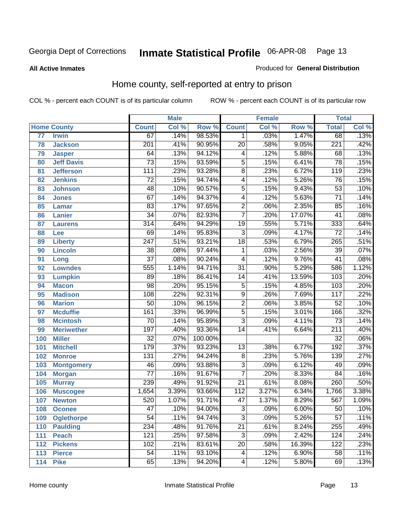### **All Active Inmates**

### Produced for **General Distribution**

# Home county, self-reported at entry to prison

|                 |                    |                  | <b>Male</b> |         |                           | <b>Female</b> |          | <b>Total</b>     |       |
|-----------------|--------------------|------------------|-------------|---------|---------------------------|---------------|----------|------------------|-------|
|                 | <b>Home County</b> | <b>Count</b>     | Col %       | Row %   | <b>Count</b>              | Col %         | Row %    | <b>Total</b>     | CoI%  |
| $\overline{77}$ | <b>Irwin</b>       | 67               | .14%        | 98.53%  | 1                         | .03%          | 1.47%    | 68               | .13%  |
| 78              | <b>Jackson</b>     | $\overline{201}$ | .41%        | 90.95%  | $\overline{20}$           | .58%          | 9.05%    | $\overline{221}$ | .42%  |
| 79              | <b>Jasper</b>      | 64               | .13%        | 94.12%  | 4                         | .12%          | 5.88%    | 68               | .13%  |
| 80              | <b>Jeff Davis</b>  | $\overline{73}$  | .15%        | 93.59%  | $\overline{5}$            | .15%          | 6.41%    | $\overline{78}$  | .15%  |
| 81              | <b>Jefferson</b>   | $\overline{111}$ | .23%        | 93.28%  | $\overline{8}$            | .23%          | 6.72%    | 119              | .23%  |
| 82              | <b>Jenkins</b>     | $\overline{72}$  | .15%        | 94.74%  | 4                         | .12%          | 5.26%    | $\overline{76}$  | .15%  |
| 83              | <b>Johnson</b>     | 48               | .10%        | 90.57%  | $\overline{5}$            | .15%          | 9.43%    | $\overline{53}$  | .10%  |
| 84              | <b>Jones</b>       | $\overline{67}$  | .14%        | 94.37%  | 4                         | .12%          | 5.63%    | $\overline{71}$  | .14%  |
| 85              | <b>Lamar</b>       | $\overline{83}$  | .17%        | 97.65%  | $\overline{2}$            | .06%          | 2.35%    | 85               | .16%  |
| 86              | <b>Lanier</b>      | $\overline{34}$  | .07%        | 82.93%  | $\overline{7}$            | .20%          | 17.07%   | $\overline{41}$  | .08%  |
| 87              | <b>Laurens</b>     | $\overline{314}$ | .64%        | 94.29%  | $\overline{19}$           | .55%          | 5.71%    | 333              | .64%  |
| 88              | <b>Lee</b>         | $\overline{69}$  | .14%        | 95.83%  | $\overline{3}$            | .09%          | 4.17%    | $\overline{72}$  | .14%  |
| 89              | <b>Liberty</b>     | $\overline{247}$ | .51%        | 93.21%  | $\overline{18}$           | .53%          | 6.79%    | 265              | .51%  |
| 90              | <b>Lincoln</b>     | $\overline{38}$  | .08%        | 97.44%  | 1                         | .03%          | 2.56%    | $\overline{39}$  | .07%  |
| 91              | Long               | $\overline{37}$  | .08%        | 90.24%  | 4                         | .12%          | 9.76%    | $\overline{41}$  | .08%  |
| 92              | <b>Lowndes</b>     | 555              | 1.14%       | 94.71%  | $\overline{31}$           | .90%          | 5.29%    | 586              | 1.12% |
| 93              | <b>Lumpkin</b>     | 89               | .18%        | 86.41%  | $\overline{14}$           | .41%          | 13.59%   | 103              | .20%  |
| 94              | <b>Macon</b>       | $\overline{98}$  | .20%        | 95.15%  | $\overline{5}$            | .15%          | 4.85%    | 103              | .20%  |
| 95              | <b>Madison</b>     | 108              | .22%        | 92.31%  | $\overline{9}$            | .26%          | 7.69%    | 117              | .22%  |
| 96              | <b>Marion</b>      | $\overline{50}$  | .10%        | 96.15%  | $\overline{2}$            | .06%          | 3.85%    | $\overline{52}$  | .10%  |
| 97              | <b>Mcduffie</b>    | 161              | .33%        | 96.99%  | $\overline{5}$            | .15%          | 3.01%    | 166              | .32%  |
| 98              | <b>Mcintosh</b>    | $\overline{70}$  | .14%        | 95.89%  | $\overline{3}$            | .09%          | 4.11%    | $\overline{73}$  | .14%  |
| 99              | <b>Meriwether</b>  | 197              | .40%        | 93.36%  | $\overline{14}$           | .41%          | 6.64%    | $\overline{211}$ | .40%  |
| 100             | <b>Miller</b>      | $\overline{32}$  | .07%        | 100.00% |                           |               |          | $\overline{32}$  | .06%  |
| 101             | <b>Mitchell</b>    | 179              | .37%        | 93.23%  | $\overline{13}$           | .38%          | 6.77%    | 192              | .37%  |
| 102             | <b>Monroe</b>      | $\overline{131}$ | .27%        | 94.24%  | $\overline{8}$            | .23%          | 5.76%    | 139              | .27%  |
| 103             | <b>Montgomery</b>  | 46               | .09%        | 93.88%  | $\overline{3}$            | .09%          | 6.12%    | 49               | .09%  |
| 104             | <b>Morgan</b>      | $\overline{77}$  | .16%        | 91.67%  | $\overline{7}$            | .20%          | 8.33%    | $\overline{84}$  | .16%  |
| 105             | <b>Murray</b>      | 239              | .49%        | 91.92%  | $\overline{21}$           | .61%          | 8.08%    | 260              | .50%  |
| 106             | <b>Muscogee</b>    | 1,654            | 3.39%       | 93.66%  | $\overline{112}$          | 3.27%         | 6.34%    | 1,766            | 3.38% |
| 107             | <b>Newton</b>      | 520              | 1.07%       | 91.71%  | $\overline{47}$           | 1.37%         | 8.29%    | 567              | 1.09% |
| 108             | <b>Oconee</b>      | 47               | .10%        | 94.00%  | 3                         | .09%          | $6.00\%$ | 50               | .10%  |
| 109             | <b>Oglethorpe</b>  | $\overline{54}$  | .11%        | 94.74%  | $\overline{\overline{3}}$ | .09%          | 5.26%    | $\overline{57}$  | .11%  |
| 110             | <b>Paulding</b>    | 234              | .48%        | 91.76%  | $\overline{21}$           | .61%          | 8.24%    | 255              | .49%  |
| 111             | <b>Peach</b>       | 121              | .25%        | 97.58%  | $\overline{3}$            | .09%          | 2.42%    | 124              | .24%  |
| 112             | <b>Pickens</b>     | 102              | .21%        | 83.61%  | $\overline{20}$           | .58%          | 16.39%   | $\overline{122}$ | .23%  |
| 113             | <b>Pierce</b>      | $\overline{54}$  | .11%        | 93.10%  | 4                         | .12%          | 6.90%    | 58               | .11%  |
| 114             | <b>Pike</b>        | 65               | .13%        | 94.20%  | 4                         | .12%          | 5.80%    | 69               | .13%  |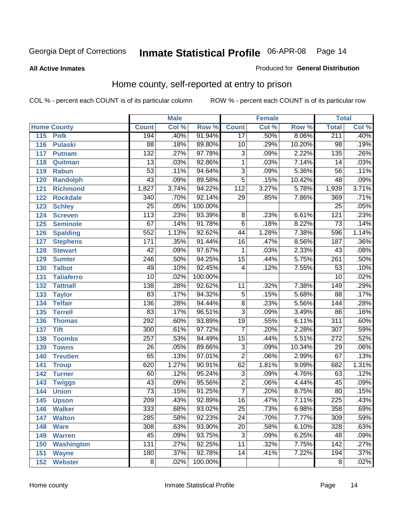**All Active Inmates**

### Produced for **General Distribution**

# Home county, self-reported at entry to prison

|     |                    |                  | <b>Male</b> |         |                  | <b>Female</b> |        | <b>Total</b>     |                            |
|-----|--------------------|------------------|-------------|---------|------------------|---------------|--------|------------------|----------------------------|
|     | <b>Home County</b> | <b>Count</b>     | Col %       | Row %   | <b>Count</b>     | Col %         | Row %  | <b>Total</b>     | $\overline{\text{Col }^9}$ |
| 115 | <b>Polk</b>        | 194              | .40%        | 91.94%  | $\overline{17}$  | .50%          | 8.06%  | 211              | .40%                       |
| 116 | <b>Pulaski</b>     | $\overline{88}$  | .18%        | 89.80%  | $\overline{10}$  | .29%          | 10.20% | 98               | .19%                       |
| 117 | <b>Putnam</b>      | 132              | .27%        | 97.78%  | $\overline{3}$   | .09%          | 2.22%  | $\overline{135}$ | .26%                       |
| 118 | Quitman            | $\overline{13}$  | .03%        | 92.86%  | $\overline{1}$   | .03%          | 7.14%  | 14               | .03%                       |
| 119 | <b>Rabun</b>       | $\overline{53}$  | .11%        | 94.64%  | $\overline{3}$   | .09%          | 5.36%  | $\overline{56}$  | .11%                       |
| 120 | <b>Randolph</b>    | $\overline{43}$  | .09%        | 89.58%  | $\overline{5}$   | .15%          | 10.42% | 48               | .09%                       |
| 121 | <b>Richmond</b>    | 1,827            | 3.74%       | 94.22%  | $\overline{112}$ | 3.27%         | 5.78%  | 1,939            | 3.71%                      |
| 122 | <b>Rockdale</b>    | $\overline{340}$ | .70%        | 92.14%  | 29               | .85%          | 7.86%  | 369              | .71%                       |
| 123 | <b>Schley</b>      | $\overline{25}$  | .05%        | 100.00% |                  |               |        | $\overline{25}$  | .05%                       |
| 124 | <b>Screven</b>     | $\overline{113}$ | .23%        | 93.39%  | 8                | .23%          | 6.61%  | 121              | .23%                       |
| 125 | <b>Seminole</b>    | 67               | .14%        | 91.78%  | 6                | .18%          | 8.22%  | $\overline{73}$  | .14%                       |
| 126 | <b>Spalding</b>    | 552              | 1.13%       | 92.62%  | $\overline{44}$  | 1.28%         | 7.38%  | 596              | 1.14%                      |
| 127 | <b>Stephens</b>    | $\overline{171}$ | .35%        | 91.44%  | $\overline{16}$  | .47%          | 8.56%  | 187              | .36%                       |
| 128 | <b>Stewart</b>     | $\overline{42}$  | .09%        | 97.67%  | 1                | .03%          | 2.33%  | 43               | .08%                       |
| 129 | <b>Sumter</b>      | $\overline{246}$ | .50%        | 94.25%  | $\overline{15}$  | .44%          | 5.75%  | $\overline{261}$ | .50%                       |
| 130 | <b>Talbot</b>      | 49               | .10%        | 92.45%  | 4                | .12%          | 7.55%  | $\overline{53}$  | .10%                       |
| 131 | <b>Taliaferro</b>  | $\overline{10}$  | .02%        | 100.00% |                  |               |        | $\overline{10}$  | .02%                       |
| 132 | <b>Tattnall</b>    | $\overline{138}$ | .28%        | 92.62%  | 11               | .32%          | 7.38%  | 149              | .29%                       |
| 133 | <b>Taylor</b>      | 83               | .17%        | 94.32%  | $\overline{5}$   | .15%          | 5.68%  | $\overline{88}$  | .17%                       |
| 134 | <b>Telfair</b>     | 136              | .28%        | 94.44%  | $\overline{8}$   | .23%          | 5.56%  | 144              | .28%                       |
| 135 | <b>Terrell</b>     | $\overline{83}$  | .17%        | 96.51%  | $\overline{3}$   | .09%          | 3.49%  | 86               | .16%                       |
| 136 | <b>Thomas</b>      | 292              | .60%        | 93.89%  | $\overline{19}$  | .55%          | 6.11%  | $\overline{311}$ | .60%                       |
| 137 | <b>Tift</b>        | 300              | .61%        | 97.72%  | $\overline{7}$   | .20%          | 2.28%  | $\overline{307}$ | .59%                       |
| 138 | <b>Toombs</b>      | $\overline{257}$ | .53%        | 94.49%  | $\overline{15}$  | .44%          | 5.51%  | $\overline{272}$ | .52%                       |
| 139 | <b>Towns</b>       | $\overline{26}$  | .05%        | 89.66%  | $\overline{3}$   | .09%          | 10.34% | 29               | .06%                       |
| 140 | <b>Treutlen</b>    | 65               | .13%        | 97.01%  | $\overline{2}$   | .06%          | 2.99%  | 67               | .13%                       |
| 141 | <b>Troup</b>       | 620              | 1.27%       | 90.91%  | 62               | 1.81%         | 9.09%  | 682              | 1.31%                      |
| 142 | <b>Turner</b>      | 60               | .12%        | 95.24%  | $\overline{3}$   | .09%          | 4.76%  | 63               | .12%                       |
| 143 | <b>Twiggs</b>      | $\overline{43}$  | .09%        | 95.56%  | $\overline{2}$   | .06%          | 4.44%  | 45               | .09%                       |
| 144 | <b>Union</b>       | $\overline{73}$  | .15%        | 91.25%  | $\overline{7}$   | .20%          | 8.75%  | 80               | .15%                       |
| 145 | <b>Upson</b>       | $\overline{209}$ | .43%        | 92.89%  | $\overline{16}$  | .47%          | 7.11%  | 225              | .43%                       |
| 146 | <b>Walker</b>      | 333              | .68%        | 93.02%  | 25               | .73%          | 6.98%  | 358              | .69%                       |
| 147 | <b>Walton</b>      | 285              | .58%        | 92.23%  | $\overline{24}$  | .70%          | 7.77%  | 309              | .59%                       |
| 148 | <b>Ware</b>        | 308              | .63%        | 93.90%  | $\overline{20}$  | .58%          | 6.10%  | 328              | .63%                       |
| 149 | <b>Warren</b>      | 45               | .09%        | 93.75%  | $\overline{3}$   | .09%          | 6.25%  | 48               | .09%                       |
| 150 | <b>Washington</b>  | 131              | .27%        | 92.25%  | $\overline{11}$  | .32%          | 7.75%  | 142              | .27%                       |
| 151 | <b>Wayne</b>       | 180              | .37%        | 92.78%  | $\overline{14}$  | .41%          | 7.22%  | 194              | .37%                       |
| 152 | <b>Webster</b>     | $\overline{8}$   | .02%        | 100.00% |                  |               |        | $\overline{8}$   | .02%                       |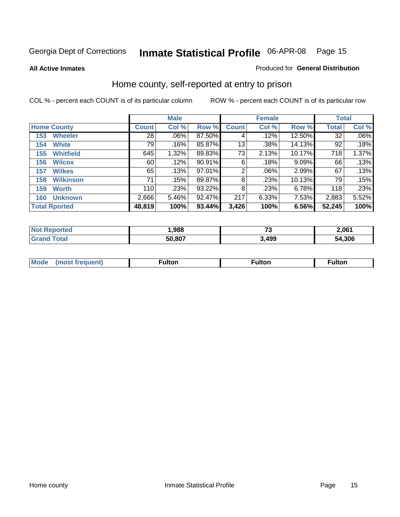**All Active Inmates**

### Produced for **General Distribution**

# Home county, self-reported at entry to prison

|     |                      |              | <b>Male</b> |        |              | <b>Female</b> |        | <b>Total</b> |         |  |
|-----|----------------------|--------------|-------------|--------|--------------|---------------|--------|--------------|---------|--|
|     | <b>Home County</b>   | <b>Count</b> | Col %       | Row %  | <b>Count</b> | Col %         | Row %  | <b>Total</b> | Col %   |  |
| 153 | <b>Wheeler</b>       | 28           | $.06\%$     | 87.50% | 4            | .12%          | 12.50% | 32           | $.06\%$ |  |
| 154 | <b>White</b>         | 79           | .16%        | 85.87% | 13           | .38%          | 14.13% | 92           | .18%    |  |
| 155 | <b>Whitfield</b>     | 645          | 1.32%       | 89.83% | 73           | 2.13%         | 10.17% | 718          | 1.37%   |  |
| 156 | <b>Wilcox</b>        | 60           | .12%        | 90.91% | 6            | .18%          | 9.09%  | 66           | .13%    |  |
| 157 | <b>Wilkes</b>        | 65           | .13%        | 97.01% | 2            | .06%          | 2.99%  | 67           | .13%    |  |
| 158 | <b>Wilkinson</b>     | 71           | .15%        | 89.87% | 8            | .23%          | 10.13% | 79           | .15%    |  |
| 159 | <b>Worth</b>         | 110          | .23%        | 93.22% | 8            | .23%          | 6.78%  | 118          | .23%    |  |
| 160 | <b>Unknown</b>       | 2,666        | 5.46%       | 92.47% | 217          | 6.33%         | 7.53%  | 2,883        | 5.52%   |  |
|     | <b>Total Rported</b> | 48,819       | 100%        | 93.44% | 3,426        | 100%          | 6.56%  | 52,245       | 100%    |  |

| oorted<br>NO: | ,988   | --<br>۰. | 2,061       |
|---------------|--------|----------|-------------|
| ota.          | 50.807 | ,499     | 4,306<br>בר |

| <b>Mode</b> | . | unon | -uποι. |
|-------------|---|------|--------|
|             |   |      |        |
|             |   |      |        |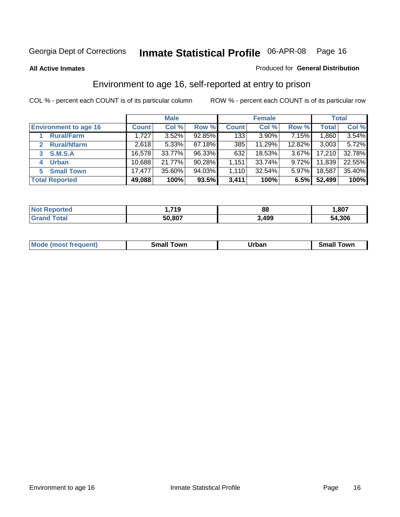### **All Active Inmates**

### Produced for **General Distribution**

# Environment to age 16, self-reported at entry to prison

|                                    | <b>Male</b>  |        | <b>Female</b> |              |          | <b>Total</b> |              |        |
|------------------------------------|--------------|--------|---------------|--------------|----------|--------------|--------------|--------|
| <b>Environment to age 16</b>       | <b>Count</b> | Col %  | Row %         | <b>Count</b> | Col %    | Row %        | <b>Total</b> | Col %  |
| <b>Rural/Farm</b>                  | 1,727        | 3.52%  | 92.85%        | 133          | $3.90\%$ | 7.15%        | 1,860        | 3.54%  |
| <b>Rural/Nfarm</b><br>$\mathbf{2}$ | 2,618        | 5.33%  | 87.18%        | 385          | 11.29%   | 12.82%       | 3,003        | 5.72%  |
| <b>S.M.S.A</b>                     | 16,578       | 33.77% | 96.33%        | 632          | 18.53%   | $3.67\%$     | 17,210       | 32.78% |
| <b>Urban</b><br>4                  | 10,688       | 21.77% | 90.28%        | 1,151        | 33.74%   | $9.72\%$     | 11,839       | 22.55% |
| <b>Small Town</b><br>5.            | 17.477       | 35.60% | 94.03%        | 1,110        | 32.54%   | 5.97%        | 18,587       | 35.40% |
| <b>Total Reported</b>              | 49,088       | 100%   | 93.5%         | 3,411        | 100%     | 6.5%         | 52,499       | 100%   |

| Reported<br><b>Not</b> | 719،،  | 88    | ,807   |
|------------------------|--------|-------|--------|
| ™otal                  | 50,807 | 3,499 | 54,306 |

| Mo<br>. . | . owr | <u>'''' ''</u><br>roa<br>_____ | .0W <sub>r</sub> |
|-----------|-------|--------------------------------|------------------|
|           |       |                                |                  |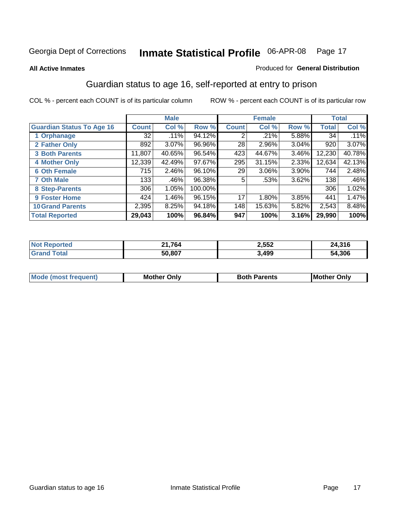### **All Active Inmates**

### Produced for **General Distribution**

# Guardian status to age 16, self-reported at entry to prison

|                                  |              | <b>Male</b> |         |              | <b>Female</b> |       |              | <b>Total</b> |
|----------------------------------|--------------|-------------|---------|--------------|---------------|-------|--------------|--------------|
| <b>Guardian Status To Age 16</b> | <b>Count</b> | Col %       | Row %   | <b>Count</b> | Col %         | Row % | <b>Total</b> | Col %        |
| 1 Orphanage                      | 32           | .11%        | 94.12%  | 2            | $.21\%$       | 5.88% | 34           | .11%         |
| 2 Father Only                    | 892          | 3.07%       | 96.96%  | 28           | $2.96\%$      | 3.04% | 920          | $3.07\%$     |
| <b>3 Both Parents</b>            | 11,807       | 40.65%      | 96.54%  | 423          | 44.67%        | 3.46% | 12,230       | 40.78%       |
| <b>4 Mother Only</b>             | 12,339       | 42.49%      | 97.67%  | 295          | 31.15%        | 2.33% | 12,634       | 42.13%       |
| <b>6 Oth Female</b>              | 715          | 2.46%       | 96.10%  | 29           | 3.06%         | 3.90% | 744          | 2.48%        |
| <b>7 Oth Male</b>                | 133          | .46%        | 96.38%  | 5            | .53%          | 3.62% | 138          | .46%         |
| 8 Step-Parents                   | 306          | 1.05%       | 100.00% |              |               |       | 306          | 1.02%        |
| 9 Foster Home                    | 424          | 1.46%       | 96.15%  | 17           | 1.80%         | 3.85% | 441          | 1.47%        |
| <b>10 Grand Parents</b>          | 2,395        | 8.25%       | 94.18%  | 148          | 15.63%        | 5.82% | 2,543        | 8.48%        |
| <b>Total Reported</b>            | 29,043       | 100%        | 96.84%  | 947          | 100%          | 3.16% | 29,990       | 100%         |

| NO | 764<br>الواضة | 2,552 | .316،  |
|----|---------------|-------|--------|
| Gr | 50.807        | 3,499 | 54.306 |

| Mode | Onlv<br>Mot | <b>Roth</b><br>Parents | <b>IMot</b><br>Onlv<br>∵hei |
|------|-------------|------------------------|-----------------------------|
|      |             |                        |                             |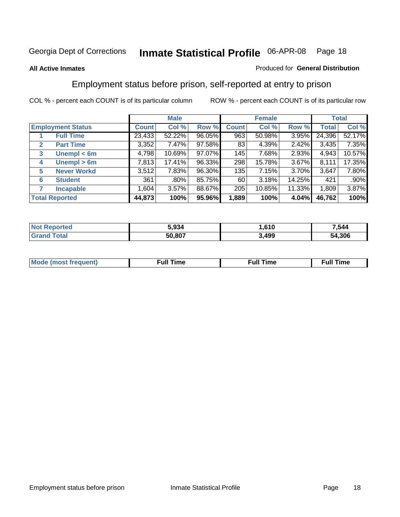### **All Active Inmates**

### Produced for **General Distribution**

# Employment status before prison, self-reported at entry to prison

|                                  |              | <b>Male</b> |        |              | <b>Female</b> |        |        | <b>Total</b> |
|----------------------------------|--------------|-------------|--------|--------------|---------------|--------|--------|--------------|
| <b>Employment Status</b>         | <b>Count</b> | Col %       | Row %  | <b>Count</b> | Col %         | Row %  | Total  | Col %        |
| <b>Full Time</b>                 | 23,433       | 52.22%      | 96.05% | 963          | 50.98%        | 3.95%  | 24,396 | 52.17%       |
| <b>Part Time</b><br>$\mathbf{2}$ | 3,352        | 7.47%       | 97.58% | 83           | 4.39%         | 2.42%  | 3,435  | 7.35%        |
| Unempl $<$ 6m<br>3               | 4,798        | 10.69%      | 97.07% | 145          | 7.68%         | 2.93%  | 4,943  | 10.57%       |
| Unempl > 6m<br>4                 | 7,813        | 17.41%      | 96.33% | 298          | 15.78%        | 3.67%  | 8,111  | 17.35%       |
| <b>Never Workd</b><br>5          | 3,512        | 7.83%       | 96.30% | 135          | 7.15%         | 3.70%  | 3,647  | 7.80%        |
| <b>Student</b><br>6              | 361          | .80%        | 85.75% | 60           | 3.18%         | 14.25% | 421    | .90%         |
| 7<br><b>Incapable</b>            | 1,604        | 3.57%       | 88.67% | 205          | 10.85%        | 11.33% | 1,809  | 3.87%        |
| <b>Total Reported</b>            | 44,873       | 100%        | 95.96% | 1,889        | 100%          | 4.04%  | 46,762 | 100%         |

| n eo | .934 د | 610   | 544.'      |
|------|--------|-------|------------|
|      | 50.807 | 3,499 | .306<br>54 |

| Mo | 'me<br>uн<br>$\sim$ $\sim$ $\sim$ $\sim$ $\sim$ $\sim$ | ïme<br>uı.<br>the contract of the contract of the contract of the contract of the contract of the contract of the contract of |
|----|--------------------------------------------------------|-------------------------------------------------------------------------------------------------------------------------------|
|    |                                                        |                                                                                                                               |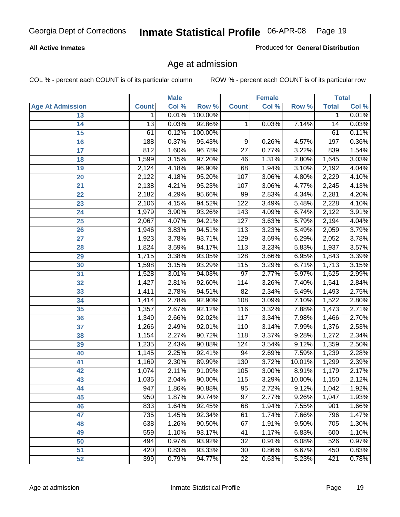### **All Active Inmates**

Produced for **General Distribution**

# Age at admission

|                         |                 | <b>Male</b> |         |                  | <b>Female</b> |        |              | <b>Total</b> |
|-------------------------|-----------------|-------------|---------|------------------|---------------|--------|--------------|--------------|
| <b>Age At Admission</b> | <b>Count</b>    | Col %       | Row %   | <b>Count</b>     | Col %         | Row %  | <b>Total</b> | Col %        |
| 13                      | 1               | 0.01%       | 100.00% |                  |               |        | 1            | 0.01%        |
| 14                      | $\overline{13}$ | 0.03%       | 92.86%  | 1                | 0.03%         | 7.14%  | 14           | 0.03%        |
| $\overline{15}$         | 61              | 0.12%       | 100.00% |                  |               |        | 61           | 0.11%        |
| 16                      | 188             | 0.37%       | 95.43%  | 9                | 0.26%         | 4.57%  | 197          | 0.36%        |
| $\overline{17}$         | 812             | 1.60%       | 96.78%  | $\overline{27}$  | 0.77%         | 3.22%  | 839          | 1.54%        |
| 18                      | 1,599           | 3.15%       | 97.20%  | 46               | 1.31%         | 2.80%  | 1,645        | 3.03%        |
| 19                      | 2,124           | 4.18%       | 96.90%  | 68               | 1.94%         | 3.10%  | 2,192        | 4.04%        |
| 20                      | 2,122           | 4.18%       | 95.20%  | 107              | 3.06%         | 4.80%  | 2,229        | 4.10%        |
| 21                      | 2,138           | 4.21%       | 95.23%  | 107              | 3.06%         | 4.77%  | 2,245        | 4.13%        |
| 22                      | 2,182           | 4.29%       | 95.66%  | 99               | 2.83%         | 4.34%  | 2,281        | 4.20%        |
| 23                      | 2,106           | 4.15%       | 94.52%  | 122              | 3.49%         | 5.48%  | 2,228        | 4.10%        |
| 24                      | 1,979           | 3.90%       | 93.26%  | $\overline{143}$ | 4.09%         | 6.74%  | 2,122        | 3.91%        |
| $\overline{25}$         | 2,067           | 4.07%       | 94.21%  | 127              | 3.63%         | 5.79%  | 2,194        | 4.04%        |
| 26                      | 1,946           | 3.83%       | 94.51%  | $\overline{113}$ | 3.23%         | 5.49%  | 2,059        | 3.79%        |
| 27                      | 1,923           | 3.78%       | 93.71%  | 129              | 3.69%         | 6.29%  | 2,052        | 3.78%        |
| 28                      | 1,824           | 3.59%       | 94.17%  | $\overline{113}$ | 3.23%         | 5.83%  | 1,937        | 3.57%        |
| 29                      | 1,715           | 3.38%       | 93.05%  | 128              | 3.66%         | 6.95%  | 1,843        | 3.39%        |
| 30                      | 1,598           | 3.15%       | 93.29%  | 115              | 3.29%         | 6.71%  | 1,713        | 3.15%        |
| 31                      | 1,528           | 3.01%       | 94.03%  | $\overline{97}$  | 2.77%         | 5.97%  | 1,625        | 2.99%        |
| 32                      | 1,427           | 2.81%       | 92.60%  | 114              | 3.26%         | 7.40%  | 1,541        | 2.84%        |
| 33                      | 1,411           | 2.78%       | 94.51%  | $\overline{82}$  | 2.34%         | 5.49%  | 1,493        | 2.75%        |
| 34                      | 1,414           | 2.78%       | 92.90%  | 108              | 3.09%         | 7.10%  | 1,522        | 2.80%        |
| 35                      | 1,357           | 2.67%       | 92.12%  | 116              | 3.32%         | 7.88%  | 1,473        | 2.71%        |
| 36                      | 1,349           | 2.66%       | 92.02%  | 117              | 3.34%         | 7.98%  | 1,466        | 2.70%        |
| 37                      | 1,266           | 2.49%       | 92.01%  | 110              | 3.14%         | 7.99%  | 1,376        | 2.53%        |
| 38                      | 1,154           | 2.27%       | 90.72%  | 118              | 3.37%         | 9.28%  | 1,272        | 2.34%        |
| 39                      | 1,235           | 2.43%       | 90.88%  | 124              | 3.54%         | 9.12%  | 1,359        | 2.50%        |
| 40                      | 1,145           | 2.25%       | 92.41%  | 94               | 2.69%         | 7.59%  | 1,239        | 2.28%        |
| 41                      | 1,169           | 2.30%       | 89.99%  | 130              | 3.72%         | 10.01% | 1,299        | 2.39%        |
| 42                      | 1,074           | 2.11%       | 91.09%  | 105              | 3.00%         | 8.91%  | 1,179        | 2.17%        |
| 43                      | 1,035           | 2.04%       | 90.00%  | 115              | 3.29%         | 10.00% | 1,150        | 2.12%        |
| 44                      | 947             | 1.86%       | 90.88%  | 95               | 2.72%         | 9.12%  | 1,042        | 1.92%        |
| 45                      | 950             | 1.87%       | 90.74%  | $\overline{97}$  | 2.77%         | 9.26%  | 1,047        | 1.93%        |
| 46                      | 833             | 1.64%       | 92.45%  | 68               | 1.94%         | 7.55%  | 901          | 1.66%        |
| 47                      | 735             | 1.45%       | 92.34%  | 61               | 1.74%         | 7.66%  | 796          | 1.47%        |
| 48                      | 638             | 1.26%       | 90.50%  | 67               | 1.91%         | 9.50%  | 705          | 1.30%        |
| 49                      | 559             | 1.10%       | 93.17%  | 41               | 1.17%         | 6.83%  | 600          | 1.10%        |
| 50                      | 494             | 0.97%       | 93.92%  | 32               | 0.91%         | 6.08%  | 526          | 0.97%        |
| 51                      | 420             | 0.83%       | 93.33%  | $\overline{30}$  | 0.86%         | 6.67%  | 450          | 0.83%        |
| 52                      | 399             | 0.79%       | 94.77%  | 22               | 0.63%         | 5.23%  | 421          | 0.78%        |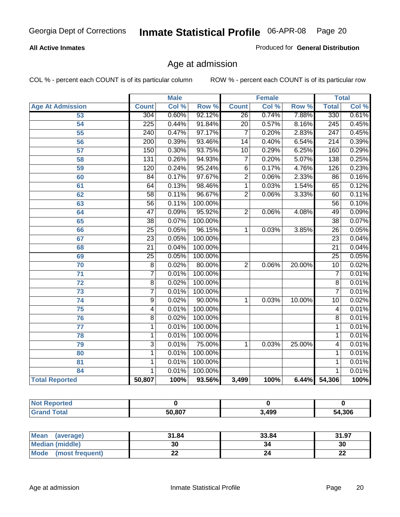### **All Active Inmates**

Produced for **General Distribution**

# Age at admission

|                         | <b>Male</b>      |       | <b>Female</b> |                 |       | <b>Total</b> |                  |       |
|-------------------------|------------------|-------|---------------|-----------------|-------|--------------|------------------|-------|
| <b>Age At Admission</b> | <b>Count</b>     | Col % | Row %         | <b>Count</b>    | Col % | Row %        | <b>Total</b>     | Col % |
| 53                      | $\overline{304}$ | 0.60% | 92.12%        | $\overline{26}$ | 0.74% | 7.88%        | 330              | 0.61% |
| 54                      | $\overline{225}$ | 0.44% | 91.84%        | $\overline{20}$ | 0.57% | 8.16%        | 245              | 0.45% |
| $\overline{55}$         | $\overline{240}$ | 0.47% | 97.17%        | 7               | 0.20% | 2.83%        | $\overline{247}$ | 0.45% |
| $\overline{56}$         | $\overline{200}$ | 0.39% | 93.46%        | $\overline{14}$ | 0.40% | 6.54%        | $\overline{214}$ | 0.39% |
| $\overline{57}$         | 150              | 0.30% | 93.75%        | $\overline{10}$ | 0.29% | 6.25%        | 160              | 0.29% |
| 58                      | 131              | 0.26% | 94.93%        | $\overline{7}$  | 0.20% | 5.07%        | 138              | 0.25% |
| 59                      | 120              | 0.24% | 95.24%        | 6               | 0.17% | 4.76%        | 126              | 0.23% |
| 60                      | $\overline{84}$  | 0.17% | 97.67%        | $\overline{2}$  | 0.06% | 2.33%        | 86               | 0.16% |
| 61                      | 64               | 0.13% | 98.46%        | 1               | 0.03% | 1.54%        | 65               | 0.12% |
| 62                      | $\overline{58}$  | 0.11% | 96.67%        | $\overline{2}$  | 0.06% | 3.33%        | 60               | 0.11% |
| 63                      | $\overline{56}$  | 0.11% | 100.00%       |                 |       |              | 56               | 0.10% |
| 64                      | $\overline{47}$  | 0.09% | 95.92%        | $\overline{2}$  | 0.06% | 4.08%        | 49               | 0.09% |
| 65                      | $\overline{38}$  | 0.07% | 100.00%       |                 |       |              | $\overline{38}$  | 0.07% |
| 66                      | $\overline{25}$  | 0.05% | 96.15%        | 1               | 0.03% | 3.85%        | $\overline{26}$  | 0.05% |
| 67                      | 23               | 0.05% | 100.00%       |                 |       |              | $\overline{23}$  | 0.04% |
| 68                      | $\overline{21}$  | 0.04% | 100.00%       |                 |       |              | $\overline{21}$  | 0.04% |
| 69                      | $\overline{25}$  | 0.05% | 100.00%       |                 |       |              | $\overline{25}$  | 0.05% |
| 70                      | $\overline{8}$   | 0.02% | 80.00%        | $\overline{2}$  | 0.06% | 20.00%       | $\overline{10}$  | 0.02% |
| 71                      | $\overline{7}$   | 0.01% | 100.00%       |                 |       |              | 7                | 0.01% |
| $\overline{72}$         | $\overline{8}$   | 0.02% | 100.00%       |                 |       |              | $\overline{8}$   | 0.01% |
| $\overline{73}$         | $\overline{7}$   | 0.01% | 100.00%       |                 |       |              | $\overline{7}$   | 0.01% |
| $\overline{74}$         | $\overline{9}$   | 0.02% | 90.00%        | 1               | 0.03% | 10.00%       | $\overline{10}$  | 0.02% |
| $\overline{75}$         | 4                | 0.01% | 100.00%       |                 |       |              | 4                | 0.01% |
| 76                      | $\overline{8}$   | 0.02% | 100.00%       |                 |       |              | 8                | 0.01% |
| 77                      | $\mathbf{1}$     | 0.01% | 100.00%       |                 |       |              | 1                | 0.01% |
| 78                      | $\mathbf{1}$     | 0.01% | 100.00%       |                 |       |              | 1                | 0.01% |
| 79                      | $\overline{3}$   | 0.01% | 75.00%        | $\mathbf{1}$    | 0.03% | 25.00%       | 4                | 0.01% |
| 80                      | $\overline{1}$   | 0.01% | 100.00%       |                 |       |              | 1                | 0.01% |
| $\overline{81}$         | $\mathbf{1}$     | 0.01% | 100.00%       |                 |       |              | 1                | 0.01% |
| 84                      | 1                | 0.01% | 100.00%       |                 |       |              | 1                | 0.01% |
| <b>Total Reported</b>   | 50,807           | 100%  | 93.56%        | 3,499           | 100%  | 6.44%        | 54,306           | 100%  |

| <b>Not Reported</b> |        |       |        |
|---------------------|--------|-------|--------|
| <b>Grand Total</b>  | 50.807 | 3,499 | 54,306 |

| Mean<br>(average)              | 31.84     | 33.84 | 31.97    |
|--------------------------------|-----------|-------|----------|
| <b>Median (middle)</b>         | 30        | 34    | 30       |
| <b>Mode</b><br>(most frequent) | <u>__</u> |       | ^^<br>LL |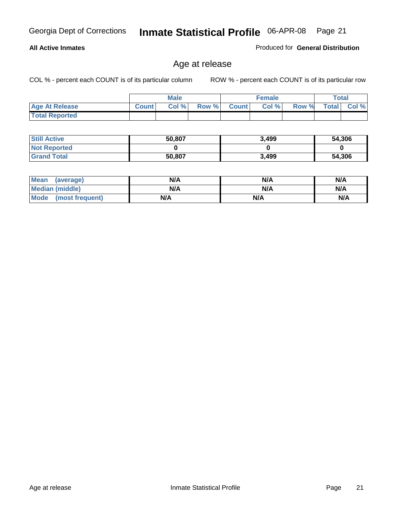### **All Active Inmates**

Produced for **General Distribution**

# Age at release

|                       | <b>Male</b>  |      |       | <b>Female</b> |       |       | <b>Total</b> |       |
|-----------------------|--------------|------|-------|---------------|-------|-------|--------------|-------|
| <b>Age At Release</b> | <b>Count</b> | Col% | Row % | <b>Count</b>  | Col % | Row % | <b>Total</b> | Col % |
| <b>Total Reported</b> |              |      |       |               |       |       |              |       |

| <b>Still Active</b> | 50,807 | 3,499 | 54,306 |
|---------------------|--------|-------|--------|
| <b>Not Reported</b> |        |       |        |
| <b>Grand Total</b>  | 50,807 | 3,499 | 54,306 |

| Mean (average)       | N/A | N/A | N/A |
|----------------------|-----|-----|-----|
| Median (middle)      | N/A | N/A | N/A |
| Mode (most frequent) | N/A | N/A | N/A |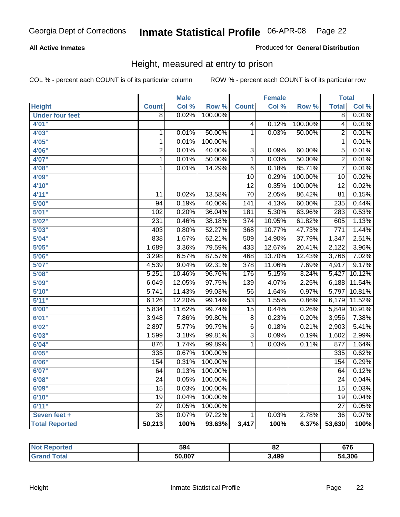### **All Active Inmates**

### Produced for **General Distribution**

# Height, measured at entry to prison

|                        |                 | <b>Male</b> |         |                  | <b>Female</b> |                  | <b>Total</b>     |        |
|------------------------|-----------------|-------------|---------|------------------|---------------|------------------|------------------|--------|
| <b>Height</b>          | <b>Count</b>    | Col %       | Row %   | <b>Count</b>     | Col %         | Row <sup>%</sup> | <b>Total</b>     | Col %  |
| <b>Under four feet</b> | $\overline{8}$  | 0.02%       | 100.00% |                  |               |                  | $\overline{8}$   | 0.01%  |
| 4'01''                 |                 |             |         | $\overline{4}$   | 0.12%         | 100.00%          | $\overline{4}$   | 0.01%  |
| 4'03''                 | $\mathbf 1$     | 0.01%       | 50.00%  | $\overline{1}$   | 0.03%         | 50.00%           | $\overline{2}$   | 0.01%  |
| 4'05''                 | $\mathbf{1}$    | 0.01%       | 100.00% |                  |               |                  | $\overline{1}$   | 0.01%  |
| 4'06"                  | $\overline{2}$  | 0.01%       | 40.00%  | $\overline{3}$   | 0.09%         | 60.00%           | $\overline{5}$   | 0.01%  |
| 4'07"                  | $\overline{1}$  | 0.01%       | 50.00%  | $\overline{1}$   | 0.03%         | 50.00%           | $\overline{2}$   | 0.01%  |
| 4'08"                  | 1               | 0.01%       | 14.29%  | $\overline{6}$   | 0.18%         | 85.71%           | $\overline{7}$   | 0.01%  |
| 4'09"                  |                 |             |         | $\overline{10}$  | 0.29%         | 100.00%          | $\overline{10}$  | 0.02%  |
| 4'10"                  |                 |             |         | $\overline{12}$  | 0.35%         | 100.00%          | $\overline{12}$  | 0.02%  |
| 4'11''                 | 11              | 0.02%       | 13.58%  | $\overline{70}$  | 2.05%         | 86.42%           | $\overline{81}$  | 0.15%  |
| 5'00''                 | $\overline{94}$ | 0.19%       | 40.00%  | $\overline{141}$ | 4.13%         | 60.00%           | 235              | 0.44%  |
| 5'01''                 | 102             | 0.20%       | 36.04%  | 181              | 5.30%         | 63.96%           | 283              | 0.53%  |
| 5'02"                  | 231             | 0.46%       | 38.18%  | $\overline{374}$ | 10.95%        | 61.82%           | 605              | 1.13%  |
| 5'03''                 | 403             | 0.80%       | 52.27%  | 368              | 10.77%        | 47.73%           | $\overline{771}$ | 1.44%  |
| 5'04"                  | 838             | 1.67%       | 62.21%  | 509              | 14.90%        | 37.79%           | 1,347            | 2.51%  |
| 5'05''                 | 1,689           | 3.36%       | 79.59%  | 433              | 12.67%        | 20.41%           | 2,122            | 3.96%  |
| 5'06''                 | 3,298           | 6.57%       | 87.57%  | 468              | 13.70%        | 12.43%           | 3,766            | 7.02%  |
| 5'07''                 | 4,539           | 9.04%       | 92.31%  | 378              | 11.06%        | 7.69%            | 4,917            | 9.17%  |
| 5'08''                 | 5,251           | 10.46%      | 96.76%  | 176              | 5.15%         | 3.24%            | 5,427            | 10.12% |
| 5'09''                 | 6,049           | 12.05%      | 97.75%  | 139              | 4.07%         | 2.25%            | 6,188            | 11.54% |
| 5'10''                 | 5,741           | 11.43%      | 99.03%  | $\overline{56}$  | 1.64%         | 0.97%            | 5,797            | 10.81% |
| 5'11''                 | 6,126           | 12.20%      | 99.14%  | $\overline{53}$  | 1.55%         | 0.86%            | 6,179            | 11.52% |
| 6'00''                 | 5,834           | 11.62%      | 99.74%  | $\overline{15}$  | 0.44%         | 0.26%            | 5,849            | 10.91% |
| 6'01''                 | 3,948           | 7.86%       | 99.80%  | $\overline{8}$   | 0.23%         | 0.20%            | 3,956            | 7.38%  |
| 6'02''                 | 2,897           | 5.77%       | 99.79%  | $\overline{6}$   | 0.18%         | 0.21%            | 2,903            | 5.41%  |
| 6'03''                 | 1,599           | 3.18%       | 99.81%  | $\overline{3}$   | 0.09%         | 0.19%            | 1,602            | 2.99%  |
| 6'04''                 | 876             | 1.74%       | 99.89%  | $\overline{1}$   | 0.03%         | 0.11%            | 877              | 1.64%  |
| 6'05''                 | 335             | 0.67%       | 100.00% |                  |               |                  | 335              | 0.62%  |
| 6'06''                 | 154             | 0.31%       | 100.00% |                  |               |                  | 154              | 0.29%  |
| 6'07''                 | 64              | 0.13%       | 100.00% |                  |               |                  | 64               | 0.12%  |
| 6'08''                 | $\overline{24}$ | 0.05%       | 100.00% |                  |               |                  | $\overline{24}$  | 0.04%  |
| 6'09''                 | $\overline{15}$ | 0.03%       | 100.00% |                  |               |                  | $\overline{15}$  | 0.03%  |
| 6'10''                 | $\overline{19}$ | 0.04%       | 100.00% |                  |               |                  | $\overline{19}$  | 0.04%  |
| 6'11''                 | $\overline{27}$ | 0.05%       | 100.00% |                  |               |                  | $\overline{27}$  | 0.05%  |
| Seven feet +           | $\overline{35}$ | 0.07%       | 97.22%  | $\overline{1}$   | 0.03%         | 2.78%            | $\overline{36}$  | 0.07%  |
| <b>Total Reported</b>  | 50,213          | 100%        | 93.63%  | 3,417            | 100%          | 6.37%            | 53,630           | 100%   |

| rted   | 594    | n r<br>UΖ | 676    |
|--------|--------|-----------|--------|
| $\sim$ | 50,807 | 3,499     | 54,306 |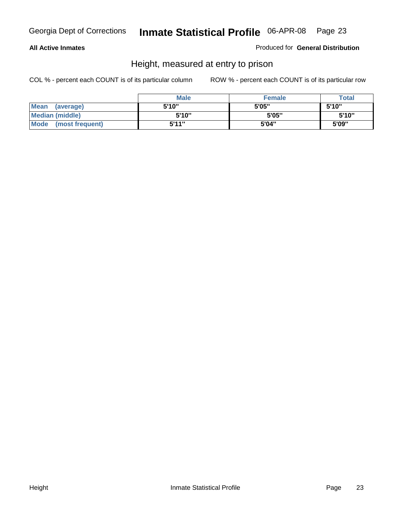### **All Active Inmates**

Produced for **General Distribution**

# Height, measured at entry to prison

|                        | <b>Male</b> | <b>Female</b> | <b>Total</b> |
|------------------------|-------------|---------------|--------------|
| Mean (average)         | 5'10"       | 5'05"         | 5'10''       |
| <b>Median (middle)</b> | 5'10''      | 5'05"         | 5'10"        |
| Mode (most frequent)   | 5'11"       | 5'04"         | 5'09"        |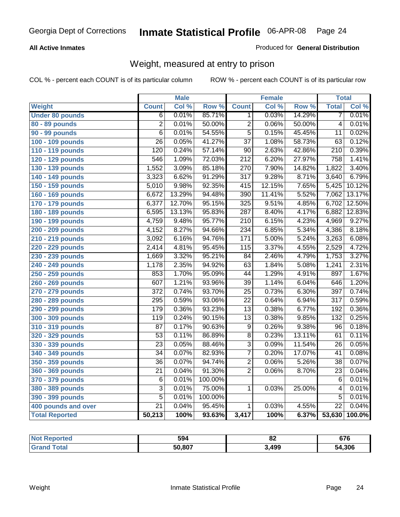### **All Active Inmates**

### Produced for **General Distribution**

# Weight, measured at entry to prison

|                        |                  | <b>Male</b> |         |                  | <b>Female</b> |                  | <b>Total</b>     |        |
|------------------------|------------------|-------------|---------|------------------|---------------|------------------|------------------|--------|
| <b>Weight</b>          | <b>Count</b>     | Col %       | Row %   | <b>Count</b>     | Col %         | Row <sup>%</sup> | <b>Total</b>     | Col %  |
| <b>Under 80 pounds</b> | $\overline{6}$   | 0.01%       | 85.71%  | 1.               | 0.03%         | 14.29%           | 7                | 0.01%  |
| 80 - 89 pounds         | $\overline{2}$   | 0.01%       | 50.00%  | $\overline{2}$   | 0.06%         | 50.00%           | $\overline{4}$   | 0.01%  |
| 90 - 99 pounds         | $\overline{6}$   | 0.01%       | 54.55%  | $\overline{5}$   | 0.15%         | 45.45%           | $\overline{11}$  | 0.02%  |
| 100 - 109 pounds       | $\overline{26}$  | 0.05%       | 41.27%  | $\overline{37}$  | 1.08%         | 58.73%           | $\overline{63}$  | 0.12%  |
| 110 - 119 pounds       | $\overline{120}$ | 0.24%       | 57.14%  | $\overline{90}$  | 2.63%         | 42.86%           | $\overline{210}$ | 0.39%  |
| 120 - 129 pounds       | 546              | 1.09%       | 72.03%  | $\overline{212}$ | 6.20%         | 27.97%           | 758              | 1.41%  |
| 130 - 139 pounds       | 1,552            | 3.09%       | 85.18%  | 270              | 7.90%         | 14.82%           | 1,822            | 3.40%  |
| 140 - 149 pounds       | 3,323            | 6.62%       | 91.29%  | $\overline{317}$ | 9.28%         | 8.71%            | 3,640            | 6.79%  |
| 150 - 159 pounds       | 5,010            | 9.98%       | 92.35%  | $\overline{415}$ | 12.15%        | 7.65%            | 5,425            | 10.12% |
| 160 - 169 pounds       | 6,672            | 13.29%      | 94.48%  | 390              | 11.41%        | 5.52%            | 7,062            | 13.17% |
| 170 - 179 pounds       | 6,377            | 12.70%      | 95.15%  | 325              | 9.51%         | 4.85%            | 6,702            | 12.50% |
| 180 - 189 pounds       | 6,595            | 13.13%      | 95.83%  | 287              | 8.40%         | 4.17%            | 6,882            | 12.83% |
| 190 - 199 pounds       | 4,759            | 9.48%       | 95.77%  | $\overline{210}$ | 6.15%         | 4.23%            | 4,969            | 9.27%  |
| 200 - 209 pounds       | 4,152            | 8.27%       | 94.66%  | 234              | 6.85%         | 5.34%            | 4,386            | 8.18%  |
| 210 - 219 pounds       | 3,092            | 6.16%       | 94.76%  | 171              | 5.00%         | 5.24%            | 3,263            | 6.08%  |
| 220 - 229 pounds       | 2,414            | 4.81%       | 95.45%  | 115              | 3.37%         | 4.55%            | 2,529            | 4.72%  |
| 230 - 239 pounds       | 1,669            | 3.32%       | 95.21%  | $\overline{84}$  | 2.46%         | 4.79%            | 1,753            | 3.27%  |
| 240 - 249 pounds       | 1,178            | 2.35%       | 94.92%  | $\overline{63}$  | 1.84%         | 5.08%            | 1,241            | 2.31%  |
| 250 - 259 pounds       | 853              | 1.70%       | 95.09%  | $\overline{44}$  | 1.29%         | 4.91%            | 897              | 1.67%  |
| 260 - 269 pounds       | 607              | 1.21%       | 93.96%  | $\overline{39}$  | 1.14%         | 6.04%            | 646              | 1.20%  |
| 270 - 279 pounds       | $\overline{372}$ | 0.74%       | 93.70%  | $\overline{25}$  | 0.73%         | 6.30%            | 397              | 0.74%  |
| 280 - 289 pounds       | 295              | 0.59%       | 93.06%  | $\overline{22}$  | 0.64%         | 6.94%            | $\overline{317}$ | 0.59%  |
| 290 - 299 pounds       | 179              | 0.36%       | 93.23%  | $\overline{13}$  | 0.38%         | 6.77%            | 192              | 0.36%  |
| 300 - 309 pounds       | 119              | 0.24%       | 90.15%  | $\overline{13}$  | 0.38%         | 9.85%            | 132              | 0.25%  |
| 310 - 319 pounds       | 87               | 0.17%       | 90.63%  | $\overline{9}$   | 0.26%         | 9.38%            | 96               | 0.18%  |
| 320 - 329 pounds       | $\overline{53}$  | 0.11%       | 86.89%  | $\overline{8}$   | 0.23%         | 13.11%           | 61               | 0.11%  |
| 330 - 339 pounds       | $\overline{23}$  | 0.05%       | 88.46%  | $\overline{3}$   | 0.09%         | 11.54%           | 26               | 0.05%  |
| 340 - 349 pounds       | $\overline{34}$  | 0.07%       | 82.93%  | $\overline{7}$   | 0.20%         | 17.07%           | 41               | 0.08%  |
| 350 - 359 pounds       | 36               | 0.07%       | 94.74%  | $\overline{2}$   | 0.06%         | 5.26%            | $\overline{38}$  | 0.07%  |
| 360 - 369 pounds       | $\overline{21}$  | 0.04%       | 91.30%  | $\overline{2}$   | 0.06%         | 8.70%            | $\overline{23}$  | 0.04%  |
| 370 - 379 pounds       | $\overline{6}$   | 0.01%       | 100.00% |                  |               |                  | $\overline{6}$   | 0.01%  |
| 380 - 389 pounds       | $\overline{3}$   | 0.01%       | 75.00%  | 1                | 0.03%         | 25.00%           | 4                | 0.01%  |
| 390 - 399 pounds       | $\overline{5}$   | 0.01%       | 100.00% |                  |               |                  | $\overline{5}$   | 0.01%  |
| 400 pounds and over    | $\overline{21}$  | 0.04%       | 95.45%  | 1                | 0.03%         | 4.55%            | $\overline{22}$  | 0.04%  |
| <b>Total Reported</b>  | 50,213           | 100%        | 93.63%  | 3,417            | 100%          | 6.37%            | 53,630           | 100.0% |

| Reported<br><b>NOT</b> | 594    | 0e<br> | 676         |
|------------------------|--------|--------|-------------|
| īota.                  | 50.807 | .499   | 1,306<br>54 |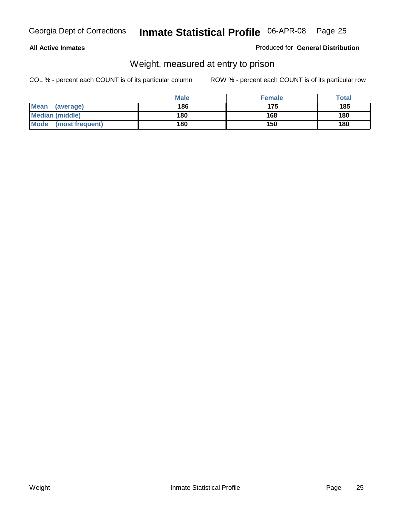### **All Active Inmates**

### Produced for **General Distribution**

# Weight, measured at entry to prison

|                         | <b>Male</b> | <b>Female</b> | Total |
|-------------------------|-------------|---------------|-------|
| Mean<br>(average)       | 186         | 175           | 185   |
| <b>Median (middle)</b>  | 180         | 168           | 180   |
| Mode<br>(most frequent) | 180         | 150           | 180   |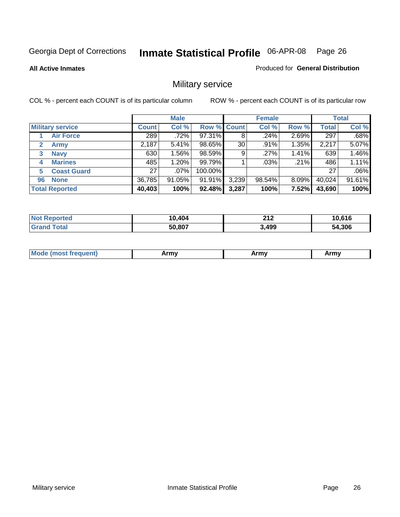**All Active Inmates**

### Produced for **General Distribution**

# Military service

|                             |              | <b>Male</b> |                    |       | <b>Female</b> |          |              | <b>Total</b> |
|-----------------------------|--------------|-------------|--------------------|-------|---------------|----------|--------------|--------------|
| <b>Military service</b>     | <b>Count</b> | Col %       | <b>Row % Count</b> |       | Col %         | Row %    | <b>Total</b> | Col %        |
| <b>Air Force</b>            | 289          | .72%        | 97.31%             | 8     | .24%          | 2.69%    | 297          | .68%         |
| $\mathbf{2}$<br><b>Army</b> | 2,187        | 5.41%       | 98.65%             | 30    | .91%          | 1.35%    | 2,217        | 5.07%        |
| <b>Navy</b><br>3            | 630          | 1.56%       | 98.59%             | 9     | .27%          | 1.41%    | 639          | 1.46%        |
| <b>Marines</b><br>4         | 485          | 1.20%       | 99.79%             |       | $.03\%$       | .21%     | 486          | 1.11%        |
| <b>Coast Guard</b><br>5     | 27           | $.07\%$     | 100.00%            |       |               |          | 27           | .06%         |
| <b>None</b><br>96           | 36,785       | $91.05\%$   | 91.91%             | 3,239 | 98.54%        | $8.09\%$ | 40,024       | 91.61%       |
| <b>Total Reported</b>       | 40,403       | 100%        | 92.48%             | 3,287 | 100%          | 7.52%    | 43,690       | 100%         |

| orted<br>NO.   | 0,404<br>1Λ | 245<br>◢▮◢ | 10.616 |
|----------------|-------------|------------|--------|
| ⊺otar<br>"Gra. | 50,807      | 3,499      | 54,306 |

| <b>Mou</b><br>.<br>Army<br>Army<br>$\cdot$ affiny $\cdot$ |
|-----------------------------------------------------------|
|-----------------------------------------------------------|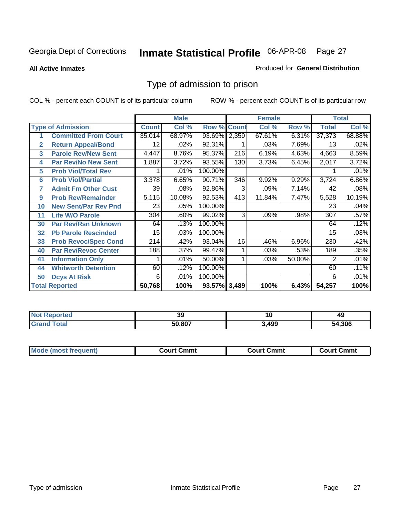### **All Active Inmates**

### Produced for **General Distribution**

# Type of admission to prison

|                |                             |                 | <b>Male</b> |                    |     | <b>Female</b> |        |              | <b>Total</b> |
|----------------|-----------------------------|-----------------|-------------|--------------------|-----|---------------|--------|--------------|--------------|
|                | <b>Type of Admission</b>    | <b>Count</b>    | Col %       | <b>Row % Count</b> |     | Col %         | Row %  | <b>Total</b> | Col %        |
|                | <b>Committed From Court</b> | 35,014          | 68.97%      | 93.69% 2,359       |     | 67.61%        | 6.31%  | 37,373       | 68.88%       |
| $\overline{2}$ | <b>Return Appeal/Bond</b>   | 12 <sub>2</sub> | .02%        | 92.31%             |     | .03%          | 7.69%  | 13           | .02%         |
| 3              | <b>Parole Rev/New Sent</b>  | 4,447           | 8.76%       | 95.37%             | 216 | 6.19%         | 4.63%  | 4,663        | 8.59%        |
| 4              | <b>Par Rev/No New Sent</b>  | 1,887           | 3.72%       | 93.55%             | 130 | 3.73%         | 6.45%  | 2,017        | 3.72%        |
| 5              | <b>Prob Viol/Total Rev</b>  |                 | .01%        | 100.00%            |     |               |        |              | .01%         |
| 6              | <b>Prob Viol/Partial</b>    | 3,378           | 6.65%       | 90.71%             | 346 | 9.92%         | 9.29%  | 3,724        | 6.86%        |
| 7              | <b>Admit Fm Other Cust</b>  | 39              | .08%        | 92.86%             | 3   | .09%          | 7.14%  | 42           | .08%         |
| 9              | <b>Prob Rev/Remainder</b>   | 5,115           | 10.08%      | 92.53%             | 413 | 11.84%        | 7.47%  | 5,528        | 10.19%       |
| 10             | <b>New Sent/Par Rev Pnd</b> | 23              | .05%        | 100.00%            |     |               |        | 23           | .04%         |
| 11             | <b>Life W/O Parole</b>      | 304             | .60%        | 99.02%             | 3   | .09%          | .98%   | 307          | .57%         |
| 30             | <b>Par Rev/Rsn Unknown</b>  | 64              | .13%        | 100.00%            |     |               |        | 64           | .12%         |
| 32             | <b>Pb Parole Rescinded</b>  | 15              | .03%        | 100.00%            |     |               |        | 15           | .03%         |
| 33             | <b>Prob Revoc/Spec Cond</b> | 214             | .42%        | 93.04%             | 16  | .46%          | 6.96%  | 230          | .42%         |
| 40             | <b>Par Rev/Revoc Center</b> | 188             | .37%        | 99.47%             |     | .03%          | .53%   | 189          | .35%         |
| 41             | <b>Information Only</b>     |                 | .01%        | 50.00%             |     | .03%          | 50.00% | 2            | .01%         |
| 44             | <b>Whitworth Detention</b>  | 60              | .12%        | 100.00%            |     |               |        | 60           | .11%         |
| 50             | <b>Dcys At Risk</b>         | 6               | .01%        | 100.00%            |     |               |        | 6            | .01%         |
|                | <b>Total Reported</b>       | 50,768          | 100%        | 93.57% 3,489       |     | 100%          | 6.43%  | 54,257       | 100%         |

| Reported<br><b>NOT</b>   | 39     | . .<br>י י | 49     |
|--------------------------|--------|------------|--------|
| ⊺ota.<br>. Gr $\epsilon$ | 50.807 | .499       | 54.306 |

| <b>Court Cmmt</b><br><b>Court Cmmt</b><br>Court Cmmt |                             |  |  |
|------------------------------------------------------|-----------------------------|--|--|
|                                                      | <b>Mode (most frequent)</b> |  |  |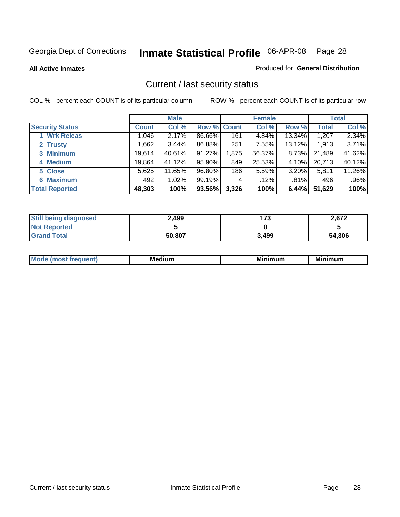**All Active Inmates**

### Produced for **General Distribution**

# Current / last security status

|                        |              | <b>Male</b> |             |       | <b>Female</b> |          |              | <b>Total</b> |
|------------------------|--------------|-------------|-------------|-------|---------------|----------|--------------|--------------|
| <b>Security Status</b> | <b>Count</b> | Col %       | Row % Count |       | Col %         | Row %    | <b>Total</b> | Col %        |
| 1 Wrk Releas           | ا 046. ا     | 2.17%       | 86.66%      | 161   | 4.84%         | 13.34%   | 1,207        | 2.34%        |
| 2 Trusty               | .662         | 3.44%       | 86.88%      | 251   | 7.55%         | 13.12%   | 1,913        | 3.71%        |
| 3 Minimum              | 19,614       | 40.61%      | 91.27%      | 1,875 | 56.37%        | $8.73\%$ | 21,489       | 41.62%       |
| 4 Medium               | 19,864       | 41.12%      | 95.90%      | 849   | 25.53%        | $4.10\%$ | 20,713       | 40.12%       |
| 5 Close                | 5,625        | 11.65%      | 96.80%      | 186   | 5.59%         | 3.20%    | 5,811        | 11.26%       |
| 6 Maximum              | 492          | 1.02%       | 99.19%      | 4     | .12%          | .81%     | 496          | .96%         |
| <b>Total Reported</b>  | 48,303       | 100%        | 93.56%      | 3,326 | 100%          | 6.44%    | 51,629       | 100%         |

| <b>Still being diagnosed</b> | 2.499  | 173   | 2,672  |
|------------------------------|--------|-------|--------|
| <b>Not Reported</b>          |        |       |        |
| <b>Grand Total</b>           | 50,807 | 3,499 | 54,306 |

| M | в.<br><br>--- | <b>B.A.</b><br>um<br>w | --<br>. |
|---|---------------|------------------------|---------|
|   |               |                        |         |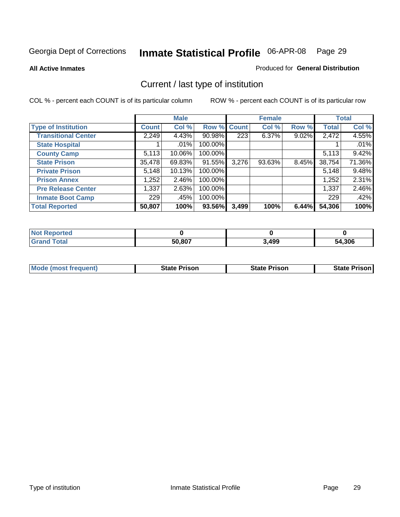**All Active Inmates**

### Produced for **General Distribution**

# Current / last type of institution

|                            |              | <b>Male</b> |             |                  | <b>Female</b> |       |              | <b>Total</b> |
|----------------------------|--------------|-------------|-------------|------------------|---------------|-------|--------------|--------------|
| <b>Type of Institution</b> | <b>Count</b> | Col %       | Row % Count |                  | Col %         | Row % | <b>Total</b> | Col %        |
| <b>Transitional Center</b> | 2,249        | 4.43%       | 90.98%      | $\overline{223}$ | $6.37\%$      | 9.02% | 2,472        | 4.55%        |
| <b>State Hospital</b>      |              | $.01\%$     | 100.00%     |                  |               |       |              | .01%         |
| <b>County Camp</b>         | 5,113        | 10.06%      | 100.00%     |                  |               |       | 5,113        | 9.42%        |
| <b>State Prison</b>        | 35,478       | 69.83%      | 91.55%      | 3,276            | 93.63%        | 8.45% | 38,754       | 71.36%       |
| <b>Private Prison</b>      | 5,148        | 10.13%      | 100.00%     |                  |               |       | 5,148        | 9.48%        |
| <b>Prison Annex</b>        | 1,252        | 2.46%       | 100.00%     |                  |               |       | 1,252        | 2.31%        |
| <b>Pre Release Center</b>  | 1,337        | 2.63%       | 100.00%     |                  |               |       | 1,337        | 2.46%        |
| <b>Inmate Boot Camp</b>    | 229          | .45%        | 100.00%     |                  |               |       | 229          | .42%         |
| <b>Total Reported</b>      | 50,807       | 100%        | 93.56%      | 3,499            | 100%          | 6.44% | 54,306       | 100%         |

| oorted<br><b>NOT</b> |        |       |        |
|----------------------|--------|-------|--------|
| <b>otal</b>          | 50,807 | 3,499 | 54,306 |

| <b>Mode (most frequent)</b> | <b>State Prison</b> | <b>State Prison</b> | <b>State Prison I</b> |
|-----------------------------|---------------------|---------------------|-----------------------|
|                             |                     |                     |                       |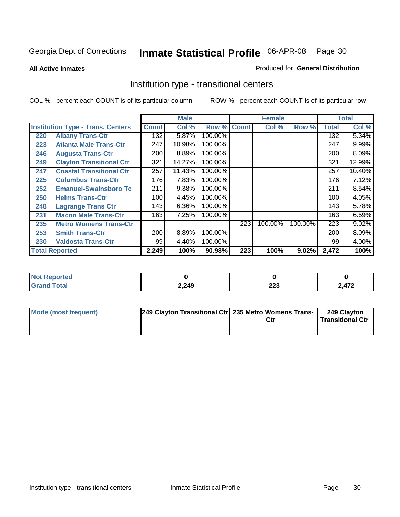**All Active Inmates**

### Produced for **General Distribution**

# Institution type - transitional centers

|     |                                          |              | <b>Male</b> |         |              | <b>Female</b> |         |              | <b>Total</b> |
|-----|------------------------------------------|--------------|-------------|---------|--------------|---------------|---------|--------------|--------------|
|     | <b>Institution Type - Trans. Centers</b> | <b>Count</b> | Col %       | Row %   | <b>Count</b> | Col %         | Row %   | <b>Total</b> | Col %        |
| 220 | <b>Albany Trans-Ctr</b>                  | 132          | 5.87%       | 100.00% |              |               |         | 132          | 5.34%        |
| 223 | <b>Atlanta Male Trans-Ctr</b>            | 247          | 10.98%      | 100.00% |              |               |         | 247          | 9.99%        |
| 246 | <b>Augusta Trans-Ctr</b>                 | 200          | 8.89%       | 100.00% |              |               |         | 200          | 8.09%        |
| 249 | <b>Clayton Transitional Ctr</b>          | 321          | 14.27%      | 100.00% |              |               |         | 321          | 12.99%       |
| 247 | <b>Coastal Transitional Ctr</b>          | 257          | 11.43%      | 100.00% |              |               |         | 257          | 10.40%       |
| 225 | <b>Columbus Trans-Ctr</b>                | 176          | 7.83%       | 100.00% |              |               |         | 176          | 7.12%        |
| 252 | <b>Emanuel-Swainsboro Tc</b>             | 211          | 9.38%       | 100.00% |              |               |         | 211          | 8.54%        |
| 250 | <b>Helms Trans-Ctr</b>                   | 100          | 4.45%       | 100.00% |              |               |         | 100          | 4.05%        |
| 248 | <b>Lagrange Trans Ctr</b>                | 143          | 6.36%       | 100.00% |              |               |         | 143          | 5.78%        |
| 231 | <b>Macon Male Trans-Ctr</b>              | 163          | 7.25%       | 100.00% |              |               |         | 163          | 6.59%        |
| 235 | <b>Metro Womens Trans-Ctr</b>            |              |             |         | 223          | 100.00%       | 100.00% | 223          | 9.02%        |
| 253 | <b>Smith Trans-Ctr</b>                   | 200          | 8.89%       | 100.00% |              |               |         | 200          | 8.09%        |
| 230 | <b>Valdosta Trans-Ctr</b>                | 99           | 4.40%       | 100.00% |              |               |         | 99           | 4.00%        |
|     | <b>Total Reported</b>                    | 2,249        | 100%        | 90.98%  | 223          | 100%          | 9.02%   | 2,472        | 100%         |

| NO)<br><b>portea</b><br>$\cdots$ |       |                      |                 |
|----------------------------------|-------|----------------------|-----------------|
| $\sim$                           | 2,249 | nne<br>LLJ<br>$\sim$ | 17 <sup>o</sup> |

| Mode (most frequent) | 249 Clayton Transitional Ctr 235 Metro Womens Trans- | Ctr | 249 Clayton<br><b>Transitional Ctr</b> |
|----------------------|------------------------------------------------------|-----|----------------------------------------|
|                      |                                                      |     |                                        |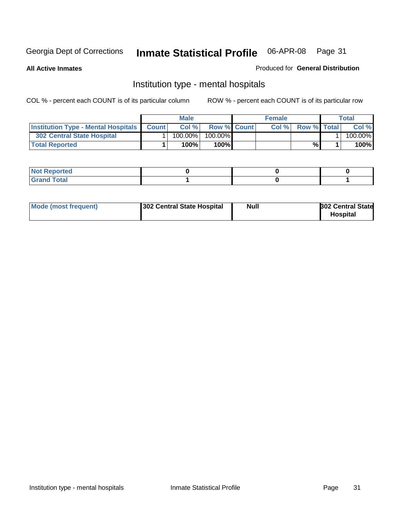**All Active Inmates**

### Produced for **General Distribution**

# Institution type - mental hospitals

|                                                  | <b>Male</b> |                    | <b>Female</b> |                    | Total   |
|--------------------------------------------------|-------------|--------------------|---------------|--------------------|---------|
| <b>Institution Type - Mental Hospitals Count</b> | Col%        | <b>Row % Count</b> | Col%          | <b>Row % Total</b> | Col %   |
| 302 Central State Hospital                       | $100.00\%$  | 100.00%            |               |                    | 100.00% |
| <b>Total Reported</b>                            | 100%        | 100%               |               | %                  | 100%    |

| Not Reported |  |  |
|--------------|--|--|
| <b>otal</b>  |  |  |

| Mode (most frequent)<br>302 Central State Hospital | Null | <b>302 Central State</b><br><b>Hospital</b> |
|----------------------------------------------------|------|---------------------------------------------|
|----------------------------------------------------|------|---------------------------------------------|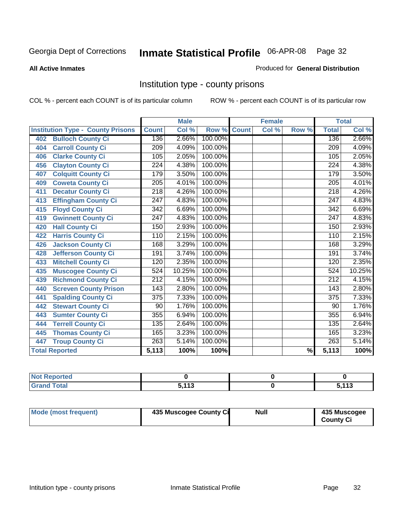### **All Active Inmates**

### Produced for **General Distribution**

# Institution type - county prisons

|                                          |                  | <b>Male</b> |         |              | <b>Female</b> |                          |                  | <b>Total</b> |
|------------------------------------------|------------------|-------------|---------|--------------|---------------|--------------------------|------------------|--------------|
| <b>Institution Type - County Prisons</b> | <b>Count</b>     | Col %       | Row %   | <b>Count</b> | Col %         | Row %                    | <b>Total</b>     | Col %        |
| <b>Bulloch County Ci</b><br>402          | 136              | 2.66%       | 100.00% |              |               |                          | 136              | 2.66%        |
| <b>Carroll County Ci</b><br>404          | $\overline{209}$ | 4.09%       | 100.00% |              |               |                          | $\overline{209}$ | 4.09%        |
| <b>Clarke County Ci</b><br>406           | 105              | 2.05%       | 100.00% |              |               |                          | 105              | 2.05%        |
| <b>Clayton County Ci</b><br>456          | 224              | 4.38%       | 100.00% |              |               |                          | 224              | 4.38%        |
| <b>Colquitt County Ci</b><br>407         | 179              | 3.50%       | 100.00% |              |               |                          | 179              | 3.50%        |
| <b>Coweta County Ci</b><br>409           | $\overline{205}$ | 4.01%       | 100.00% |              |               |                          | $\overline{205}$ | 4.01%        |
| <b>Decatur County Ci</b><br>411          | 218              | 4.26%       | 100.00% |              |               |                          | 218              | 4.26%        |
| <b>Effingham County Ci</b><br>413        | 247              | 4.83%       | 100.00% |              |               |                          | 247              | 4.83%        |
| <b>Floyd County Ci</b><br>415            | $\overline{342}$ | 6.69%       | 100.00% |              |               |                          | $\overline{342}$ | 6.69%        |
| <b>Gwinnett County Ci</b><br>419         | $\overline{247}$ | 4.83%       | 100.00% |              |               |                          | $\overline{247}$ | 4.83%        |
| <b>Hall County Ci</b><br>420             | 150              | 2.93%       | 100.00% |              |               |                          | 150              | 2.93%        |
| <b>Harris County Ci</b><br>422           | 110              | 2.15%       | 100.00% |              |               |                          | 110              | 2.15%        |
| <b>Jackson County Ci</b><br>426          | 168              | 3.29%       | 100.00% |              |               |                          | 168              | 3.29%        |
| <b>Jefferson County Ci</b><br>428        | 191              | 3.74%       | 100.00% |              |               |                          | 191              | 3.74%        |
| <b>Mitchell County Ci</b><br>433         | 120              | 2.35%       | 100.00% |              |               |                          | 120              | 2.35%        |
| <b>Muscogee County Ci</b><br>435         | 524              | 10.25%      | 100.00% |              |               |                          | 524              | 10.25%       |
| <b>Richmond County Ci</b><br>439         | $\overline{212}$ | 4.15%       | 100.00% |              |               |                          | $\overline{212}$ | 4.15%        |
| <b>Screven County Prison</b><br>440      | $\overline{143}$ | 2.80%       | 100.00% |              |               |                          | 143              | 2.80%        |
| <b>Spalding County Ci</b><br>441         | $\overline{375}$ | 7.33%       | 100.00% |              |               |                          | $\overline{375}$ | 7.33%        |
| <b>Stewart County Ci</b><br>442          | 90               | 1.76%       | 100.00% |              |               |                          | 90               | 1.76%        |
| <b>Sumter County Ci</b><br>443           | 355              | 6.94%       | 100.00% |              |               |                          | 355              | 6.94%        |
| <b>Terrell County Ci</b><br>444          | 135              | 2.64%       | 100.00% |              |               |                          | 135              | 2.64%        |
| <b>Thomas County Ci</b><br>445           | 165              | 3.23%       | 100.00% |              |               |                          | 165              | 3.23%        |
| <b>Troup County Ci</b><br>447            | 263              | 5.14%       | 100.00% |              |               |                          | $\overline{263}$ | 5.14%        |
| <b>Total Reported</b>                    | 5,113            | 100%        | 100%    |              |               | $\overline{\frac{9}{6}}$ | 5,113            | 100%         |

| τeα                                                         |              |            |
|-------------------------------------------------------------|--------------|------------|
| $n \leftrightarrow n$<br>$\sim$ $\sim$ $\sim$ $\sim$ $\sim$ | <b>E 449</b> | 442<br>. ט |

| Mode (most frequent) | 435 Muscogee County Ci | <b>Null</b> | 435 Muscogee     |
|----------------------|------------------------|-------------|------------------|
|                      |                        |             | <b>County Ci</b> |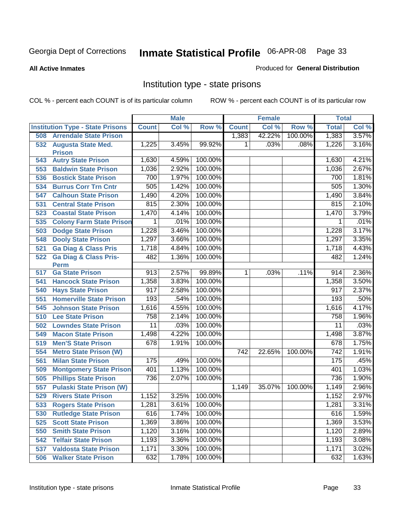### **All Active Inmates**

### Produced for **General Distribution**

# Institution type - state prisons

|     |                                            |                  | <b>Male</b> |         |                  | <b>Female</b> |         | <b>Total</b>     |       |
|-----|--------------------------------------------|------------------|-------------|---------|------------------|---------------|---------|------------------|-------|
|     | <b>Institution Type - State Prisons</b>    | <b>Count</b>     | Col %       | Row %   | <b>Count</b>     | Col %         | Row %   | <b>Total</b>     | Col % |
| 508 | <b>Arrendale State Prison</b>              |                  |             |         | 1,383            | 42.22%        | 100.00% | 1,383            | 3.57% |
| 532 | <b>Augusta State Med.</b><br><b>Prison</b> | 1,225            | 3.45%       | 99.92%  | 1                | .03%          | .08%    | 1,226            | 3.16% |
| 543 | <b>Autry State Prison</b>                  | 1,630            | 4.59%       | 100.00% |                  |               |         | 1,630            | 4.21% |
| 553 | <b>Baldwin State Prison</b>                | 1,036            | 2.92%       | 100.00% |                  |               |         | 1,036            | 2.67% |
| 536 | <b>Bostick State Prison</b>                | 700              | 1.97%       | 100.00% |                  |               |         | 700              | 1.81% |
| 534 | <b>Burrus Corr Trn Cntr</b>                | 505              | 1.42%       | 100.00% |                  |               |         | 505              | 1.30% |
| 547 | <b>Calhoun State Prison</b>                | 1,490            | 4.20%       | 100.00% |                  |               |         | 1,490            | 3.84% |
| 531 | <b>Central State Prison</b>                | 815              | 2.30%       | 100.00% |                  |               |         | 815              | 2.10% |
| 523 | <b>Coastal State Prison</b>                | 1,470            | 4.14%       | 100.00% |                  |               |         | 1,470            | 3.79% |
| 535 | <b>Colony Farm State Prison</b>            | 1                | .01%        | 100.00% |                  |               |         | 1                | .01%  |
| 503 | <b>Dodge State Prison</b>                  | 1,228            | 3.46%       | 100.00% |                  |               |         | 1,228            | 3.17% |
| 548 | <b>Dooly State Prison</b>                  | 1,297            | 3.66%       | 100.00% |                  |               |         | 1,297            | 3.35% |
| 521 | <b>Ga Diag &amp; Class Pris</b>            | 1,718            | 4.84%       | 100.00% |                  |               |         | 1,718            | 4.43% |
| 522 | <b>Ga Diag &amp; Class Pris-</b>           | 482              | 1.36%       | 100.00% |                  |               |         | 482              | 1.24% |
|     | <b>Perm</b>                                |                  |             |         |                  |               |         |                  |       |
| 517 | <b>Ga State Prison</b>                     | $\overline{913}$ | 2.57%       | 99.89%  | $\overline{1}$   | .03%          | .11%    | 914              | 2.36% |
| 541 | <b>Hancock State Prison</b>                | 1,358            | 3.83%       | 100.00% |                  |               |         | 1,358            | 3.50% |
| 540 | <b>Hays State Prison</b>                   | 917              | 2.58%       | 100.00% |                  |               |         | 917              | 2.37% |
| 551 | <b>Homerville State Prison</b>             | 193              | .54%        | 100.00% |                  |               |         | 193              | .50%  |
| 545 | <b>Johnson State Prison</b>                | 1,616            | 4.55%       | 100.00% |                  |               |         | 1,616            | 4.17% |
| 510 | <b>Lee State Prison</b>                    | 758              | 2.14%       | 100.00% |                  |               |         | 758              | 1.96% |
| 502 | <b>Lowndes State Prison</b>                | 11               | .03%        | 100.00% |                  |               |         | $\overline{11}$  | .03%  |
| 549 | <b>Macon State Prison</b>                  | 1,498            | 4.22%       | 100.00% |                  |               |         | 1,498            | 3.87% |
| 519 | <b>Men'S State Prison</b>                  | 678              | 1.91%       | 100.00% |                  |               |         | 678              | 1.75% |
| 554 | <b>Metro State Prison (W)</b>              |                  |             |         | $\overline{742}$ | 22.65%        | 100.00% | $\overline{742}$ | 1.91% |
| 561 | <b>Milan State Prison</b>                  | 175              | .49%        | 100.00% |                  |               |         | 175              | .45%  |
| 509 | <b>Montgomery State Prison</b>             | 401              | 1.13%       | 100.00% |                  |               |         | 401              | 1.03% |
| 505 | <b>Phillips State Prison</b>               | 736              | 2.07%       | 100.00% |                  |               |         | 736              | 1.90% |
| 557 | <b>Pulaski State Prison (W)</b>            |                  |             |         | 1,149            | 35.07%        | 100.00% | 1,149            | 2.96% |
| 529 | <b>Rivers State Prison</b>                 | 1,152            | 3.25%       | 100.00% |                  |               |         | 1,152            | 2.97% |
| 533 | <b>Rogers State Prison</b>                 | 1,281            | $3.61\%$    | 100.00% |                  |               |         | 1,281            | 3.31% |
| 530 | <b>Rutledge State Prison</b>               | 616              | 1.74%       | 100.00% |                  |               |         | 616              | 1.59% |
| 525 | <b>Scott State Prison</b>                  | 1,369            | 3.86%       | 100.00% |                  |               |         | 1,369            | 3.53% |
| 550 | <b>Smith State Prison</b>                  | 1,120            | 3.16%       | 100.00% |                  |               |         | 1,120            | 2.89% |
| 542 | <b>Telfair State Prison</b>                | 1,193            | 3.36%       | 100.00% |                  |               |         | 1,193            | 3.08% |
| 537 | <b>Valdosta State Prison</b>               | 1,171            | 3.30%       | 100.00% |                  |               |         | 1,171            | 3.02% |
| 506 | <b>Walker State Prison</b>                 | 632              | 1.78%       | 100.00% |                  |               |         | 632              | 1.63% |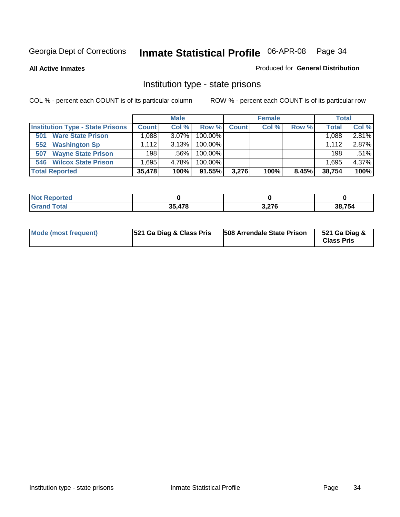**All Active Inmates**

### Produced for **General Distribution**

# Institution type - state prisons

|                                         |              | <b>Male</b> |            |              | <b>Female</b> |       | <b>Total</b> |       |
|-----------------------------------------|--------------|-------------|------------|--------------|---------------|-------|--------------|-------|
| <b>Institution Type - State Prisons</b> | <b>Count</b> | Col %       | Row %      | <b>Count</b> | Col %         | Row % | <b>Total</b> | Col % |
| <b>Ware State Prison</b><br>501         | .088         | $3.07\%$    | 100.00%    |              |               |       | 1,088        | 2.81% |
| <b>Washington Sp</b><br>552             | 1.112        | 3.13%       | $100.00\%$ |              |               |       | 1.112        | 2.87% |
| <b>Wayne State Prison</b><br>507        | 198          | .56%        | $100.00\%$ |              |               |       | 198          | .51%  |
| <b>Wilcox State Prison</b><br>546       | .695         | 4.78%       | $100.00\%$ |              |               |       | 1,695        | 4.37% |
| <b>Total Reported</b>                   | 35,478       | 100%        | 91.55%     | 3.276        | 100%          | 8.45% | 38,754       | 100%  |

| <b>Not</b><br><b>Reported</b> |        |                  |        |
|-------------------------------|--------|------------------|--------|
| <b>Total</b>                  | 35.478 | 2.27c<br>3.Z I J | 38,754 |

| <b>Mode (most frequent)</b> | <b>521 Ga Diag &amp; Class Pris</b> | <b>508 Arrendale State Prison</b> | 521 Ga Diag &<br><b>Class Pris</b> |
|-----------------------------|-------------------------------------|-----------------------------------|------------------------------------|
|-----------------------------|-------------------------------------|-----------------------------------|------------------------------------|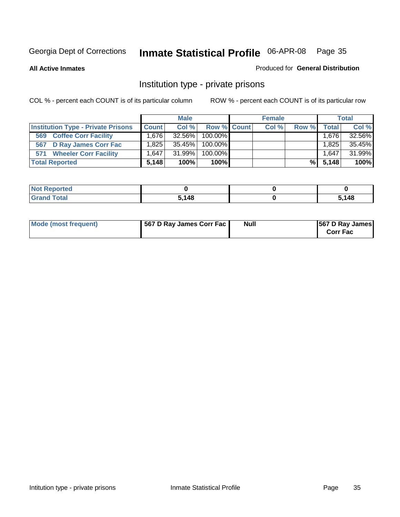### **All Active Inmates**

### Produced for **General Distribution**

# Institution type - private prisons

|                                           |              | <b>Male</b> |             | <b>Female</b> |       |       | <b>Total</b> |
|-------------------------------------------|--------------|-------------|-------------|---------------|-------|-------|--------------|
| <b>Institution Type - Private Prisons</b> | <b>Count</b> | Col %       | Row % Count | Col %         | Row % | Total | Col %        |
| <b>Coffee Corr Facility</b><br>569        | 1.676        | $32.56\%$   | 100.00%     |               |       | 1,676 | 32.56%       |
| 567 D Ray James Corr Fac                  | ا 825. ا     | 35.45%      | 100.00%     |               |       | 1,825 | 35.45%       |
| <b>Wheeler Corr Facility</b><br>571       | 1.647        | 31.99%      | 100.00%     |               |       | 1,647 | 31.99%       |
| <b>Total Reported</b>                     | 5.148        | 100%        | 100%        |               | %I    | 5.148 | 100%         |

| rted<br>NOI                      |       |      |
|----------------------------------|-------|------|
| <b>Total</b><br>$\mathbf{v}$ and | 5.148 | ,148 |

| Mode (most frequent) | 567 D Ray James Corr Fac | <b>Null</b> | <b>567 D Ray James</b><br><b>Corr Fac</b> |
|----------------------|--------------------------|-------------|-------------------------------------------|
|----------------------|--------------------------|-------------|-------------------------------------------|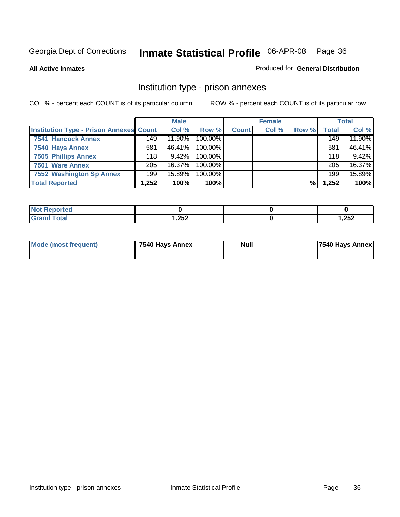### **All Active Inmates**

### Produced for **General Distribution**

# Institution type - prison annexes

|                                                | <b>Male</b> |          | <b>Female</b> |              |       | <b>Total</b> |              |        |
|------------------------------------------------|-------------|----------|---------------|--------------|-------|--------------|--------------|--------|
| <b>Institution Type - Prison Annexes Count</b> |             | Col %    | Row %         | <b>Count</b> | Col % | Row %        | <b>Total</b> | Col %  |
| <b>7541 Hancock Annex</b>                      | 149         | 11.90%   | 100.00%       |              |       |              | 149          | 11.90% |
| 7540 Hays Annex                                | 581         | 46.41%   | $100.00\%$    |              |       |              | 581          | 46.41% |
| <b>7505 Phillips Annex</b>                     | 118         | $9.42\%$ | 100.00%       |              |       |              | 118          | 9.42%  |
| 7501 Ware Annex                                | 205         | 16.37%   | $100.00\%$    |              |       |              | 205          | 16.37% |
| 7552 Washington Sp Annex                       | 199         | 15.89%   | 100.00%       |              |       |              | 199          | 15.89% |
| <b>Total Reported</b>                          | 1,252       | 100%     | 100%          |              |       | %            | 1,252        | 100%   |

| <b>Reported</b>              |      |       |
|------------------------------|------|-------|
| <b>Total</b><br><b>Grand</b> | ,252 | 1,252 |

| Mode (most frequent) | 7540 Hays Annex | <b>Null</b> | <b>7540 Hays Annex</b> |
|----------------------|-----------------|-------------|------------------------|
|                      |                 |             |                        |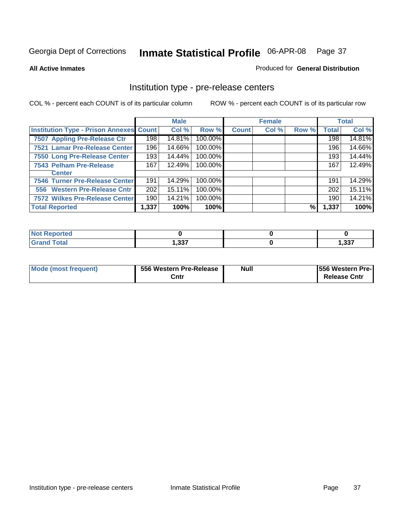#### **All Active Inmates**

## Produced for **General Distribution**

## Institution type - pre-release centers

|                                                |       | <b>Male</b> |         |              | <b>Female</b> |       |              | <b>Total</b> |
|------------------------------------------------|-------|-------------|---------|--------------|---------------|-------|--------------|--------------|
| <b>Institution Type - Prison Annexes Count</b> |       | Col %       | Row %   | <b>Count</b> | Col %         | Row % | <b>Total</b> | Col %        |
| 7507 Appling Pre-Release Ctr                   | 198   | 14.81%      | 100.00% |              |               |       | 198          | 14.81%       |
| 7521 Lamar Pre-Release Center                  | 196   | 14.66%      | 100.00% |              |               |       | 196          | 14.66%       |
| 7550 Long Pre-Release Center                   | 193   | 14.44%      | 100.00% |              |               |       | 193          | 14.44%       |
| 7543 Pelham Pre-Release                        | 167   | 12.49%      | 100.00% |              |               |       | 167          | 12.49%       |
| <b>Center</b>                                  |       |             |         |              |               |       |              |              |
| 7546 Turner Pre-Release Center                 | 191   | 14.29%      | 100.00% |              |               |       | 191          | 14.29%       |
| 556 Western Pre-Release Cntr                   | 202   | 15.11%      | 100.00% |              |               |       | 202          | 15.11%       |
| 7572 Wilkes Pre-Release Center                 | 190   | 14.21%      | 100.00% |              |               |       | 190          | 14.21%       |
| <b>Total Reported</b>                          | 1,337 | 100%        | 100%    |              |               | %     | 1,337        | 100%         |

| eported<br>NOT |                 |       |
|----------------|-----------------|-------|
| <b>Total</b>   | ????<br>י ככ, י | 1,337 |

| Mode (most frequent) | 556 Western Pre-Release | <b>Null</b> | <b>1556 Western Pre-I</b> |
|----------------------|-------------------------|-------------|---------------------------|
|                      | Cntr                    |             | <b>Release Cntr</b>       |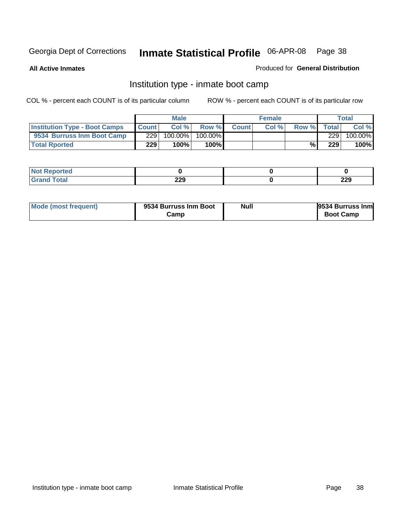**All Active Inmates**

## Produced for **General Distribution**

## Institution type - inmate boot camp

|                                      |              | <b>Male</b> |               |              | <b>Female</b> |       |       | Total   |
|--------------------------------------|--------------|-------------|---------------|--------------|---------------|-------|-------|---------|
| <b>Institution Type - Boot Camps</b> | <b>Count</b> | Col %       | Row %         | <b>Count</b> | Col%          | Row % | Total | Col %   |
| 9534 Burruss Inm Boot Camp           | 229          | 100.00%     | 100.00%       |              |               |       | 229   | 100.00% |
| <b>Total Rported</b>                 | 229          | 100%        | 100% <b>I</b> |              |               | %     | 229   | 100%    |

| rtea<br>.   |            |            |
|-------------|------------|------------|
| <b>otal</b> | つつロ<br>LLJ | າາດ<br>ZZY |

| Mode (most frequent) | 9534 Burruss Inm Boot | <b>Null</b> | 9534 Burruss Inm |
|----------------------|-----------------------|-------------|------------------|
|                      | Camp                  |             | <b>Boot Camp</b> |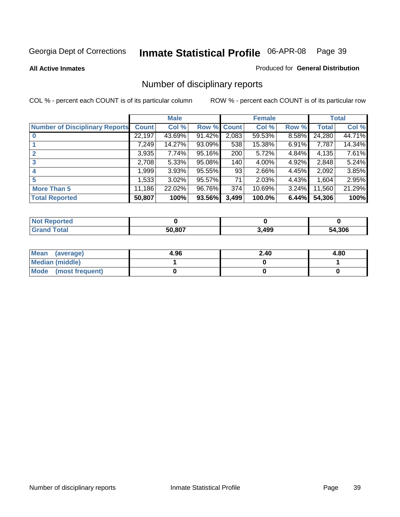#### **All Active Inmates**

#### Produced for **General Distribution**

# Number of disciplinary reports

|                                       |              | <b>Male</b> |        |              | <b>Female</b> |          |              | <b>Total</b> |
|---------------------------------------|--------------|-------------|--------|--------------|---------------|----------|--------------|--------------|
| <b>Number of Disciplinary Reports</b> | <b>Count</b> | Col %       | Row %  | <b>Count</b> | Col %         | Row %    | <b>Total</b> | Col %        |
|                                       | 22,197       | 43.69%      | 91.42% | 2,083        | 59.53%        | 8.58%    | 24,280       | 44.71%       |
|                                       | 7,249        | 14.27%      | 93.09% | 538          | 15.38%        | $6.91\%$ | 7,787        | 14.34%       |
| $\mathbf{2}$                          | 3,935        | 7.74%       | 95.16% | 200          | 5.72%         | 4.84%    | 4,135        | 7.61%        |
| 3                                     | 2,708        | 5.33%       | 95.08% | 140          | 4.00%         | 4.92%    | 2,848        | 5.24%        |
|                                       | .999         | 3.93%       | 95.55% | 93           | 2.66%         | 4.45%    | 2,092        | 3.85%        |
| 5                                     | ,533         | $3.02\%$    | 95.57% | 71           | 2.03%         | 4.43%    | 1,604        | 2.95%        |
| <b>More Than 5</b>                    | 11,186       | 22.02%      | 96.76% | 374          | 10.69%        | $3.24\%$ | 11,560       | 21.29%       |
| <b>Total Reported</b>                 | 50,807       | 100%        | 93.56% | 3,499        | 100.0%        | 6.44%    | 54,306       | 100%         |

| $\sim$ 10<br>_____ | 50.807 | ,499 | .306<br>מר |
|--------------------|--------|------|------------|

| Mean (average)       | 4.96 | 2.40 | 4.80 |
|----------------------|------|------|------|
| Median (middle)      |      |      |      |
| Mode (most frequent) |      |      |      |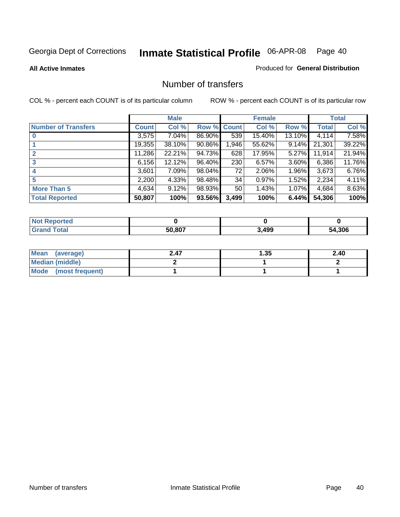**All Active Inmates**

## Produced for **General Distribution**

## Number of transfers

|                            |         | <b>Male</b> |             |       | <b>Female</b> |          |              | <b>Total</b> |
|----------------------------|---------|-------------|-------------|-------|---------------|----------|--------------|--------------|
| <b>Number of Transfers</b> | Count l | Col %       | Row % Count |       | Col %         | Row %    | <b>Total</b> | Col %        |
|                            | 3,575   | $7.04\%$    | 86.90%      | 539   | 15.40%        | 13.10%   | 4,114        | 7.58%        |
|                            | 19,355  | $38.10\%$   | 90.86%      | 1,946 | 55.62%        | $9.14\%$ | 21,301       | 39.22%       |
|                            | 11,286  | 22.21%      | 94.73%      | 628   | 17.95%        | 5.27%    | 11,914       | 21.94%       |
| 3                          | 6,156   | 12.12%      | 96.40%      | 230   | 6.57%         | 3.60%    | 6,386        | 11.76%       |
|                            | 3.601   | 7.09%       | 98.04%      | 72    | 2.06%         | $1.96\%$ | 3,673        | 6.76%        |
| 5                          | 2,200   | 4.33%       | 98.48%      | 34    | 0.97%         | 1.52%    | 2,234        | 4.11%        |
| <b>More Than 5</b>         | 4,634   | 9.12%       | 98.93%      | 50    | 1.43%         | 1.07%    | 4,684        | 8.63%        |
| <b>Total Reported</b>      | 50,807  | 100%        | 93.56%      | 3,499 | 100%          | 6.44%    | 54,306       | 100%         |

| $\sim$ 10<br>_____ | 50.807 | ,499 | .306<br>מר |
|--------------------|--------|------|------------|

| Mean (average)       | 2.47 | l.35 | 2.40 |
|----------------------|------|------|------|
| Median (middle)      |      |      |      |
| Mode (most frequent) |      |      |      |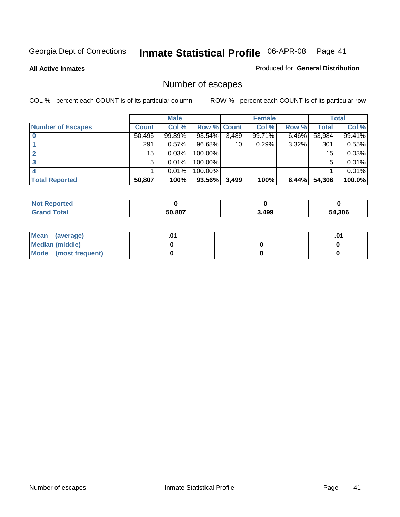**All Active Inmates**

## Produced for **General Distribution**

# Number of escapes

|                          |         | <b>Male</b> |                    |       | <b>Female</b> |       |        | <b>Total</b> |
|--------------------------|---------|-------------|--------------------|-------|---------------|-------|--------|--------------|
| <b>Number of Escapes</b> | Count l | Col %       | <b>Row % Count</b> |       | Col %         | Row % | Total  | Col %        |
|                          | 50,495  | 99.39%      | 93.54%             | 3,489 | 99.71%        | 6.46% | 53,984 | 99.41%       |
|                          | 291     | 0.57%       | 96.68%             | 10    | 0.29%         | 3.32% | 301    | 0.55%        |
|                          | 15      | 0.03%       | 100.00%            |       |               |       | 15     | 0.03%        |
|                          | 5.      | 0.01%       | 100.00%            |       |               |       | 5      | 0.01%        |
|                          |         | 0.01%       | 100.00%            |       |               |       |        | 0.01%        |
| <b>Total Reported</b>    | 50,807  | 100%        | 93.56%             | 3,499 | 100%          | 6.44% | 54,306 | 100.0%       |

| тео      |        |       |       |
|----------|--------|-------|-------|
| $T0$ tol | 50.807 | 3.499 | 1,306 |

| <b>Mean</b><br>(average) |  | .0 |
|--------------------------|--|----|
| Median (middle)          |  |    |
| Mode (most frequent)     |  |    |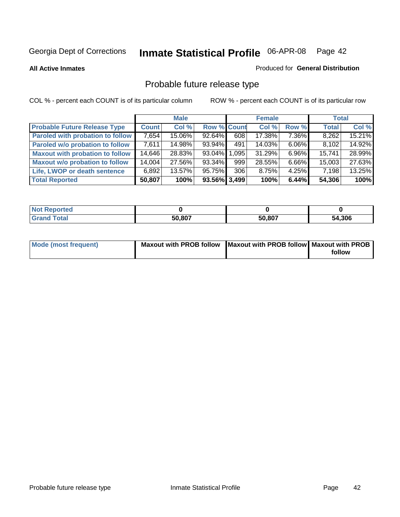**All Active Inmates**

#### Produced for **General Distribution**

# Probable future release type

|                                         |              | <b>Male</b> |                    |       | <b>Female</b> |          | <b>Total</b> |        |
|-----------------------------------------|--------------|-------------|--------------------|-------|---------------|----------|--------------|--------|
| <b>Probable Future Release Type</b>     | <b>Count</b> | Col %       | <b>Row % Count</b> |       | Col %         | Row %    | <b>Total</b> | Col %  |
| <b>Paroled with probation to follow</b> | 7,654        | 15.06%      | $92.64\%$          | 608   | 17.38%        | 7.36%    | 8,262        | 15.21% |
| Paroled w/o probation to follow         | 7,611        | 14.98%      | 93.94%             | 491   | 14.03%        | $6.06\%$ | 8,102        | 14.92% |
| <b>Maxout with probation to follow</b>  | 14,646       | 28.83%      | 93.04%             | 1,095 | 31.29%        | $6.96\%$ | 15.741       | 28.99% |
| <b>Maxout w/o probation to follow</b>   | 14,004       | 27.56%      | 93.34%             | 999   | 28.55%        | $6.66\%$ | 15,003       | 27.63% |
| Life, LWOP or death sentence            | 6,892        | 13.57%      | 95.75%             | 306   | 8.75%         | $4.25\%$ | 7,198        | 13.25% |
| <b>Total Reported</b>                   | 50,807       | 100%        | 93.56% 3,499       |       | 100%          | 6.44%    | 54,306       | 100%   |

| <b>Not</b><br>Reported |        |        |        |
|------------------------|--------|--------|--------|
| Total<br><b>Grand</b>  | 50,807 | 50,807 | 54,306 |

| Mode (most frequent) | Maxout with PROB follow   Maxout with PROB follow   Maxout with PROB |        |
|----------------------|----------------------------------------------------------------------|--------|
|                      |                                                                      | follow |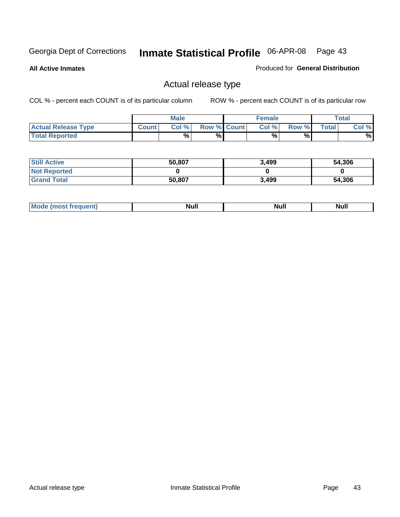**All Active Inmates**

## Produced for **General Distribution**

## Actual release type

|                            |              | <b>Male</b> |                    | <b>Female</b> |        |       | $\tau$ otal |
|----------------------------|--------------|-------------|--------------------|---------------|--------|-------|-------------|
| <b>Actual Release Type</b> | <b>Count</b> | Col %       | <b>Row % Count</b> | Col %         | Row %I | Total | Col %       |
| <b>Total Reported</b>      |              | $\%$        | %                  | %             | %      |       | %           |

| <b>Still Active</b> | 50,807 | 3,499 | 54,306 |
|---------------------|--------|-------|--------|
| <b>Not Reported</b> |        |       |        |
| <b>Grand Total</b>  | 50,807 | 3,499 | 54,306 |

| M<br>____<br>_____ | NI | Null | $\cdots$ |
|--------------------|----|------|----------|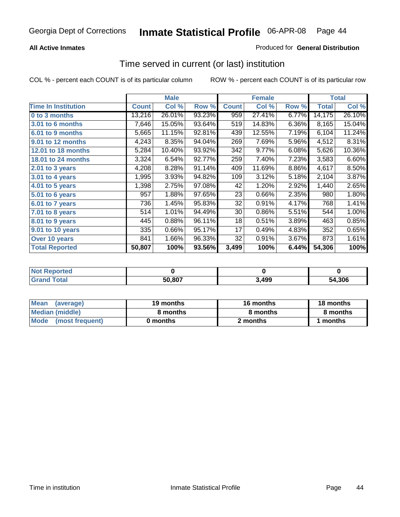## **All Active Inmates**

## Produced for **General Distribution**

## Time served in current (or last) institution

|                            |              | <b>Male</b> |        |              | <b>Female</b> |       |        | <b>Total</b> |
|----------------------------|--------------|-------------|--------|--------------|---------------|-------|--------|--------------|
| <b>Time In Institution</b> | <b>Count</b> | Col %       | Row %  | <b>Count</b> | Col %         | Row % | Total  | Col %        |
| 0 to 3 months              | 13,216       | 26.01%      | 93.23% | 959          | 27.41%        | 6.77% | 14,175 | 26.10%       |
| 3.01 to 6 months           | 7,646        | 15.05%      | 93.64% | 519          | 14.83%        | 6.36% | 8,165  | 15.04%       |
| 6.01 to 9 months           | 5,665        | 11.15%      | 92.81% | 439          | 12.55%        | 7.19% | 6,104  | 11.24%       |
| 9.01 to 12 months          | 4,243        | 8.35%       | 94.04% | 269          | 7.69%         | 5.96% | 4,512  | 8.31%        |
| 12.01 to 18 months         | 5,284        | 10.40%      | 93.92% | 342          | 9.77%         | 6.08% | 5,626  | 10.36%       |
| <b>18.01 to 24 months</b>  | 3,324        | 6.54%       | 92.77% | 259          | 7.40%         | 7.23% | 3,583  | 6.60%        |
| 2.01 to 3 years            | 4,208        | 8.28%       | 91.14% | 409          | 11.69%        | 8.86% | 4,617  | 8.50%        |
| 3.01 to 4 years            | 1,995        | 3.93%       | 94.82% | 109          | 3.12%         | 5.18% | 2,104  | 3.87%        |
| 4.01 to 5 years            | 1,398        | 2.75%       | 97.08% | 42           | 1.20%         | 2.92% | 1,440  | 2.65%        |
| 5.01 to 6 years            | 957          | 1.88%       | 97.65% | 23           | 0.66%         | 2.35% | 980    | 1.80%        |
| 6.01 to 7 years            | 736          | 1.45%       | 95.83% | 32           | 0.91%         | 4.17% | 768    | 1.41%        |
| 7.01 to 8 years            | 514          | 1.01%       | 94.49% | 30           | 0.86%         | 5.51% | 544    | 1.00%        |
| 8.01 to 9 years            | 445          | 0.88%       | 96.11% | 18           | 0.51%         | 3.89% | 463    | 0.85%        |
| 9.01 to 10 years           | 335          | 0.66%       | 95.17% | 17           | 0.49%         | 4.83% | 352    | 0.65%        |
| Over 10 years              | 841          | 1.66%       | 96.33% | 32           | 0.91%         | 3.67% | 873    | 1.61%        |
| <b>Total Reported</b>      | 50,807       | 100%        | 93.56% | 3,499        | 100%          | 6.44% | 54,306 | 100%         |

| <b>nten</b><br>N |        |       |            |
|------------------|--------|-------|------------|
|                  | 50.807 | 3.499 | .306<br>54 |

| <b>Mean</b><br>(average) | 19 months | 16 months | 18 months |  |
|--------------------------|-----------|-----------|-----------|--|
| Median (middle)          | 8 months  | 8 months  | 8 months  |  |
| Mode<br>(most frequent)  | 0 months  | 2 months  | months    |  |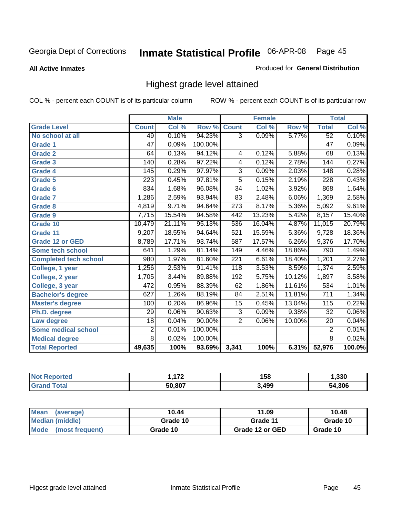**All Active Inmates**

#### Produced for **General Distribution**

## Highest grade level attained

|                              |                  | <b>Male</b> |         |                  | <b>Female</b>             |        |                  | <b>Total</b> |
|------------------------------|------------------|-------------|---------|------------------|---------------------------|--------|------------------|--------------|
| <b>Grade Level</b>           | <b>Count</b>     | Col %       | Row %   | <b>Count</b>     | $\overline{\text{Col}}$ % | Row %  | <b>Total</b>     | Col %        |
| No school at all             | 49               | 0.10%       | 94.23%  | $\overline{3}$   | 0.09%                     | 5.77%  | $\overline{52}$  | 0.10%        |
| <b>Grade 1</b>               | 47               | 0.09%       | 100.00% |                  |                           |        | $\overline{47}$  | 0.09%        |
| <b>Grade 2</b>               | 64               | 0.13%       | 94.12%  | 4                | 0.12%                     | 5.88%  | 68               | 0.13%        |
| Grade 3                      | 140              | 0.28%       | 97.22%  | 4                | 0.12%                     | 2.78%  | 144              | 0.27%        |
| <b>Grade 4</b>               | 145              | 0.29%       | 97.97%  | $\overline{3}$   | 0.09%                     | 2.03%  | 148              | 0.28%        |
| <b>Grade 5</b>               | $\overline{223}$ | 0.45%       | 97.81%  | $\overline{5}$   | 0.15%                     | 2.19%  | 228              | 0.43%        |
| Grade 6                      | 834              | 1.68%       | 96.08%  | $\overline{34}$  | 1.02%                     | 3.92%  | 868              | 1.64%        |
| <b>Grade 7</b>               | 1,286            | 2.59%       | 93.94%  | 83               | 2.48%                     | 6.06%  | 1,369            | 2.58%        |
| <b>Grade 8</b>               | 4,819            | 9.71%       | 94.64%  | $\overline{273}$ | 8.17%                     | 5.36%  | 5,092            | 9.61%        |
| Grade 9                      | 7,715            | 15.54%      | 94.58%  | 442              | 13.23%                    | 5.42%  | 8,157            | 15.40%       |
| Grade 10                     | 10,479           | 21.11%      | 95.13%  | 536              | 16.04%                    | 4.87%  | 11,015           | 20.79%       |
| Grade 11                     | 9,207            | 18.55%      | 94.64%  | 521              | 15.59%                    | 5.36%  | 9,728            | 18.36%       |
| <b>Grade 12 or GED</b>       | 8,789            | 17.71%      | 93.74%  | 587              | 17.57%                    | 6.26%  | 9,376            | 17.70%       |
| <b>Some tech school</b>      | 641              | 1.29%       | 81.14%  | 149              | 4.46%                     | 18.86% | 790              | 1.49%        |
| <b>Completed tech school</b> | 980              | 1.97%       | 81.60%  | 221              | 6.61%                     | 18.40% | 1,201            | 2.27%        |
| College, 1 year              | 1,256            | 2.53%       | 91.41%  | 118              | 3.53%                     | 8.59%  | 1,374            | 2.59%        |
| College, 2 year              | 1,705            | 3.44%       | 89.88%  | 192              | 5.75%                     | 10.12% | 1,897            | 3.58%        |
| College, 3 year              | 472              | 0.95%       | 88.39%  | 62               | 1.86%                     | 11.61% | 534              | 1.01%        |
| <b>Bachelor's degree</b>     | 627              | 1.26%       | 88.19%  | $\overline{84}$  | 2.51%                     | 11.81% | $\overline{711}$ | 1.34%        |
| <b>Master's degree</b>       | 100              | 0.20%       | 86.96%  | 15               | 0.45%                     | 13.04% | 115              | 0.22%        |
| Ph.D. degree                 | 29               | 0.06%       | 90.63%  | 3                | 0.09%                     | 9.38%  | 32               | $0.06\%$     |
| Law degree                   | $\overline{18}$  | 0.04%       | 90.00%  | $\overline{2}$   | 0.06%                     | 10.00% | 20               | 0.04%        |
| Some medical school          | $\overline{2}$   | 0.01%       | 100.00% |                  |                           |        | $\overline{2}$   | 0.01%        |
| <b>Medical degree</b>        | $\overline{8}$   | 0.02%       | 100.00% |                  |                           |        | $\overline{8}$   | 0.02%        |
| <b>Total Reported</b>        | 49,635           | 100%        | 93.69%  | 3,341            | 100%                      | 6.31%  | 52,976           | 100.0%       |

| $1 - 0$<br>. <b>. .</b> | 158   | 1,330 |
|-------------------------|-------|-------|
| <b>EN ONT</b>           | 499.ء | 4.306 |

| <b>Mean</b><br>(average)       | 10.44    | 11.09           | 10.48    |
|--------------------------------|----------|-----------------|----------|
| Median (middle)                | Grade 10 | Grade 11        | Grade 10 |
| <b>Mode</b><br>(most frequent) | Grade 10 | Grade 12 or GED | Grade 10 |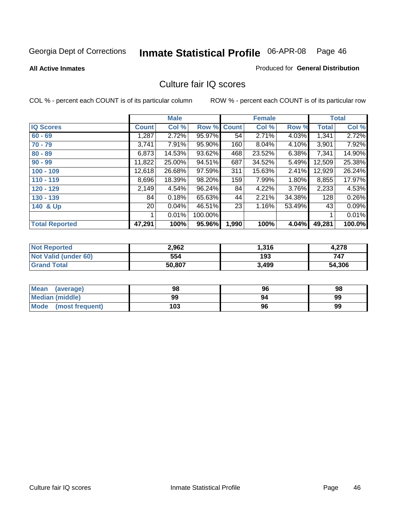#### **All Active Inmates**

## Produced for **General Distribution**

## Culture fair IQ scores

|                       |                 | <b>Male</b> |         |              | <b>Female</b> |        |              | <b>Total</b> |
|-----------------------|-----------------|-------------|---------|--------------|---------------|--------|--------------|--------------|
| <b>IQ Scores</b>      | <b>Count</b>    | Col %       | Row %   | <b>Count</b> | Col %         | Row %  | <b>Total</b> | Col %        |
| $60 - 69$             | ,287            | 2.72%       | 95.97%  | 54           | 2.71%         | 4.03%  | 1,341        | 2.72%        |
| $70 - 79$             | 3,741           | 7.91%       | 95.90%  | 160          | 8.04%         | 4.10%  | 3,901        | 7.92%        |
| $80 - 89$             | 6,873           | 14.53%      | 93.62%  | 468          | 23.52%        | 6.38%  | 7,341        | 14.90%       |
| $90 - 99$             | 11,822          | 25.00%      | 94.51%  | 687          | 34.52%        | 5.49%  | 12,509       | 25.38%       |
| $100 - 109$           | 12,618          | 26.68%      | 97.59%  | 311          | 15.63%        | 2.41%  | 12,929       | 26.24%       |
| $110 - 119$           | 8,696           | 18.39%      | 98.20%  | 159          | 7.99%         | 1.80%  | 8,855        | 17.97%       |
| 120 - 129             | 2,149           | 4.54%       | 96.24%  | 84           | 4.22%         | 3.76%  | 2,233        | 4.53%        |
| 130 - 139             | 84              | 0.18%       | 65.63%  | 44           | 2.21%         | 34.38% | 128          | 0.26%        |
| 140 & Up              | 20 <sub>1</sub> | 0.04%       | 46.51%  | 23           | 1.16%         | 53.49% | 43           | 0.09%        |
|                       |                 | 0.01%       | 100.00% |              |               |        | 1            | 0.01%        |
| <b>Total Reported</b> | 47,291          | 100%        | 95.96%  | 1,990        | 100%          | 4.04%  | 49,281       | 100.0%       |

| <b>Not Reported</b>  | 2,962  | 316, ا | 4.278  |
|----------------------|--------|--------|--------|
| Not Valid (under 60) | 554    | 193    | 747    |
| <b>Grand Total</b>   | 50,807 | 3,499  | 54,306 |

| Mean<br>(average)       | 98  | 96 | 98 |
|-------------------------|-----|----|----|
| <b>Median (middle)</b>  | 99  | 94 | 99 |
| Mode<br>(most frequent) | 103 | 96 | 99 |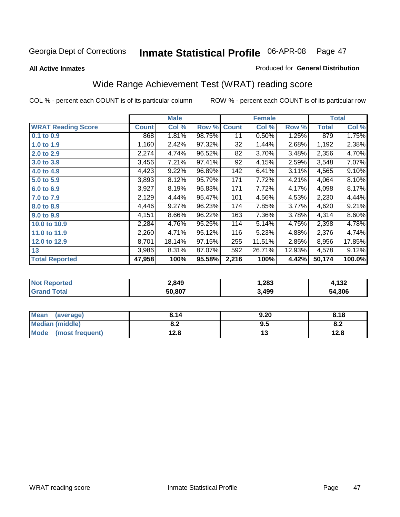Produced for **General Distribution**

#### **All Active Inmates**

# Wide Range Achievement Test (WRAT) reading score

|                           |              | <b>Male</b> |        |              | <b>Female</b> |        |              | <b>Total</b> |
|---------------------------|--------------|-------------|--------|--------------|---------------|--------|--------------|--------------|
| <b>WRAT Reading Score</b> | <b>Count</b> | Col %       | Row %  | <b>Count</b> | Col %         | Row %  | <b>Total</b> | Col %        |
| 0.1 to 0.9                | 868          | 1.81%       | 98.75% | 11           | 0.50%         | 1.25%  | 879          | 1.75%        |
| 1.0 to 1.9                | 1,160        | 2.42%       | 97.32% | 32           | 1.44%         | 2.68%  | 1,192        | 2.38%        |
| 2.0 to 2.9                | 2,274        | 4.74%       | 96.52% | 82           | 3.70%         | 3.48%  | 2,356        | 4.70%        |
| 3.0 to 3.9                | 3,456        | 7.21%       | 97.41% | 92           | 4.15%         | 2.59%  | 3,548        | 7.07%        |
| 4.0 to 4.9                | 4,423        | 9.22%       | 96.89% | 142          | 6.41%         | 3.11%  | 4,565        | 9.10%        |
| 5.0 to 5.9                | 3,893        | 8.12%       | 95.79% | 171          | 7.72%         | 4.21%  | 4,064        | 8.10%        |
| 6.0 to 6.9                | 3,927        | 8.19%       | 95.83% | 171          | 7.72%         | 4.17%  | 4,098        | 8.17%        |
| 7.0 to 7.9                | 2,129        | 4.44%       | 95.47% | 101          | 4.56%         | 4.53%  | 2,230        | 4.44%        |
| 8.0 to 8.9                | 4,446        | 9.27%       | 96.23% | 174          | 7.85%         | 3.77%  | 4,620        | 9.21%        |
| 9.0 to 9.9                | 4,151        | 8.66%       | 96.22% | 163          | 7.36%         | 3.78%  | 4,314        | 8.60%        |
| 10.0 to 10.9              | 2,284        | 4.76%       | 95.25% | 114          | 5.14%         | 4.75%  | 2,398        | 4.78%        |
| 11.0 to 11.9              | 2,260        | 4.71%       | 95.12% | 116          | 5.23%         | 4.88%  | 2,376        | 4.74%        |
| 12.0 to 12.9              | 8,701        | 18.14%      | 97.15% | 255          | 11.51%        | 2.85%  | 8,956        | 17.85%       |
| 13                        | 3,986        | 8.31%       | 87.07% | 592          | 26.71%        | 12.93% | 4,578        | 9.12%        |
| <b>Total Reported</b>     | 47,958       | 100%        | 95.58% | 2,216        | 100%          | 4.42%  | 50,174       | 100.0%       |

| 2.849  | 283, ا | 122<br>1JZ  |
|--------|--------|-------------|
| 50.807 | 3.499  | .306<br>'nД |

| <b>Mean</b><br>(average)       | 8.14       | 9.20 | 8.18 |
|--------------------------------|------------|------|------|
| <b>Median (middle)</b>         | י ה<br>0.Z | 9.5  | o.z  |
| <b>Mode</b><br>(most frequent) | 12.8       | . .  | 12.8 |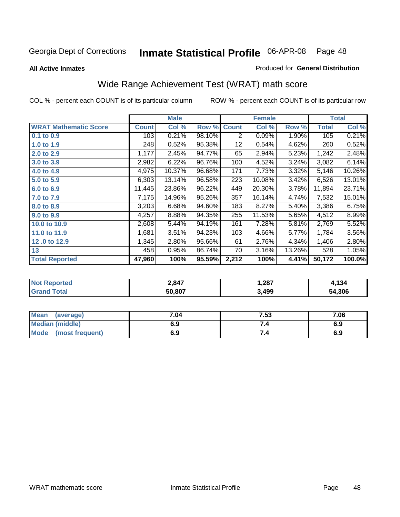**All Active Inmates**

## Produced for **General Distribution**

# Wide Range Achievement Test (WRAT) math score

|                              |              | <b>Male</b> |        |              | <b>Female</b> |        |              | <b>Total</b> |
|------------------------------|--------------|-------------|--------|--------------|---------------|--------|--------------|--------------|
| <b>WRAT Mathematic Score</b> | <b>Count</b> | Col %       | Row %  | <b>Count</b> | Col %         | Row %  | <b>Total</b> | Col %        |
| $0.1$ to 0.9                 | 103          | 0.21%       | 98.10% | 2            | 0.09%         | 1.90%  | 105          | 0.21%        |
| 1.0 to 1.9                   | 248          | 0.52%       | 95.38% | 12           | 0.54%         | 4.62%  | 260          | 0.52%        |
| 2.0 to 2.9                   | 1,177        | 2.45%       | 94.77% | 65           | 2.94%         | 5.23%  | 1,242        | 2.48%        |
| 3.0 to 3.9                   | 2,982        | 6.22%       | 96.76% | 100          | 4.52%         | 3.24%  | 3,082        | 6.14%        |
| 4.0 to 4.9                   | 4,975        | 10.37%      | 96.68% | 171          | 7.73%         | 3.32%  | 5,146        | 10.26%       |
| 5.0 to 5.9                   | 6,303        | 13.14%      | 96.58% | 223          | 10.08%        | 3.42%  | 6,526        | 13.01%       |
| 6.0 to 6.9                   | 11,445       | 23.86%      | 96.22% | 449          | 20.30%        | 3.78%  | 11,894       | 23.71%       |
| 7.0 to 7.9                   | 7,175        | 14.96%      | 95.26% | 357          | 16.14%        | 4.74%  | 7,532        | 15.01%       |
| 8.0 to 8.9                   | 3,203        | 6.68%       | 94.60% | 183          | 8.27%         | 5.40%  | 3,386        | 6.75%        |
| 9.0 to 9.9                   | 4,257        | 8.88%       | 94.35% | 255          | 11.53%        | 5.65%  | 4,512        | 8.99%        |
| 10.0 to 10.9                 | 2,608        | 5.44%       | 94.19% | 161          | 7.28%         | 5.81%  | 2,769        | 5.52%        |
| 11.0 to 11.9                 | 1,681        | 3.51%       | 94.23% | 103          | 4.66%         | 5.77%  | 1,784        | 3.56%        |
| 12.0 to 12.9                 | 1,345        | 2.80%       | 95.66% | 61           | 2.76%         | 4.34%  | 1,406        | 2.80%        |
| 13                           | 458          | 0.95%       | 86.74% | 70           | 3.16%         | 13.26% | 528          | 1.05%        |
| <b>Total Reported</b>        | 47,960       | 100%        | 95.59% | 2,212        | 100%          | 4.41%  | 50,172       | 100.0%       |

| 2,847  | 1,287 | 134         |
|--------|-------|-------------|
| 50.807 | ,499  | .306<br>54. |

| <b>Mean</b><br>(average) | 7.04 | 7.53 | 7.06 |
|--------------------------|------|------|------|
| <b>Median (middle)</b>   | 6.9  |      | 6.9  |
| Mode<br>(most frequent)  | 6.9  | 7.4  | 6.9  |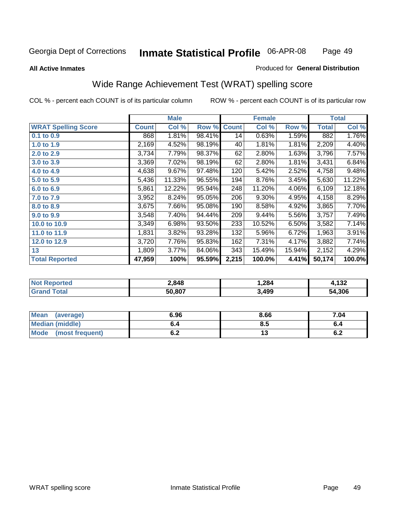Page 49

#### **All Active Inmates**

#### Produced for **General Distribution**

## Wide Range Achievement Test (WRAT) spelling score

|                            |              | <b>Male</b> |        |              | <b>Female</b> |        |              | <b>Total</b> |
|----------------------------|--------------|-------------|--------|--------------|---------------|--------|--------------|--------------|
| <b>WRAT Spelling Score</b> | <b>Count</b> | Col %       | Row %  | <b>Count</b> | Col %         | Row %  | <b>Total</b> | Col %        |
| $0.1$ to $0.9$             | 868          | 1.81%       | 98.41% | 14           | 0.63%         | 1.59%  | 882          | 1.76%        |
| 1.0 to 1.9                 | 2,169        | 4.52%       | 98.19% | 40           | 1.81%         | 1.81%  | 2,209        | 4.40%        |
| 2.0 to 2.9                 | 3,734        | 7.79%       | 98.37% | 62           | 2.80%         | 1.63%  | 3,796        | 7.57%        |
| 3.0 to 3.9                 | 3,369        | 7.02%       | 98.19% | 62           | 2.80%         | 1.81%  | 3,431        | 6.84%        |
| 4.0 to 4.9                 | 4,638        | 9.67%       | 97.48% | 120          | 5.42%         | 2.52%  | 4,758        | 9.48%        |
| 5.0 to 5.9                 | 5,436        | 11.33%      | 96.55% | 194          | 8.76%         | 3.45%  | 5,630        | 11.22%       |
| 6.0 to 6.9                 | 5,861        | 12.22%      | 95.94% | 248          | 11.20%        | 4.06%  | 6,109        | 12.18%       |
| 7.0 to 7.9                 | 3,952        | 8.24%       | 95.05% | 206          | 9.30%         | 4.95%  | 4,158        | 8.29%        |
| 8.0 to 8.9                 | 3,675        | 7.66%       | 95.08% | 190          | 8.58%         | 4.92%  | 3,865        | 7.70%        |
| 9.0 to 9.9                 | 3,548        | 7.40%       | 94.44% | 209          | 9.44%         | 5.56%  | 3,757        | 7.49%        |
| 10.0 to 10.9               | 3,349        | 6.98%       | 93.50% | 233          | 10.52%        | 6.50%  | 3,582        | 7.14%        |
| 11.0 to 11.9               | 1,831        | 3.82%       | 93.28% | 132          | 5.96%         | 6.72%  | 1,963        | 3.91%        |
| 12.0 to 12.9               | 3,720        | 7.76%       | 95.83% | 162          | 7.31%         | 4.17%  | 3,882        | 7.74%        |
| 13                         | 1,809        | 3.77%       | 84.06% | 343          | 15.49%        | 15.94% | 2,152        | 4.29%        |
| <b>Total Reported</b>      | 47,959       | 100%        | 95.59% | 2,215        | 100.0%        | 4.41%  | 50,174       | 100.0%       |

| 2,848  | 284, ا | $\overline{100}$<br>194 |
|--------|--------|-------------------------|
| 50.807 | .499   | .306<br>54              |

| <b>Mean</b><br>(average)       | 6.96               | 8.66 | 7.04 |
|--------------------------------|--------------------|------|------|
| <b>Median (middle)</b>         | o.4                | 8.5  |      |
| <b>Mode</b><br>(most frequent) | . .<br>$v_{\cdot}$ |      | ν.Ζ  |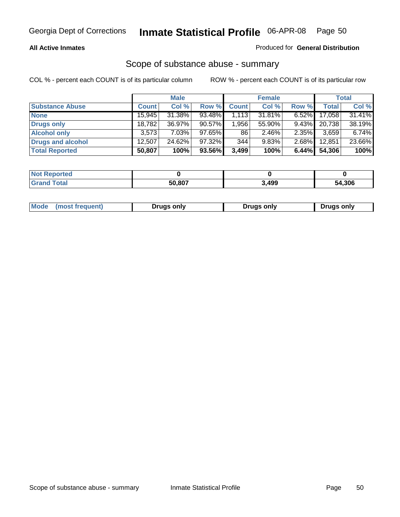#### **All Active Inmates**

## Produced for **General Distribution**

## Scope of substance abuse - summary

|                        |              | <b>Male</b> |        |              | <b>Female</b> |          |              | <b>Total</b> |
|------------------------|--------------|-------------|--------|--------------|---------------|----------|--------------|--------------|
| <b>Substance Abuse</b> | <b>Count</b> | Col %       | Row %  | <b>Count</b> | Col %         | Row %    | <b>Total</b> | Col %        |
| <b>None</b>            | 15,945       | 31.38%      | 93.48% | 1,113        | 31.81%        | $6.52\%$ | 17,058       | 31.41%       |
| <b>Drugs only</b>      | 18,782       | 36.97%      | 90.57% | 1,956        | 55.90%        | $9.43\%$ | 20.738       | 38.19%       |
| <b>Alcohol only</b>    | 3.573        | $7.03\%$    | 97.65% | 86           | $2.46\%$      | $2.35\%$ | 3,659        | 6.74%        |
| Drugs and alcohol      | 12.507       | 24.62%      | 97.32% | 344          | 9.83%         | $2.68\%$ | 12,851       | 23.66%       |
| <b>Total Reported</b>  | 50,807       | 100%        | 93.56% | 3,499        | 100%          | 6.44%    | 54,306       | 100%         |

| <b>Not</b><br><b>rted</b><br>kepol |        |       |        |
|------------------------------------|--------|-------|--------|
| <b>Total</b><br><b>Grand</b>       | 50.807 | 3,499 | 54,306 |

|  | Mode<br>(most frequent) | Drugs only | <b>Drugs only</b> | <b>Drugs only</b> |
|--|-------------------------|------------|-------------------|-------------------|
|--|-------------------------|------------|-------------------|-------------------|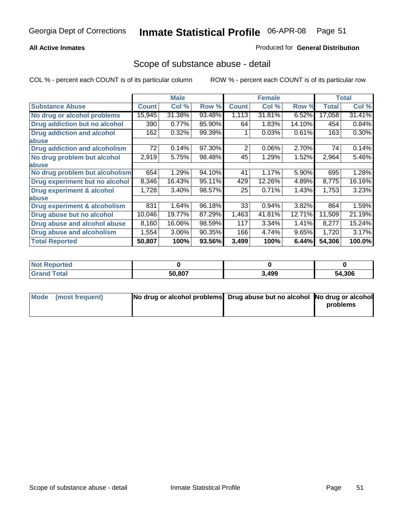## **All Active Inmates**

### Produced for **General Distribution**

## Scope of substance abuse - detail

|                                      |              | <b>Male</b> |        |              | <b>Female</b> |        |              | Total    |
|--------------------------------------|--------------|-------------|--------|--------------|---------------|--------|--------------|----------|
| <b>Substance Abuse</b>               | <b>Count</b> | Col %       | Row %  | <b>Count</b> | Col %         | Row %  | <b>Total</b> | Col %    |
| No drug or alcohol problems          | 15,945       | 31.38%      | 93.48% | 1,113        | 31.81%        | 6.52%  | 17,058       | 31.41%   |
| Drug addiction but no alcohol        | 390          | $0.77\%$    | 85.90% | 64           | 1.83%         | 14.10% | 454          | 0.84%    |
| <b>Drug addiction and alcohol</b>    | 162          | 0.32%       | 99.39% |              | 0.03%         | 0.61%  | 163          | $0.30\%$ |
| <b>labuse</b>                        |              |             |        |              |               |        |              |          |
| <b>Drug addiction and alcoholism</b> | 72           | 0.14%       | 97.30% | 2            | 0.06%         | 2.70%  | 74           | 0.14%    |
| No drug problem but alcohol          | 2,919        | 5.75%       | 98.48% | 45           | 1.29%         | 1.52%  | 2,964        | 5.46%    |
| <b>labuse</b>                        |              |             |        |              |               |        |              |          |
| No drug problem but alcoholism       | 654          | 1.29%       | 94.10% | 41           | 1.17%         | 5.90%  | 695          | 1.28%    |
| Drug experiment but no alcohol       | 8,346        | 16.43%      | 95.11% | 429          | 12.26%        | 4.89%  | 8,775        | 16.16%   |
| <b>Drug experiment &amp; alcohol</b> | 1,728        | 3.40%       | 98.57% | 25           | 0.71%         | 1.43%  | 1,753        | 3.23%    |
| <b>labuse</b>                        |              |             |        |              |               |        |              |          |
| Drug experiment & alcoholism         | 831          | 1.64%       | 96.18% | 33           | 0.94%         | 3.82%  | 864          | 1.59%    |
| Drug abuse but no alcohol            | 10,046       | 19.77%      | 87.29% | 1,463        | 41.81%        | 12.71% | 11,509       | 21.19%   |
| Drug abuse and alcohol abuse         | 8,160        | 16.06%      | 98.59% | 117          | 3.34%         | 1.41%  | 8,277        | 15.24%   |
| Drug abuse and alcoholism            | 1,554        | 3.06%       | 90.35% | 166          | 4.74%         | 9.65%  | 1,720        | 3.17%    |
| <b>Total Reported</b>                | 50,807       | 100%        | 93.56% | 3,499        | 100%          | 6.44%  | 54,306       | 100.0%   |

| : Reported<br><b>NOT</b> |        |       |        |
|--------------------------|--------|-------|--------|
| <b>cotal</b>             | 50.807 | 3,499 | 54.306 |

| Mode (most frequent) | No drug or alcohol problems Drug abuse but no alcohol No drug or alcohol |          |
|----------------------|--------------------------------------------------------------------------|----------|
|                      |                                                                          | problems |
|                      |                                                                          |          |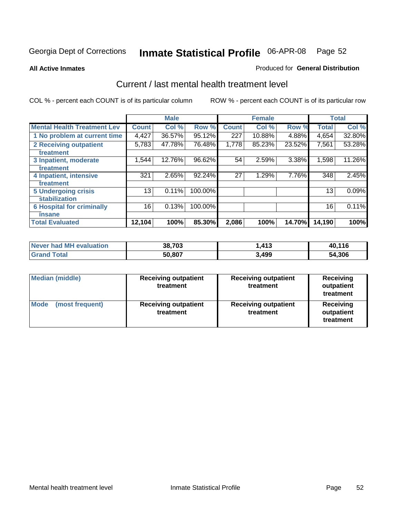#### **All Active Inmates**

#### Produced for **General Distribution**

## Current / last mental health treatment level

|                                    |                 | <b>Male</b> |         |              | <b>Female</b> |               |              | <b>Total</b> |
|------------------------------------|-----------------|-------------|---------|--------------|---------------|---------------|--------------|--------------|
| <b>Mental Health Treatment Lev</b> | <b>Count</b>    | Col%        | Row %   | <b>Count</b> | Col %         | Row %         | <b>Total</b> | Col %        |
| 1 No problem at current time       | 4,427           | 36.57%      | 95.12%  | 227          | 10.88%        | 4.88%         | 4,654        | 32.80%       |
| <b>2 Receiving outpatient</b>      | 5,783           | 47.78%      | 76.48%  | 1,778        | 85.23%        | 23.52%        | 7,561        | 53.28%       |
| treatment                          |                 |             |         |              |               |               |              |              |
| 3 Inpatient, moderate              | 1,544           | 12.76%      | 96.62%  | 54           | 2.59%         | 3.38%         | 1,598        | 11.26%       |
| treatment                          |                 |             |         |              |               |               |              |              |
| 4 Inpatient, intensive             | 321             | 2.65%       | 92.24%  | 27           | 1.29%         | 7.76%         | 348          | 2.45%        |
| treatment                          |                 |             |         |              |               |               |              |              |
| <b>5 Undergoing crisis</b>         | 13 <sub>1</sub> | $0.11\%$    | 100.00% |              |               |               | 13           | 0.09%        |
| stabilization                      |                 |             |         |              |               |               |              |              |
| <b>6 Hospital for criminally</b>   | 16              | 0.13%       | 100.00% |              |               |               | 16           | 0.11%        |
| insane                             |                 |             |         |              |               |               |              |              |
| <b>Total Evaluated</b>             | 12,104          | 100%        | 85.30%  | 2,086        | 100%          | <b>14.70%</b> | 14,190       | 100%         |

| Never had MH evaluation   | 38,703 | .413  | 40,116 |
|---------------------------|--------|-------|--------|
| <b>Total</b><br>็ Grand ไ | 50,807 | 3,499 | 54,306 |

| Median (middle)         | <b>Receiving outpatient</b><br>treatment | <b>Receiving outpatient</b><br>treatment | <b>Receiving</b><br>outpatient<br>treatment |  |
|-------------------------|------------------------------------------|------------------------------------------|---------------------------------------------|--|
| Mode<br>(most frequent) | <b>Receiving outpatient</b><br>treatment | <b>Receiving outpatient</b><br>treatment | <b>Receiving</b><br>outpatient<br>treatment |  |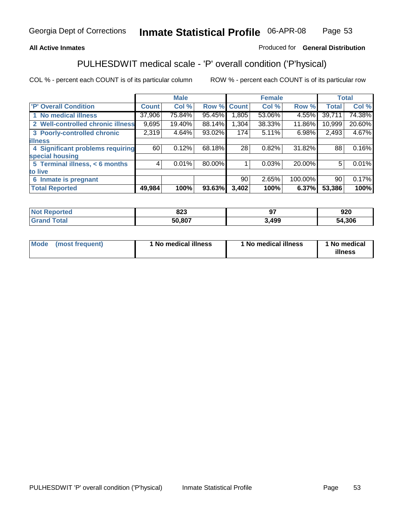## **All Active Inmates**

## Produced for **General Distribution**

## PULHESDWIT medical scale - 'P' overall condition ('P'hysical)

|                                   |              | <b>Male</b> |        |              | <b>Female</b> |         |              | <b>Total</b> |
|-----------------------------------|--------------|-------------|--------|--------------|---------------|---------|--------------|--------------|
| 'P' Overall Condition             | <b>Count</b> | Col %       | Row %  | <b>Count</b> | Col %         | Row %   | <b>Total</b> | Col %        |
| 1 No medical illness              | 37,906       | 75.84%      | 95.45% | .805         | 53.06%        | 4.55%   | 39,711       | 74.38%       |
| 2 Well-controlled chronic illness | 9,695        | 19.40%      | 88.14% | 1,304        | 38.33%        | 11.86%  | 10,999       | 20.60%       |
| 3 Poorly-controlled chronic       | 2,319        | 4.64%       | 93.02% | 174          | 5.11%         | 6.98%   | 2,493        | 4.67%        |
| <b>illness</b>                    |              |             |        |              |               |         |              |              |
| 4 Significant problems requiring  | 60           | 0.12%       | 68.18% | 28           | 0.82%         | 31.82%  | 88           | 0.16%        |
| special housing                   |              |             |        |              |               |         |              |              |
| 5 Terminal illness, < 6 months    | 4            | 0.01%       | 80.00% |              | 0.03%         | 20.00%  | 5            | 0.01%        |
| to live                           |              |             |        |              |               |         |              |              |
| Inmate is pregnant<br>6           |              |             |        | 90           | 2.65%         | 100.00% | 90           | 0.17%        |
| <b>Total Reported</b>             | 49,984       | 100%        | 93.63% | 3,402        | 100%          | 6.37%   | 53,386       | 100%         |

| <b>Not</b><br>Reported       | onn<br>০∠ა |      | 920    |
|------------------------------|------------|------|--------|
| <b>Total</b><br><b>Grand</b> | 50,807     | ,499 | 54,306 |

| Mode (most frequent) | 1 No medical illness | 1 No medical illness | 1 No medical |
|----------------------|----------------------|----------------------|--------------|
|                      |                      |                      | illness      |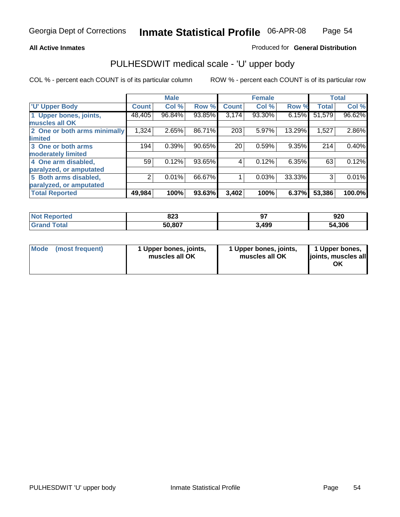### **All Active Inmates**

#### Produced for **General Distribution**

## PULHESDWIT medical scale - 'U' upper body

|                              |              | <b>Male</b> |        |                  | <b>Female</b> |        |              | <b>Total</b> |
|------------------------------|--------------|-------------|--------|------------------|---------------|--------|--------------|--------------|
| <b>U' Upper Body</b>         | <b>Count</b> | Col %       | Row %  | <b>Count</b>     | Col %         | Row %  | <b>Total</b> | Col %        |
| 1 Upper bones, joints,       | 48,405       | 96.84%      | 93.85% | 3,174            | 93.30%        | 6.15%  | 51,579       | 96.62%       |
| muscles all OK               |              |             |        |                  |               |        |              |              |
| 2 One or both arms minimally | 1,324        | 2.65%       | 86.71% | $\overline{203}$ | 5.97%         | 13.29% | 1,527        | 2.86%        |
| limited                      |              |             |        |                  |               |        |              |              |
| 3 One or both arms           | 194          | 0.39%       | 90.65% | 20               | 0.59%         | 9.35%  | 214          | 0.40%        |
| moderately limited           |              |             |        |                  |               |        |              |              |
| 4 One arm disabled,          | 59           | 0.12%       | 93.65% | 4                | 0.12%         | 6.35%  | 63           | 0.12%        |
| paralyzed, or amputated      |              |             |        |                  |               |        |              |              |
| 5 Both arms disabled,        | 2            | 0.01%       | 66.67% |                  | 0.03%         | 33.33% | 3            | 0.01%        |
| paralyzed, or amputated      |              |             |        |                  |               |        |              |              |
| <b>Total Reported</b>        | 49,984       | 100%        | 93.63% | 3,402            | 100%          | 6.37%  | 53,386       | 100.0%       |

| rtea<br>NG       | 823    | $-$   | חכם<br>JŁU    |
|------------------|--------|-------|---------------|
| $F_{\alpha}$ ial | 50,807 | 3,499 | 54,306<br>'nД |

| <b>Mode</b> | (most frequent) | 1 Upper bones, joints,<br>muscles all OK | 1 Upper bones, joints,<br>muscles all OK | 1 Upper bones,<br>joints, muscles all<br>ΟK |
|-------------|-----------------|------------------------------------------|------------------------------------------|---------------------------------------------|
|-------------|-----------------|------------------------------------------|------------------------------------------|---------------------------------------------|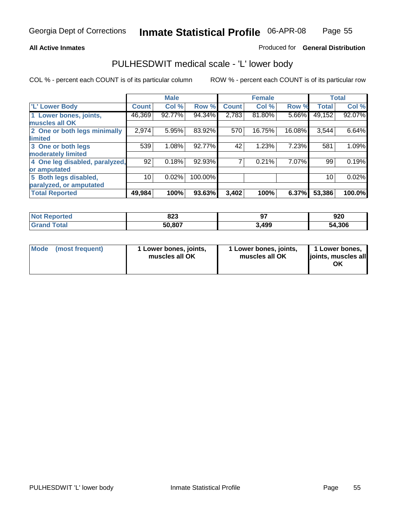## **All Active Inmates**

## Produced for **General Distribution**

## PULHESDWIT medical scale - 'L' lower body

|                                |              | <b>Male</b> |         |                | <b>Female</b> |        |              | <b>Total</b> |
|--------------------------------|--------------|-------------|---------|----------------|---------------|--------|--------------|--------------|
| <b>L' Lower Body</b>           | <b>Count</b> | Col %       | Row %   | <b>Count</b>   | Col %         | Row %  | <b>Total</b> | Col %        |
| 1 Lower bones, joints,         | 46,369       | 92.77%      | 94.34%  | 2,783          | 81.80%        | 5.66%  | 49,152       | 92.07%       |
| muscles all OK                 |              |             |         |                |               |        |              |              |
| 2 One or both legs minimally   | 2,974        | 5.95%       | 83.92%  | 570            | 16.75%        | 16.08% | 3,544        | 6.64%        |
| limited                        |              |             |         |                |               |        |              |              |
| 3 One or both legs             | 539          | 1.08%       | 92.77%  | 42             | 1.23%         | 7.23%  | 581          | 1.09%        |
| moderately limited             |              |             |         |                |               |        |              |              |
| 4 One leg disabled, paralyzed, | 92           | 0.18%       | 92.93%  | $\overline{7}$ | 0.21%         | 7.07%  | 99           | 0.19%        |
| or amputated                   |              |             |         |                |               |        |              |              |
| 5 Both legs disabled,          | 10           | 0.02%       | 100.00% |                |               |        | 10           | 0.02%        |
| paralyzed, or amputated        |              |             |         |                |               |        |              |              |
| <b>Total Reported</b>          | 49,984       | 100%        | 93.63%  | 3,402          | 100%          | 6.37%  | 53,386       | 100.0%       |

| <b>Not Reported</b>  | 823    | ~-    | 920    |
|----------------------|--------|-------|--------|
| $\tau$ otal<br>Grand | 50,807 | 3,499 | 54,306 |

| Mode | (most frequent) | 1 Lower bones, joints,<br>muscles all OK | 1 Lower bones, joints,<br>muscles all OK | 1 Lower bones,<br>joints, muscles all<br>ΟK |
|------|-----------------|------------------------------------------|------------------------------------------|---------------------------------------------|
|------|-----------------|------------------------------------------|------------------------------------------|---------------------------------------------|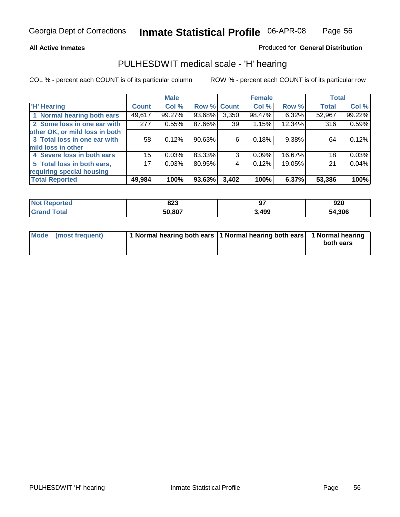#### **All Active Inmates**

## Produced for **General Distribution**

## PULHESDWIT medical scale - 'H' hearing

|                                |              | <b>Male</b> |             |       | <b>Female</b> |        | <b>Total</b> |        |
|--------------------------------|--------------|-------------|-------------|-------|---------------|--------|--------------|--------|
| <b>H'</b> Hearing              | <b>Count</b> | Col %       | Row % Count |       | Col %         | Row %  | <b>Total</b> | Col %  |
| 1 Normal hearing both ears     | 49,617       | 99.27%      | 93.68%      | 3,350 | 98.47%        | 6.32%  | 52,967       | 99.22% |
| 2 Some loss in one ear with    | 277          | 0.55%       | 87.66%      | 39    | 1.15%         | 12.34% | 316          | 0.59%  |
| other OK, or mild loss in both |              |             |             |       |               |        |              |        |
| 3 Total loss in one ear with   | 58           | 0.12%       | 90.63%      | 6     | 0.18%         | 9.38%  | 64           | 0.12%  |
| mild loss in other             |              |             |             |       |               |        |              |        |
| 4 Severe loss in both ears     | 15           | 0.03%       | 83.33%      | 3     | 0.09%         | 16.67% | 18           | 0.03%  |
| 5 Total loss in both ears,     | 17           | 0.03%       | 80.95%      | 4     | 0.12%         | 19.05% | 21           | 0.04%  |
| requiring special housing      |              |             |             |       |               |        |              |        |
| <b>Total Reported</b>          | 49,984       | 100%        | 93.63%      | 3,402 | 100%          | 6.37%  | 53,386       | 100%   |

| orted  | nnn<br>023 |      | 920        |
|--------|------------|------|------------|
| $\sim$ | 50.807     | ,499 | ,306<br>מי |

| Mode (most frequent) | 1 Normal hearing both ears   1 Normal hearing both ears   1 Normal hearing |           |
|----------------------|----------------------------------------------------------------------------|-----------|
|                      |                                                                            | both ears |
|                      |                                                                            |           |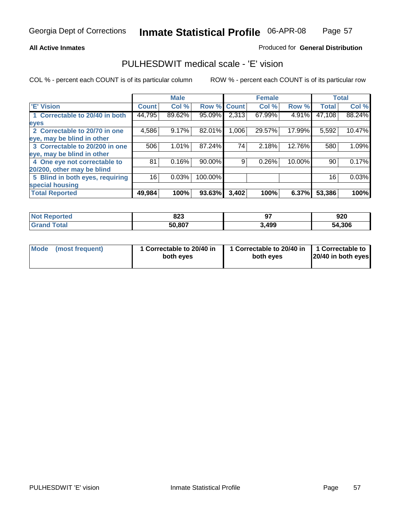#### **All Active Inmates**

## Produced for **General Distribution**

## PULHESDWIT medical scale - 'E' vision

|                                 |              | <b>Male</b> |             |       | <b>Female</b> |        |              | <b>Total</b> |
|---------------------------------|--------------|-------------|-------------|-------|---------------|--------|--------------|--------------|
| 'E' Vision                      | <b>Count</b> | Col %       | Row % Count |       | Col %         | Row %  | <b>Total</b> | Col %        |
| 1 Correctable to 20/40 in both  | 44,795       | 89.62%      | 95.09%      | 2,313 | 67.99%        | 4.91%  | 47,108       | 88.24%       |
| eyes                            |              |             |             |       |               |        |              |              |
| 2 Correctable to 20/70 in one   | 4,586        | 9.17%       | 82.01%      | 1,006 | 29.57%        | 17.99% | 5,592        | 10.47%       |
| eye, may be blind in other      |              |             |             |       |               |        |              |              |
| 3 Correctable to 20/200 in one  | 506          | 1.01%       | 87.24%      | 74    | 2.18%         | 12.76% | 580          | 1.09%        |
| eye, may be blind in other      |              |             |             |       |               |        |              |              |
| 4 One eye not correctable to    | 81           | 0.16%       | 90.00%      | 9     | 0.26%         | 10.00% | 90           | 0.17%        |
| 20/200, other may be blind      |              |             |             |       |               |        |              |              |
| 5 Blind in both eyes, requiring | 16           | 0.03%       | 100.00%     |       |               |        | 16           | 0.03%        |
| special housing                 |              |             |             |       |               |        |              |              |
| <b>Total Reported</b>           | 49,984       | 100%        | 93.63%      | 3,402 | 100%          | 6.37%  | 53,386       | 100%         |

| <b>Not Reported</b> | 823    | <b>Q7</b><br>J. | 920    |
|---------------------|--------|-----------------|--------|
| ⊺otai<br>Gra        | 50,807 | 3,499           | 54,306 |

| Mode | (most frequent) | 1 Correctable to 20/40 in<br>both eves | 1 Correctable to 20/40 in   1 Correctable to<br>both eves | 20/40 in both eyes |
|------|-----------------|----------------------------------------|-----------------------------------------------------------|--------------------|
|      |                 |                                        |                                                           |                    |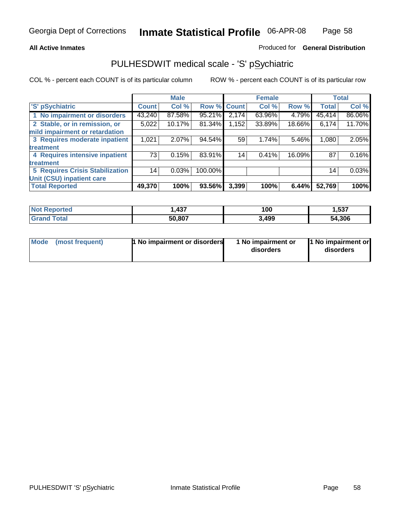### **All Active Inmates**

## Produced for **General Distribution**

## PULHESDWIT medical scale - 'S' pSychiatric

|                                        |              | <b>Male</b> |         |              | <b>Female</b> |        |              | <b>Total</b> |
|----------------------------------------|--------------|-------------|---------|--------------|---------------|--------|--------------|--------------|
| 'S' pSychiatric                        | <b>Count</b> | Col %       | Row %   | <b>Count</b> | Col%          | Row %  | <b>Total</b> | Col %        |
| 1 No impairment or disorders           | 43,240       | 87.58%      | 95.21%  | 2,174        | 63.96%        | 4.79%  | 45,414       | 86.06%       |
| 2 Stable, or in remission, or          | 5,022        | 10.17%      | 81.34%  | 1,152        | 33.89%        | 18.66% | 6,174        | 11.70%       |
| mild impairment or retardation         |              |             |         |              |               |        |              |              |
| 3 Requires moderate inpatient          | 1,021        | $2.07\%$    | 94.54%  | 59           | 1.74%         | 5.46%  | 1,080        | 2.05%        |
| treatment                              |              |             |         |              |               |        |              |              |
| 4 Requires intensive inpatient         | 73           | 0.15%       | 83.91%  | 14           | 0.41%         | 16.09% | 87           | 0.16%        |
| treatment                              |              |             |         |              |               |        |              |              |
| <b>5 Requires Crisis Stabilization</b> | 14           | 0.03%       | 100.00% |              |               |        | 14           | 0.03%        |
| Unit (CSU) inpatient care              |              |             |         |              |               |        |              |              |
| <b>Total Reported</b>                  | 49,370       | 100%        | 93.56%  | 3,399        | 100%          | 6.44%  | 52,769       | 100%         |

| <b>Not Reported</b> | . 437  | 100   | 1,537  |
|---------------------|--------|-------|--------|
| ™otal<br>' Grand    | 50,807 | 3,499 | 54,306 |

| Mode (most frequent) | <b>1</b> No impairment or disorders | 1 No impairment or<br>disorders | 1 No impairment or<br>disorders |
|----------------------|-------------------------------------|---------------------------------|---------------------------------|
|                      |                                     |                                 |                                 |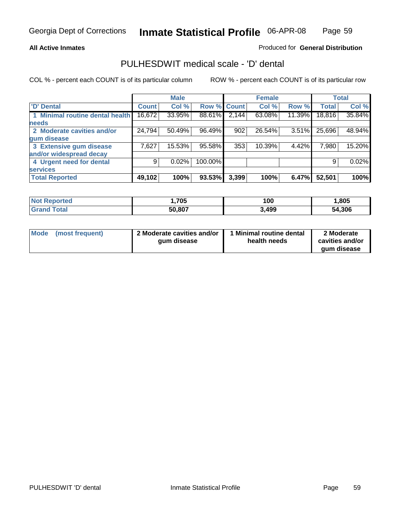#### **All Active Inmates**

## Produced for **General Distribution**

## PULHESDWIT medical scale - 'D' dental

|                                 |              | <b>Male</b> |             |       | <b>Female</b> |        |              | <b>Total</b> |
|---------------------------------|--------------|-------------|-------------|-------|---------------|--------|--------------|--------------|
| <b>D' Dental</b>                | <b>Count</b> | Col %       | Row % Count |       | Col %         | Row %  | <b>Total</b> | Col %        |
| 1 Minimal routine dental health | 16,672       | 33.95%      | 88.61%      | 2,144 | 63.08%        | 11.39% | 18,816       | 35.84%       |
| <b>needs</b>                    |              |             |             |       |               |        |              |              |
| 2 Moderate cavities and/or      | 24,794       | 50.49%      | 96.49%      | 902   | 26.54%        | 3.51%  | 25,696       | 48.94%       |
| gum disease                     |              |             |             |       |               |        |              |              |
| 3 Extensive gum disease         | 7,627        | 15.53%      | 95.58%      | 353   | 10.39%        | 4.42%  | 7,980        | 15.20%       |
| and/or widespread decay         |              |             |             |       |               |        |              |              |
| 4 Urgent need for dental        | 9            | 0.02%       | 100.00%     |       |               |        | 9            | 0.02%        |
| <b>services</b>                 |              |             |             |       |               |        |              |              |
| <b>Total Reported</b>           | 49,102       | 100%        | 93.53%      | 3,399 | 100%          | 6.47%  | 52,501       | 100%         |

| orted      | ,705   | 100   | ,805   |
|------------|--------|-------|--------|
| <b>ota</b> | 50,807 | 3,499 | 54,306 |

| <b>Mode</b> | (most frequent) | 2 Moderate cavities and/or<br>aum disease | Minimal routine dental<br>health needs | 2 Moderate<br>cavities and/or |
|-------------|-----------------|-------------------------------------------|----------------------------------------|-------------------------------|
|             |                 |                                           |                                        | gum disease                   |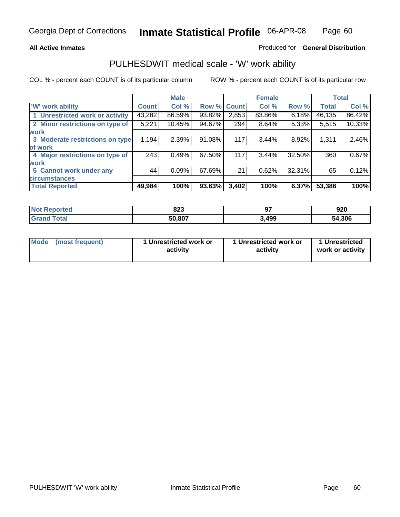### **All Active Inmates**

### Produced for **General Distribution**

## PULHESDWIT medical scale - 'W' work ability

|                                 |              | <b>Male</b> |        |              | <b>Female</b> |        |              | <b>Total</b> |
|---------------------------------|--------------|-------------|--------|--------------|---------------|--------|--------------|--------------|
| W' work ability                 | <b>Count</b> | Col %       | Row %  | <b>Count</b> | Col %         | Row %  | <b>Total</b> | Col %        |
| 1 Unrestricted work or activity | 43,282       | 86.59%      | 93.82% | 2,853        | 83.86%        | 6.18%  | 46,135       | 86.42%       |
| 2 Minor restrictions on type of | 5,221        | 10.45%      | 94.67% | 294          | 8.64%         | 5.33%  | 5,515        | 10.33%       |
| <b>work</b>                     |              |             |        |              |               |        |              |              |
| 3 Moderate restrictions on type | 1,194        | 2.39%       | 91.08% | 117          | 3.44%         | 8.92%  | 1,311        | 2.46%        |
| of work                         |              |             |        |              |               |        |              |              |
| 4 Major restrictions on type of | 243          | 0.49%       | 67.50% | 117          | 3.44%         | 32.50% | 360          | 0.67%        |
| <b>work</b>                     |              |             |        |              |               |        |              |              |
| 5 Cannot work under any         | 44           | 0.09%       | 67.69% | 21           | 0.62%         | 32.31% | 65           | 0.12%        |
| <b>circumstances</b>            |              |             |        |              |               |        |              |              |
| <b>Total Reported</b>           | 49,984       | 100%        | 93.63% | 3,402        | 100%          | 6.37%  | 53,386       | 100%         |

| <b>Not Reported</b>   | 823    | 07<br>J. | 920    |
|-----------------------|--------|----------|--------|
| Total<br><b>Grand</b> | 50,807 | 3,499    | 54,306 |

| Mode | (most frequent) | 1 Unrestricted work or<br>activity | 1 Unrestricted work or<br>activity | 1 Unrestricted<br>work or activity |
|------|-----------------|------------------------------------|------------------------------------|------------------------------------|
|------|-----------------|------------------------------------|------------------------------------|------------------------------------|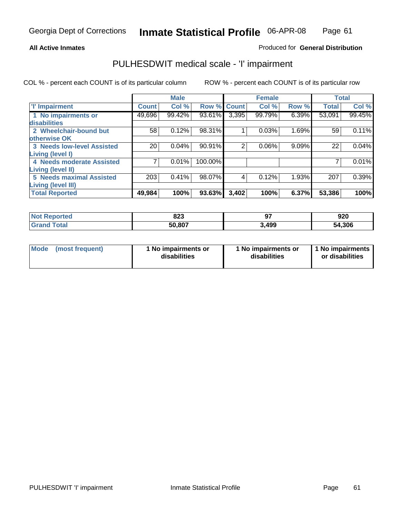#### **All Active Inmates**

## Produced for **General Distribution**

## PULHESDWIT medical scale - 'I' impairment

|                                   |              | <b>Male</b> |             |       | <b>Female</b> |       |              | <b>Total</b> |
|-----------------------------------|--------------|-------------|-------------|-------|---------------|-------|--------------|--------------|
| <b>T' Impairment</b>              | <b>Count</b> | Col %       | Row % Count |       | Col %         | Row % | <b>Total</b> | Col %        |
| 1 No impairments or               | 49,696       | 99.42%      | 93.61%      | 3,395 | 99.79%        | 6.39% | 53,091       | 99.45%       |
| <b>disabilities</b>               |              |             |             |       |               |       |              |              |
| 2 Wheelchair-bound but            | 58           | 0.12%       | 98.31%      |       | 0.03%         | 1.69% | 59           | 0.11%        |
| otherwise OK                      |              |             |             |       |               |       |              |              |
| <b>3 Needs low-level Assisted</b> | 20           | 0.04%       | 90.91%      | 2     | 0.06%         | 9.09% | 22           | 0.04%        |
| Living (level I)                  |              |             |             |       |               |       |              |              |
| 4 Needs moderate Assisted         |              | 0.01%       | 100.00%     |       |               |       |              | 0.01%        |
| <b>Living (level II)</b>          |              |             |             |       |               |       |              |              |
| <b>5 Needs maximal Assisted</b>   | 203          | 0.41%       | 98.07%      | 4     | 0.12%         | 1.93% | 207          | 0.39%        |
| <b>Living (level III)</b>         |              |             |             |       |               |       |              |              |
| <b>Total Reported</b>             | 49,984       | 100%        | 93.63%      | 3,402 | 100%          | 6.37% | 53,386       | 100%         |

| <b>Reported</b><br><b>Not</b> | 823    | --    | 920    |
|-------------------------------|--------|-------|--------|
| Γotal<br>Gra <sup>r</sup>     | 50,807 | 3,499 | 54,306 |

| Mode | (most frequent) | 1 No impairments or<br>disabilities | 1 No impairments or<br>disabilities | 1 1 No impairments<br>or disabilities |
|------|-----------------|-------------------------------------|-------------------------------------|---------------------------------------|
|------|-----------------|-------------------------------------|-------------------------------------|---------------------------------------|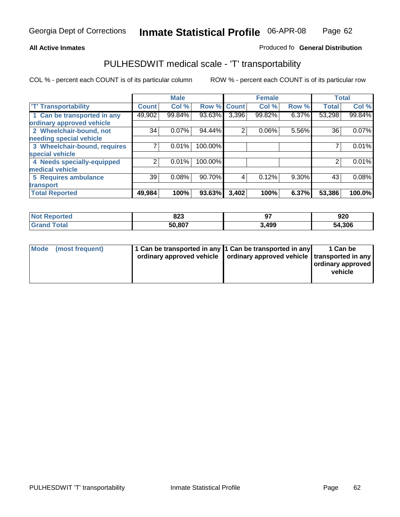#### **Inmate Statistical Profile** 06-APR-08 Page Page 62

## **All Active Inmates Allowski** Produced fo **General Distribution**

## PULHESDWIT medical scale - 'T' transportability

|                              |              | <b>Male</b> |             |                | <b>Female</b> |       | <b>Total</b> |        |
|------------------------------|--------------|-------------|-------------|----------------|---------------|-------|--------------|--------|
| <b>T' Transportability</b>   | <b>Count</b> | Col %       | Row % Count |                | Col %         | Row % | <b>Total</b> | Col %  |
| 1 Can be transported in any  | 49,902       | 99.84%      | 93.63%      | 3,396          | 99.82%        | 6.37% | 53,298       | 99.84% |
| ordinary approved vehicle    |              |             |             |                |               |       |              |        |
| 2 Wheelchair-bound, not      | 34           | 0.07%       | 94.44%      | $\overline{2}$ | 0.06%         | 5.56% | 36           | 0.07%  |
| needing special vehicle      |              |             |             |                |               |       |              |        |
| 3 Wheelchair-bound, requires |              | 0.01%       | 100.00%     |                |               |       |              | 0.01%  |
| special vehicle              |              |             |             |                |               |       |              |        |
| 4 Needs specially-equipped   | າ            | 0.01%       | 100.00%     |                |               |       |              | 0.01%  |
| medical vehicle              |              |             |             |                |               |       |              |        |
| 5 Requires ambulance         | 39           | 0.08%       | 90.70%      | 4              | 0.12%         | 9.30% | 43           | 0.08%  |
| transport                    |              |             |             |                |               |       |              |        |
| <b>Total Reported</b>        | 49,984       | 100%        | 93.63%      | 3,402          | 100%          | 6.37% | 53,386       | 100.0% |

| Not i<br><b>Reported</b>     | 823    |       | 920    |
|------------------------------|--------|-------|--------|
| <b>Total</b><br><b>Grand</b> | 50,807 | 3,499 | 54,306 |

| Mode (most frequent) | 1 Can be transported in any 1 Can be transported in any | ordinary approved vehicle   ordinary approved vehicle   transported in any | 1 Can be<br>ordinary approved<br>vehicle |
|----------------------|---------------------------------------------------------|----------------------------------------------------------------------------|------------------------------------------|
|                      |                                                         |                                                                            |                                          |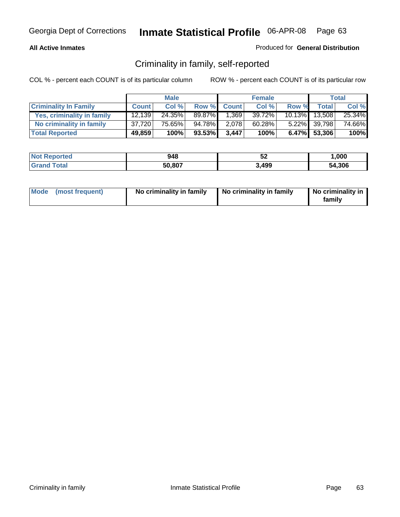## **All Active Inmates**

## Produced for **General Distribution**

## Criminality in family, self-reported

|                              |              | <b>Male</b> |        |              | <b>Female</b> |       |               | <b>Total</b> |
|------------------------------|--------------|-------------|--------|--------------|---------------|-------|---------------|--------------|
| <b>Criminality In Family</b> | <b>Count</b> | Col %       | Row %  | <b>Count</b> | Col %         | Row % | <b>Total</b>  | Col %        |
| Yes, criminality in family   | 12.139       | 24.35%      | 89.87% | 1,369        | 39.72%        |       | 10.13% 13,508 | 25.34%       |
| No criminality in family     | 37,720       | 75.65%      | 94.78% | 2,078        | 60.28%        |       | 5.22% 39,798  | 74.66%       |
| <b>Total Reported</b>        | 49,859       | 100%        | 93.53% | 3,447        | 100%          |       | 6.47% 53,306  | 100%         |

| <b>Not Reported</b>   | 948    | <br>ے ت | ,000   |
|-----------------------|--------|---------|--------|
| ™otal<br><b>Grand</b> | 50,807 | 3,499   | 54,306 |

|  | Mode (most frequent) | No criminality in family | No criminality in family | No criminality in<br>family |
|--|----------------------|--------------------------|--------------------------|-----------------------------|
|--|----------------------|--------------------------|--------------------------|-----------------------------|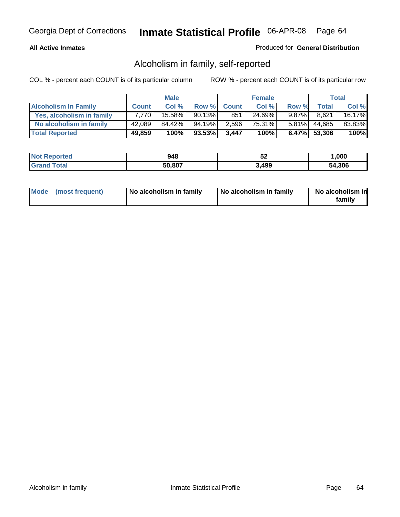## **All Active Inmates**

## Produced for **General Distribution**

## Alcoholism in family, self-reported

|                             |              | <b>Male</b> |        |              | <b>Female</b> |          |              | <b>Total</b> |
|-----------------------------|--------------|-------------|--------|--------------|---------------|----------|--------------|--------------|
| <b>Alcoholism In Family</b> | <b>Count</b> | Col %       | Row %  | <b>Count</b> | Col %         | Row %    | <b>Total</b> | Col %        |
| Yes, alcoholism in family   | 7.770        | 15.58%      | 90.13% | 851          | 24.69%        | $9.87\%$ | 8,621        | 16.17%       |
| No alcoholism in family     | 42,089       | 84.42%      | 94.19% | 2,596        | 75.31%        | $5.81\%$ | 44,685       | 83.83%       |
| <b>Total Reported</b>       | 49,859       | 100%        | 93.53% | 3,447        | 100%          |          | 6.47% 53,306 | 100%         |

| <b>Not Reported</b>   | 948    | <br>ے ت | ,000   |
|-----------------------|--------|---------|--------|
| ™otal<br><b>Grand</b> | 50,807 | 3,499   | 54,306 |

|  | Mode (most frequent) | No alcoholism in family | No alcoholism in family | No alcoholism in<br>familv |
|--|----------------------|-------------------------|-------------------------|----------------------------|
|--|----------------------|-------------------------|-------------------------|----------------------------|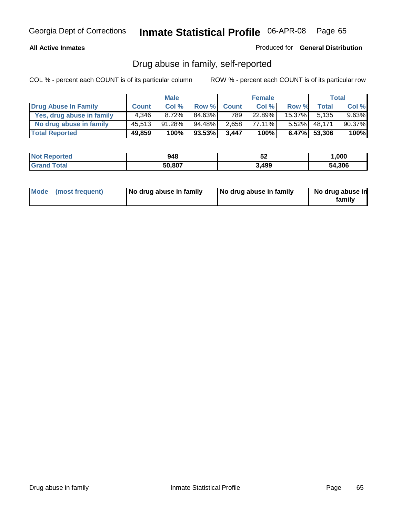## **All Active Inmates**

Produced for **General Distribution**

## Drug abuse in family, self-reported

|                           |              | <b>Male</b> |        |              | <b>Female</b> |           |              | <b>Total</b> |
|---------------------------|--------------|-------------|--------|--------------|---------------|-----------|--------------|--------------|
| Drug Abuse In Family      | <b>Count</b> | Col %       | Row %  | <b>Count</b> | Col %         | Row %     | Total        | Col %        |
| Yes, drug abuse in family | 4.346        | 8.72%       | 84.63% | 7891         | 22.89%        | $15.37\%$ | 5.135        | $9.63\%$     |
| No drug abuse in family   | 45,513       | 91.28%      | 94.48% | 2,658        | 77.11%        | $5.52\%$  | 48,171       | 90.37%       |
| <b>Total Reported</b>     | 49,859       | 100%        | 93.53% | 3,447        | 100%          |           | 6.47% 53,306 | 100%         |

| <b>Not Reported</b>   | 948    | <br>ے ت | ,000   |
|-----------------------|--------|---------|--------|
| ™otai<br><b>Grand</b> | 50,807 | 3,499   | 54,306 |

|  | Mode (most frequent) | No drug abuse in family | No drug abuse in family | No drug abuse in<br>family |
|--|----------------------|-------------------------|-------------------------|----------------------------|
|--|----------------------|-------------------------|-------------------------|----------------------------|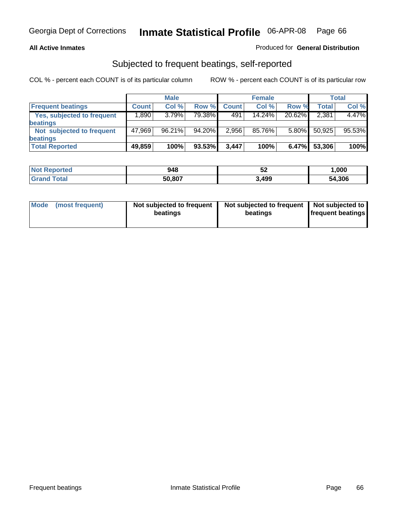## **All Active Inmates**

## Produced for **General Distribution**

## Subjected to frequent beatings, self-reported

|                                   |              | <b>Male</b> |        |              | <b>Female</b> |          |        | <b>Total</b> |
|-----------------------------------|--------------|-------------|--------|--------------|---------------|----------|--------|--------------|
| <b>Frequent beatings</b>          | <b>Count</b> | Col%        | Row %  | <b>Count</b> | Col%          | Row %    | Total  | Col %        |
| <b>Yes, subjected to frequent</b> | ا 890.1      | 3.79%       | 79.38% | 491          | 14.24%        | 20.62%   | 2,381  | 4.47%        |
| beatings                          |              |             |        |              |               |          |        |              |
| Not subjected to frequent         | 47,969       | 96.21%      | 94.20% | 2,956        | 85.76%        | $5.80\%$ | 50,925 | 95.53%       |
| beatings                          |              |             |        |              |               |          |        |              |
| <b>Total Reported</b>             | 49,859       | 100%        | 93.53% | 3,447        | 100%          | 6.47%    | 53,306 | 100%         |

| N <sub>of</sub><br><b>Reported</b> | 948    | ◡▵    | ,000   |
|------------------------------------|--------|-------|--------|
| $\tau$ otal                        | 50.807 | 3,499 | 54,306 |

| Mode            | Not subjected to frequent | Not subjected to frequent | Not subjected to  |
|-----------------|---------------------------|---------------------------|-------------------|
| (most frequent) | beatings                  | beatings                  | frequent beatings |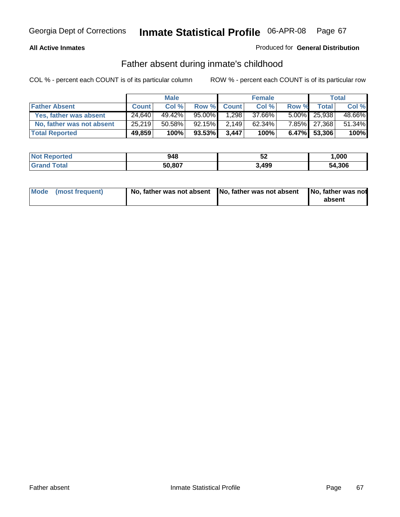### **All Active Inmates**

## Produced for **General Distribution**

## Father absent during inmate's childhood

|                           |              | <b>Male</b> |        |              | <b>Female</b> |       |                 | Total  |
|---------------------------|--------------|-------------|--------|--------------|---------------|-------|-----------------|--------|
| <b>Father Absent</b>      | <b>Count</b> | Col %       | Row %  | <b>Count</b> | Col %         | Row % | Total i         | Col %  |
| Yes, father was absent    | 24,640       | 49.42%      | 95.00% | 1,298        | 37.66%        |       | $5.00\%$ 25,938 | 48.66% |
| No, father was not absent | 25,219       | 50.58%      | 92.15% | 2,149        | 62.34%        |       | 7.85% 27,368    | 51.34% |
| <b>Total Reported</b>     | 49,859       | 100%        | 93.53% | 3,447        | 100%          |       | 6.47% 53,306    | 100%   |

| <b>Not Reported</b> | 948    | JZ    | ,000   |
|---------------------|--------|-------|--------|
| <b>Srand Total</b>  | 50,807 | 3,499 | 54,306 |

| Mode (most frequent) |  | 「No, father was not absent ┃No, father was not absent ┃No, father was not | absent |
|----------------------|--|---------------------------------------------------------------------------|--------|
|----------------------|--|---------------------------------------------------------------------------|--------|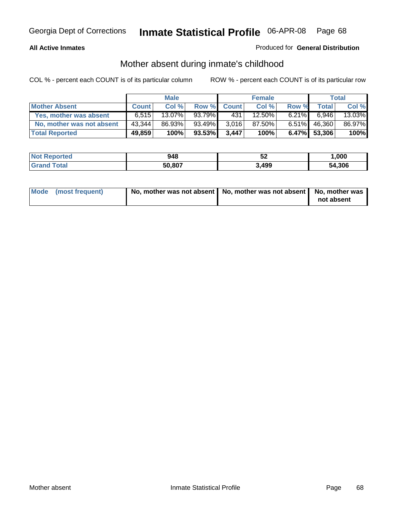### **All Active Inmates**

## Produced for **General Distribution**

## Mother absent during inmate's childhood

|                           |              | <b>Male</b> |        |              | <b>Female</b> |          |                 | Total  |
|---------------------------|--------------|-------------|--------|--------------|---------------|----------|-----------------|--------|
| <b>Mother Absent</b>      | <b>Count</b> | Col %       | Row %  | <b>Count</b> | Col %         | Row %    | Total           | Col %  |
| Yes, mother was absent    | 6.515        | 13.07%      | 93.79% | 431          | 12.50%        | $6.21\%$ | 6.946           | 13.03% |
| No, mother was not absent | 43,344       | 86.93%      | 93.49% | 3,016        | 87.50%        | $6.51\%$ | 46,360          | 86.97% |
| <b>Total Reported</b>     | 49,859       | 100%        | 93.53% | 3,447        | 100%          |          | $6.47\%$ 53,306 | 100%   |

| <b>Not</b><br>Reported | 948    | - -<br>◡▵ | ,000   |
|------------------------|--------|-----------|--------|
| <b>ota</b>             | 50,807 | 3,499     | 54.306 |

| Mode (most frequent) | No, mother was not absent   No, mother was not absent   No, mother was | not absent |
|----------------------|------------------------------------------------------------------------|------------|
|----------------------|------------------------------------------------------------------------|------------|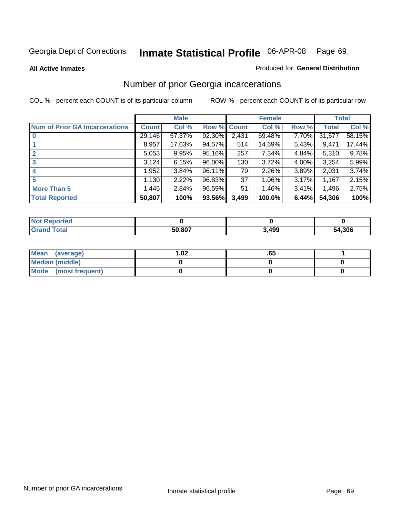#### **All Active Inmates**

### Produced for **General Distribution**

# Number of prior Georgia incarcerations

|                                       |              | <b>Male</b> |                    |       | <b>Female</b> |       |        | <b>Total</b> |
|---------------------------------------|--------------|-------------|--------------------|-------|---------------|-------|--------|--------------|
| <b>Num of Prior GA Incarcerations</b> | <b>Count</b> | Col %       | <b>Row % Count</b> |       | Col %         | Row % | Total  | Col %        |
| $\bf{0}$                              | 29,146       | 57.37%      | 92.30%             | 2,431 | 69.48%        | 7.70% | 31,577 | 58.15%       |
|                                       | 8,957        | 17.63%      | 94.57%             | 514   | 14.69%        | 5.43% | 9,471  | 17.44%       |
|                                       | 5,053        | 9.95%       | 95.16%             | 257   | 7.34%         | 4.84% | 5,310  | 9.78%        |
| 3                                     | 3,124        | 6.15%       | 96.00%             | 130   | 3.72%         | 4.00% | 3,254  | 5.99%        |
|                                       | 1,952        | 3.84%       | 96.11%             | 79    | 2.26%         | 3.89% | 2,031  | 3.74%        |
| 5                                     | 1,130        | 2.22%       | 96.83%             | 37    | 1.06%         | 3.17% | 1,167  | 2.15%        |
| <b>More Than 5</b>                    | 1,445        | 2.84%       | 96.59%             | 51    | 1.46%         | 3.41% | 1,496  | 2.75%        |
| <b>Total Reported</b>                 | 50,807       | 100%        | 93.56%             | 3,499 | 100.0%        | 6.44% | 54,306 | 100%         |

| orted<br>NO.        |        |       |        |
|---------------------|--------|-------|--------|
| <b>Total</b><br>Gr: | 50.807 | 3,499 | 54,306 |

| Mean (average)       | l.O2 | כס. |  |
|----------------------|------|-----|--|
| Median (middle)      |      |     |  |
| Mode (most frequent) |      |     |  |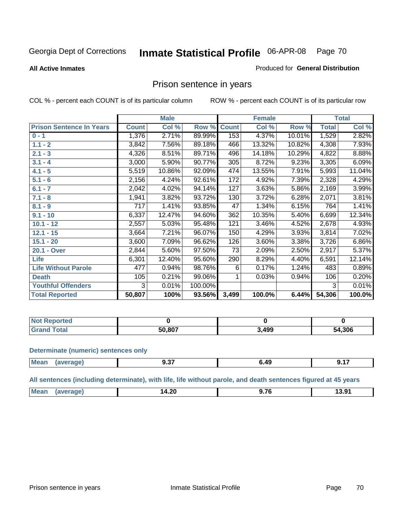#### **All Active Inmates**

#### Produced for **General Distribution**

## Prison sentence in years

COL % - percent each COUNT is of its particular column ROW % - percent each COUNT is of its particular row

|                                 |              | <b>Male</b> |         |              | <b>Female</b> |        |              | <b>Total</b> |
|---------------------------------|--------------|-------------|---------|--------------|---------------|--------|--------------|--------------|
| <b>Prison Sentence In Years</b> | <b>Count</b> | Col %       | Row %   | <b>Count</b> | Col %         | Row %  | <b>Total</b> | Col %        |
| $0 - 1$                         | 1,376        | 2.71%       | 89.99%  | 153          | 4.37%         | 10.01% | 1,529        | 2.82%        |
| $1.1 - 2$                       | 3,842        | 7.56%       | 89.18%  | 466          | 13.32%        | 10.82% | 4,308        | 7.93%        |
| $2.1 - 3$                       | 4,326        | 8.51%       | 89.71%  | 496          | 14.18%        | 10.29% | 4,822        | 8.88%        |
| $3.1 - 4$                       | 3,000        | 5.90%       | 90.77%  | 305          | 8.72%         | 9.23%  | 3,305        | 6.09%        |
| $4.1 - 5$                       | 5,519        | 10.86%      | 92.09%  | 474          | 13.55%        | 7.91%  | 5,993        | 11.04%       |
| $5.1 - 6$                       | 2,156        | 4.24%       | 92.61%  | 172          | 4.92%         | 7.39%  | 2,328        | 4.29%        |
| $6.1 - 7$                       | 2,042        | 4.02%       | 94.14%  | 127          | 3.63%         | 5.86%  | 2,169        | 3.99%        |
| $7.1 - 8$                       | 1,941        | 3.82%       | 93.72%  | 130          | 3.72%         | 6.28%  | 2,071        | 3.81%        |
| $8.1 - 9$                       | 717          | 1.41%       | 93.85%  | 47           | 1.34%         | 6.15%  | 764          | 1.41%        |
| $9.1 - 10$                      | 6,337        | 12.47%      | 94.60%  | 362          | 10.35%        | 5.40%  | 6,699        | 12.34%       |
| $10.1 - 12$                     | 2,557        | 5.03%       | 95.48%  | 121          | 3.46%         | 4.52%  | 2,678        | 4.93%        |
| $12.1 - 15$                     | 3,664        | 7.21%       | 96.07%  | 150          | 4.29%         | 3.93%  | 3,814        | 7.02%        |
| $15.1 - 20$                     | 3,600        | 7.09%       | 96.62%  | 126          | 3.60%         | 3.38%  | 3,726        | 6.86%        |
| 20.1 - Over                     | 2,844        | 5.60%       | 97.50%  | 73           | 2.09%         | 2.50%  | 2,917        | 5.37%        |
| <b>Life</b>                     | 6,301        | 12.40%      | 95.60%  | 290          | 8.29%         | 4.40%  | 6,591        | 12.14%       |
| <b>Life Without Parole</b>      | 477          | 0.94%       | 98.76%  | 6            | 0.17%         | 1.24%  | 483          | 0.89%        |
| <b>Death</b>                    | 105          | 0.21%       | 99.06%  |              | 0.03%         | 0.94%  | 106          | 0.20%        |
| <b>Youthful Offenders</b>       | 3            | 0.01%       | 100.00% |              |               |        | 3            | 0.01%        |
| <b>Total Reported</b>           | 50,807       | 100%        | 93.56%  | 3,499        | 100.0%        | 6.44%  | 54,306       | 100.0%       |

| <b>Not Reported</b> |               |      |        |
|---------------------|---------------|------|--------|
| `otal<br>. Gro      | ነበ ጸበ7<br>יוא | .499 | 54,306 |

#### **Determinate (numeric) sentences only**

| <b>Mea</b> | апе | $ -$<br>J.J.<br>$ -$ | . .<br>╌ | . |
|------------|-----|----------------------|----------|---|
|            |     |                      |          |   |

**All sentences (including determinate), with life, life without parole, and death sentences figured at 45 years**

| $^{\dagger}$ Me:<br>$\sim$<br>--<br>3.9 <sup>4</sup><br>17I<br>4.ZV<br>-------<br>____<br>______ |  |  |  |
|--------------------------------------------------------------------------------------------------|--|--|--|
|                                                                                                  |  |  |  |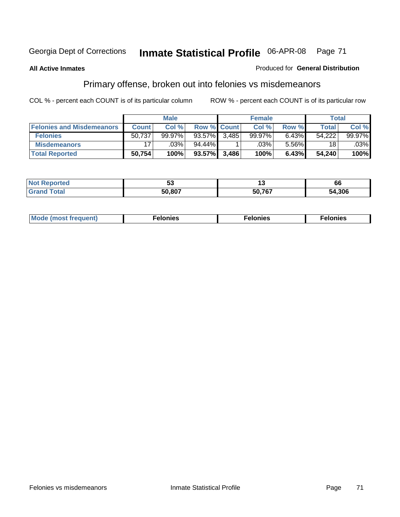#### **All Active Inmates**

#### Produced for **General Distribution**

# Primary offense, broken out into felonies vs misdemeanors

|                                  |              | <b>Male</b> |                    |       | <b>Female</b> |       | Total  |         |
|----------------------------------|--------------|-------------|--------------------|-------|---------------|-------|--------|---------|
| <b>Felonies and Misdemeanors</b> | <b>Count</b> | Col%        | <b>Row % Count</b> |       | Col %         | Row % | Total  | Col %   |
| <b>Felonies</b>                  | 50,737       | 99.97%      | 93.57%             | 3.485 | 99.97%        | 6.43% | 54,222 | 99.97%  |
| <b>Misdemeanors</b>              | 17           | .03%        | 94.44%             |       | .03%          | 5.56% | 18     | $.03\%$ |
| <b>Total Reported</b>            | 50,754       | 100%        | 93.57%             | 3,486 | 100%          | 6.43% | 54.240 | 100%    |

| <b>Not</b><br>eported | JJ     |        | 66     |
|-----------------------|--------|--------|--------|
| Gra                   | 50 807 | 50.767 | 54.306 |

| M | . | . | . |
|---|---|---|---|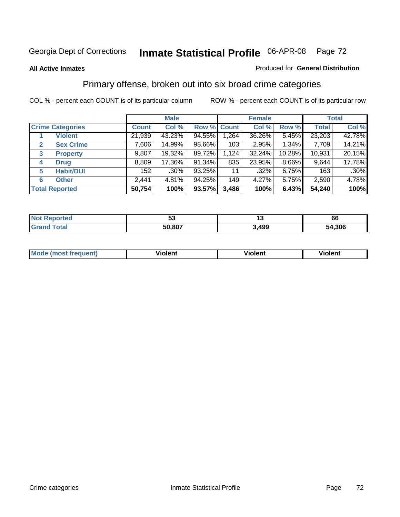#### **All Active Inmates**

#### Produced for **General Distribution**

## Primary offense, broken out into six broad crime categories

|   |                         |              | <b>Male</b> |             |       | <b>Female</b> |        |              | <b>Total</b> |
|---|-------------------------|--------------|-------------|-------------|-------|---------------|--------|--------------|--------------|
|   | <b>Crime Categories</b> | <b>Count</b> | Col %       | Row % Count |       | Col %         | Row %  | <b>Total</b> | Col %        |
|   | <b>Violent</b>          | 21,939       | 43.23%      | 94.55%      | 1,264 | 36.26%        | 5.45%  | 23,203       | 42.78%       |
| 2 | <b>Sex Crime</b>        | 7,606        | 14.99%      | 98.66%      | 103   | 2.95%         | 1.34%  | 7,709        | 14.21%       |
| 3 | <b>Property</b>         | 9,807        | 19.32%      | 89.72%      | 1,124 | 32.24%        | 10.28% | 10,931       | 20.15%       |
| 4 | <b>Drug</b>             | 8,809        | 17.36%      | 91.34%      | 835   | 23.95%        | 8.66%  | 9,644        | 17.78%       |
| 5 | <b>Habit/DUI</b>        | 152          | .30%        | 93.25%      | 11    | $.32\%$       | 6.75%  | 163          | $.30\%$      |
| 6 | <b>Other</b>            | 2,441        | 4.81%       | 94.25%      | 149   | 4.27%         | 5.75%  | 2,590        | 4.78%        |
|   | <b>Total Reported</b>   | 50,754       | 100%        | 93.57%      | 3,486 | 100%          | 6.43%  | 54,240       | 100%         |

| <b>orted</b><br>NO | vv.    |      | oo         |
|--------------------|--------|------|------------|
| $\sim$ 100         | 50.807 | .499 | .306<br>54 |

| IМ      | .        | $-$      | -------- |
|---------|----------|----------|----------|
| 1119000 | -------- | -------- |          |
|         |          |          |          |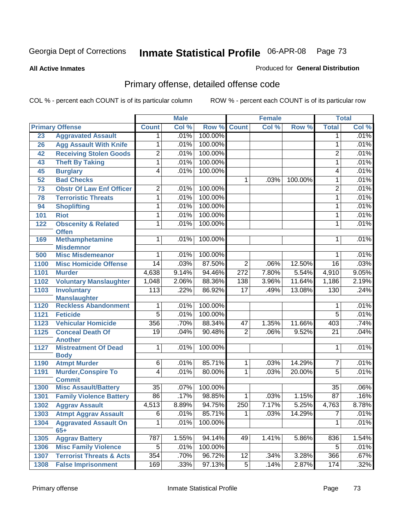**All Active Inmates**

### Produced for **General Distribution**

# Primary offense, detailed offense code

|      |                                             |                  | <b>Male</b> |         |                  | <b>Female</b> |         |                 | <b>Total</b> |
|------|---------------------------------------------|------------------|-------------|---------|------------------|---------------|---------|-----------------|--------------|
|      | <b>Primary Offense</b>                      | <b>Count</b>     | Col %       | Row %   | <b>Count</b>     | Col %         | Row %   | <b>Total</b>    | Col %        |
| 23   | <b>Aggravated Assault</b>                   | $\mathbf 1$      | .01%        | 100.00% |                  |               |         | 1               | .01%         |
| 26   | <b>Agg Assault With Knife</b>               | 1                | .01%        | 100.00% |                  |               |         | $\mathbf{1}$    | .01%         |
| 42   | <b>Receiving Stolen Goods</b>               | $\overline{2}$   | .01%        | 100.00% |                  |               |         | $\overline{2}$  | .01%         |
| 43   | <b>Theft By Taking</b>                      | 1                | .01%        | 100.00% |                  |               |         | $\mathbf{1}$    | .01%         |
| 45   | <b>Burglary</b>                             | $\overline{4}$   | .01%        | 100.00% |                  |               |         | 4               | .01%         |
| 52   | <b>Bad Checks</b>                           |                  |             |         | $\mathbf{1}$     | .03%          | 100.00% | $\mathbf{1}$    | .01%         |
| 73   | <b>Obstr Of Law Enf Officer</b>             | $\overline{2}$   | .01%        | 100.00% |                  |               |         | $\overline{2}$  | .01%         |
| 78   | <b>Terroristic Threats</b>                  | 1                | .01%        | 100.00% |                  |               |         | $\mathbf{1}$    | .01%         |
| 94   | <b>Shoplifting</b>                          | 1                | .01%        | 100.00% |                  |               |         | 1               | .01%         |
| 101  | <b>Riot</b>                                 | 1                | .01%        | 100.00% |                  |               |         | 1               | .01%         |
| 122  | <b>Obscenity &amp; Related</b>              | 1                | .01%        | 100.00% |                  |               |         | 1               | .01%         |
|      | <b>Offen</b>                                |                  |             |         |                  |               |         |                 |              |
| 169  | <b>Methamphetamine</b>                      | 1                | .01%        | 100.00% |                  |               |         | 1               | .01%         |
| 500  | <b>Misdemnor</b><br><b>Misc Misdemeanor</b> | 1                | .01%        | 100.00% |                  |               |         | 1               | .01%         |
| 1100 | <b>Misc Homicide Offense</b>                | $\overline{14}$  | .03%        | 87.50%  | $\overline{2}$   | .06%          | 12.50%  | $\overline{16}$ | .03%         |
| 1101 | <b>Murder</b>                               | 4,638            | 9.14%       | 94.46%  | $\overline{272}$ | 7.80%         | 5.54%   | 4,910           | 9.05%        |
| 1102 | <b>Voluntary Manslaughter</b>               | 1,048            | 2.06%       | 88.36%  | 138              | 3.96%         | 11.64%  | 1,186           | 2.19%        |
| 1103 | <b>Involuntary</b>                          | $\overline{113}$ | .22%        | 86.92%  | $\overline{17}$  | .49%          | 13.08%  | 130             | .24%         |
|      | <b>Manslaughter</b>                         |                  |             |         |                  |               |         |                 |              |
| 1120 | <b>Reckless Abandonment</b>                 | 1                | .01%        | 100.00% |                  |               |         | 1               | .01%         |
| 1121 | <b>Feticide</b>                             | $\overline{5}$   | .01%        | 100.00% |                  |               |         | $\overline{5}$  | .01%         |
| 1123 | <b>Vehicular Homicide</b>                   | 356              | .70%        | 88.34%  | 47               | 1.35%         | 11.66%  | 403             | .74%         |
| 1125 | <b>Conceal Death Of</b>                     | 19               | .04%        | 90.48%  | $\overline{2}$   | .06%          | 9.52%   | 21              | .04%         |
|      | <b>Another</b>                              |                  |             |         |                  |               |         |                 |              |
| 1127 | <b>Mistreatment Of Dead</b>                 | 1                | .01%        | 100.00% |                  |               |         | 1               | .01%         |
|      | <b>Body</b>                                 | $\overline{6}$   | .01%        | 85.71%  | $\mathbf 1$      | .03%          | 14.29%  | 7               | .01%         |
| 1190 | <b>Atmpt Murder</b>                         | $\overline{4}$   | .01%        | 80.00%  | 1                | .03%          | 20.00%  | 5               | .01%         |
| 1191 | <b>Murder, Conspire To</b><br><b>Commit</b> |                  |             |         |                  |               |         |                 |              |
| 1300 | <b>Misc Assault/Battery</b>                 | $\overline{35}$  | .07%        | 100.00% |                  |               |         | $\overline{35}$ | .06%         |
| 1301 | <b>Family Violence Battery</b>              | 86               | .17%        | 98.85%  | $\mathbf 1$      | .03%          | 1.15%   | 87              | .16%         |
| 1302 | <b>Aggrav Assault</b>                       | 4,513            | 8.89%       | 94.75%  | 250              | 7.17%         | 5.25%   | 4,763           | 8.78%        |
| 1303 | <b>Atmpt Aggrav Assault</b>                 | $\overline{6}$   | .01%        | 85.71%  | $\overline{1}$   | .03%          | 14.29%  | $\overline{7}$  | .01%         |
| 1304 | <b>Aggravated Assault On</b>                | 1                | .01%        | 100.00% |                  |               |         | 1               | .01%         |
|      | $65+$                                       |                  |             |         |                  |               |         |                 |              |
| 1305 | <b>Aggrav Battery</b>                       | 787              | 1.55%       | 94.14%  | 49               | 1.41%         | 5.86%   | 836             | 1.54%        |
| 1306 | <b>Misc Family Violence</b>                 | 5                | .01%        | 100.00% |                  |               |         | 5               | .01%         |
| 1307 | <b>Terrorist Threats &amp; Acts</b>         | 354              | .70%        | 96.72%  | 12               | .34%          | 3.28%   | 366             | .67%         |
| 1308 | <b>False Imprisonment</b>                   | 169              | .33%        | 97.13%  | $\overline{5}$   | .14%          | 2.87%   | 174             | .32%         |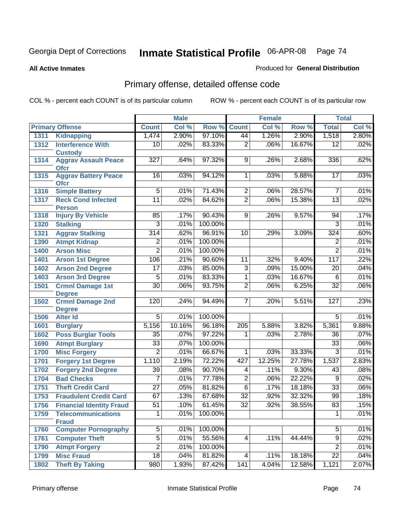**All Active Inmates**

### Produced for **General Distribution**

# Primary offense, detailed offense code

|      |                                            |                  | <b>Male</b> |         |                  | <b>Female</b> |        |                 | <b>Total</b> |
|------|--------------------------------------------|------------------|-------------|---------|------------------|---------------|--------|-----------------|--------------|
|      | <b>Primary Offense</b>                     | <b>Count</b>     | Col %       | Row %   | <b>Count</b>     | Col %         | Row %  | <b>Total</b>    | Col %        |
| 1311 | <b>Kidnapping</b>                          | 1,474            | 2.90%       | 97.10%  | 44               | 1.26%         | 2.90%  | 1,518           | 2.80%        |
| 1312 | <b>Interference With</b><br><b>Custody</b> | 10               | .02%        | 83.33%  | $\overline{2}$   | .06%          | 16.67% | 12              | .02%         |
| 1314 | <b>Aggrav Assault Peace</b><br><b>Ofcr</b> | 327              | .64%        | 97.32%  | 9                | .26%          | 2.68%  | 336             | .62%         |
| 1315 | <b>Aggrav Battery Peace</b><br><b>Ofcr</b> | 16               | .03%        | 94.12%  | 1                | .03%          | 5.88%  | 17              | .03%         |
| 1316 | <b>Simple Battery</b>                      | $\overline{5}$   | .01%        | 71.43%  | $\overline{2}$   | .06%          | 28.57% | $\overline{7}$  | .01%         |
| 1317 | <b>Reck Cond Infected</b><br><b>Person</b> | $\overline{11}$  | .02%        | 84.62%  | $\overline{2}$   | .06%          | 15.38% | $\overline{13}$ | .02%         |
| 1318 | <b>Injury By Vehicle</b>                   | 85               | .17%        | 90.43%  | 9                | .26%          | 9.57%  | 94              | .17%         |
| 1320 | <b>Stalking</b>                            | 3                | .01%        | 100.00% |                  |               |        | 3               | .01%         |
| 1321 | <b>Aggrav Stalking</b>                     | $\overline{314}$ | .62%        | 96.91%  | 10               | .29%          | 3.09%  | 324             | .60%         |
| 1390 | <b>Atmpt Kidnap</b>                        | $\overline{2}$   | .01%        | 100.00% |                  |               |        | $\overline{2}$  | .01%         |
| 1400 | <b>Arson Misc</b>                          | $\overline{2}$   | .01%        | 100.00% |                  |               |        | $\overline{2}$  | .01%         |
| 1401 | <b>Arson 1st Degree</b>                    | 106              | .21%        | 90.60%  | 11               | .32%          | 9.40%  | 117             | .22%         |
| 1402 | <b>Arson 2nd Degree</b>                    | $\overline{17}$  | .03%        | 85.00%  | $\overline{3}$   | .09%          | 15.00% | $\overline{20}$ | .04%         |
| 1403 | <b>Arson 3rd Degree</b>                    | 5                | .01%        | 83.33%  | 1                | .03%          | 16.67% | 6               | .01%         |
| 1501 | <b>Crmnl Damage 1st</b><br><b>Degree</b>   | $\overline{30}$  | .06%        | 93.75%  | $\overline{2}$   | .06%          | 6.25%  | $\overline{32}$ | .06%         |
| 1502 | <b>Crmnl Damage 2nd</b><br><b>Degree</b>   | 120              | .24%        | 94.49%  | 7                | .20%          | 5.51%  | 127             | .23%         |
| 1506 | <b>Alter Id</b>                            | $\overline{5}$   | .01%        | 100.00% |                  |               |        | $\overline{5}$  | .01%         |
| 1601 | <b>Burglary</b>                            | 5,156            | 10.16%      | 96.18%  | $\overline{205}$ | 5.88%         | 3.82%  | 5,361           | 9.88%        |
| 1602 | <b>Poss Burglar Tools</b>                  | $\overline{35}$  | .07%        | 97.22%  | 1                | .03%          | 2.78%  | $\overline{36}$ | .07%         |
| 1690 | <b>Atmpt Burglary</b>                      | $\overline{33}$  | .07%        | 100.00% |                  |               |        | $\overline{33}$ | .06%         |
| 1700 | <b>Misc Forgery</b>                        | $\overline{2}$   | .01%        | 66.67%  | 1                | .03%          | 33.33% | $\overline{3}$  | .01%         |
| 1701 | <b>Forgery 1st Degree</b>                  | 1,110            | 2.19%       | 72.22%  | 427              | 12.25%        | 27.78% | 1,537           | 2.83%        |
| 1702 | <b>Forgery 2nd Degree</b>                  | $\overline{39}$  | .08%        | 90.70%  | 4                | .11%          | 9.30%  | 43              | .08%         |
| 1704 | <b>Bad Checks</b>                          | 7                | .01%        | 77.78%  | $\overline{2}$   | .06%          | 22.22% | $\overline{9}$  | .02%         |
| 1751 | <b>Theft Credit Card</b>                   | $\overline{27}$  | .05%        | 81.82%  | $\overline{6}$   | .17%          | 18.18% | $\overline{33}$ | $.06\%$      |
| 1753 | <b>Fraudulent Credit Card</b>              | 67               | .13%        | 67.68%  | $\overline{32}$  | .92%          | 32.32% | 99              | .18%         |
| 1756 | <b>Financial Identity Fraud</b>            | $\overline{51}$  | .10%        | 61.45%  | $\overline{32}$  | .92%          | 38.55% | $\overline{83}$ | .15%         |
| 1759 | <b>Telecommunications</b><br><b>Fraud</b>  | 1                | .01%        | 100.00% |                  |               |        | $\mathbf{1}$    | .01%         |
| 1760 | <b>Computer Pornography</b>                | $\overline{5}$   | .01%        | 100.00% |                  |               |        | $\overline{5}$  | .01%         |
| 1761 | <b>Computer Theft</b>                      | $\overline{5}$   | .01%        | 55.56%  | $\overline{4}$   | .11%          | 44.44% | $\overline{9}$  | .02%         |
| 1790 | <b>Atmpt Forgery</b>                       | $\overline{2}$   | .01%        | 100.00% |                  |               |        | $\overline{2}$  | .01%         |
| 1799 | <b>Misc Fraud</b>                          | $\overline{18}$  | .04%        | 81.82%  | $\vert 4 \vert$  | .11%          | 18.18% | $\overline{22}$ | .04%         |
| 1802 | <b>Theft By Taking</b>                     | 980              | 1.93%       | 87.42%  | 141              | 4.04%         | 12.58% | 1,121           | 2.07%        |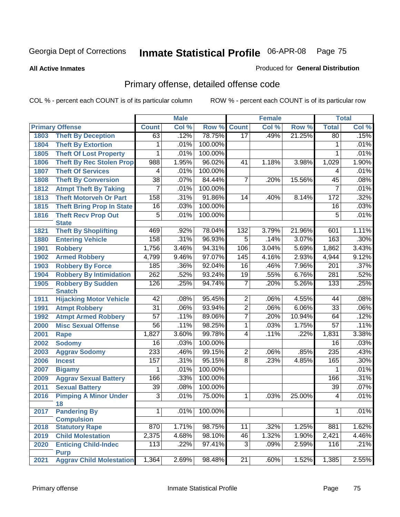**All Active Inmates**

### Produced for **General Distribution**

# Primary offense, detailed offense code

|      |                                          |                 | <b>Male</b> |         |                 | <b>Female</b> |        |                 | <b>Total</b> |
|------|------------------------------------------|-----------------|-------------|---------|-----------------|---------------|--------|-----------------|--------------|
|      | <b>Primary Offense</b>                   | <b>Count</b>    | Col %       | Row %   | <b>Count</b>    | Col %         | Row %  | <b>Total</b>    | Col %        |
| 1803 | <b>Theft By Deception</b>                | 63              | .12%        | 78.75%  | 17              | .49%          | 21.25% | 80              | .15%         |
| 1804 | <b>Theft By Extortion</b>                | 1               | .01%        | 100.00% |                 |               |        | 1               | .01%         |
| 1805 | <b>Theft Of Lost Property</b>            | 1               | .01%        | 100.00% |                 |               |        | 1               | .01%         |
| 1806 | <b>Theft By Rec Stolen Prop</b>          | 988             | 1.95%       | 96.02%  | 41              | 1.18%         | 3.98%  | 1,029           | 1.90%        |
| 1807 | <b>Theft Of Services</b>                 | 4               | .01%        | 100.00% |                 |               |        | 4               | .01%         |
| 1808 | <b>Theft By Conversion</b>               | $\overline{38}$ | .07%        | 84.44%  | $\overline{7}$  | .20%          | 15.56% | 45              | .08%         |
| 1812 | <b>Atmpt Theft By Taking</b>             | $\overline{7}$  | .01%        | 100.00% |                 |               |        | $\overline{7}$  | .01%         |
| 1813 | <b>Theft Motorveh Or Part</b>            | 158             | .31%        | 91.86%  | 14              | .40%          | 8.14%  | 172             | .32%         |
| 1815 | <b>Theft Bring Prop In State</b>         | $\overline{16}$ | .03%        | 100.00% |                 |               |        | 16              | .03%         |
| 1816 | <b>Theft Recv Prop Out</b>               | $\overline{5}$  | .01%        | 100.00% |                 |               |        | 5               | .01%         |
|      | <b>State</b>                             |                 |             |         |                 |               |        |                 |              |
| 1821 | <b>Theft By Shoplifting</b>              | 469             | .92%        | 78.04%  | 132             | 3.79%         | 21.96% | 601             | 1.11%        |
| 1880 | <b>Entering Vehicle</b>                  | 158             | .31%        | 96.93%  | 5               | .14%          | 3.07%  | 163             | .30%         |
| 1901 | <b>Robbery</b>                           | 1,756           | 3.46%       | 94.31%  | 106             | 3.04%         | 5.69%  | 1,862           | 3.43%        |
| 1902 | <b>Armed Robbery</b>                     | 4,799           | 9.46%       | 97.07%  | 145             | 4.16%         | 2.93%  | 4,944           | 9.12%        |
| 1903 | <b>Robbery By Force</b>                  | 185             | .36%        | 92.04%  | $\overline{16}$ | .46%          | 7.96%  | 201             | .37%         |
| 1904 | <b>Robbery By Intimidation</b>           | 262             | .52%        | 93.24%  | 19              | .55%          | 6.76%  | 281             | .52%         |
| 1905 | <b>Robbery By Sudden</b>                 | 126             | .25%        | 94.74%  | $\overline{7}$  | .20%          | 5.26%  | 133             | .25%         |
|      | <b>Snatch</b>                            |                 |             | 95.45%  |                 |               |        |                 |              |
| 1911 | <b>Hijacking Motor Vehicle</b>           | $\overline{42}$ | .08%        |         | $\overline{2}$  | .06%          | 4.55%  | 44              | .08%         |
| 1991 | <b>Atmpt Robbery</b>                     | $\overline{31}$ | .06%        | 93.94%  | $\overline{2}$  | .06%          | 6.06%  | $\overline{33}$ | .06%         |
| 1992 | <b>Atmpt Armed Robbery</b>               | $\overline{57}$ | .11%        | 89.06%  | $\overline{7}$  | .20%          | 10.94% | 64              | .12%         |
| 2000 | <b>Misc Sexual Offense</b>               | $\overline{56}$ | .11%        | 98.25%  | 1               | .03%          | 1.75%  | $\overline{57}$ | .11%         |
| 2001 | Rape                                     | 1,827           | 3.60%       | 99.78%  | $\overline{4}$  | .11%          | .22%   | 1,831           | 3.38%        |
| 2002 | <b>Sodomy</b>                            | 16              | .03%        | 100.00% |                 |               |        | 16              | .03%         |
| 2003 | <b>Aggrav Sodomy</b>                     | 233             | .46%        | 99.15%  | $\overline{2}$  | .06%          | .85%   | 235             | .43%         |
| 2006 | <b>Incest</b>                            | 157             | .31%        | 95.15%  | $\overline{8}$  | .23%          | 4.85%  | 165             | .30%         |
| 2007 | <b>Bigamy</b>                            | 1               | .01%        | 100.00% |                 |               |        | 1               | .01%         |
| 2009 | <b>Aggrav Sexual Battery</b>             | 166             | .33%        | 100.00% |                 |               |        | 166             | .31%         |
| 2011 | <b>Sexual Battery</b>                    | $\overline{39}$ | .08%        | 100.00% |                 |               |        | $\overline{39}$ | .07%         |
| 2016 | <b>Pimping A Minor Under</b><br>18       | $\overline{3}$  | .01%        | 75.00%  | 1               | .03%          | 25.00% | 4               | .01%         |
| 2017 | <b>Pandering By</b><br><b>Compulsion</b> | $\overline{1}$  | .01%        | 100.00% |                 |               |        | $\mathbf{1}$    | .01%         |
| 2018 | <b>Statutory Rape</b>                    | 870             | 1.71%       | 98.75%  | 11              | .32%          | 1.25%  | 881             | 1.62%        |
| 2019 | <b>Child Molestation</b>                 | 2,375           | 4.68%       | 98.10%  | 46              | 1.32%         | 1.90%  | 2,421           | 4.46%        |
| 2020 | <b>Enticing Child-Indec</b>              | 113             | .22%        | 97.41%  | $\overline{3}$  | .09%          | 2.59%  | 116             | .21%         |
|      | <b>Purp</b>                              |                 |             |         |                 |               |        |                 |              |
| 2021 | <b>Aggrav Child Molestation</b>          | 1,364           | 2.69%       | 98.48%  | 21              | .60%          | 1.52%  | 1,385           | 2.55%        |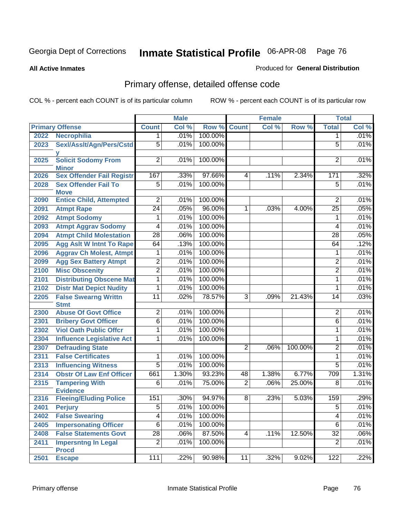**All Active Inmates**

### Produced for **General Distribution**

# Primary offense, detailed offense code

|      |                                            |                 | <b>Male</b> |                 |                | <b>Female</b> |         |                 | <b>Total</b> |
|------|--------------------------------------------|-----------------|-------------|-----------------|----------------|---------------|---------|-----------------|--------------|
|      | <b>Primary Offense</b>                     | <b>Count</b>    | Col %       | Row %           | <b>Count</b>   | Col %         | Row %   | <b>Total</b>    | Col %        |
| 2022 | <b>Necrophilia</b>                         | 1               | .01%        | 100.00%         |                |               |         | 1               | .01%         |
| 2023 | Sexl/Asslt/Agn/Pers/Cstd                   | $\overline{5}$  | .01%        | 100.00%         |                |               |         | 5               | .01%         |
| 2025 | <b>Solicit Sodomy From</b><br><b>Minor</b> | $\overline{2}$  | .01%        | 100.00%         |                |               |         | 2               | .01%         |
| 2026 | <b>Sex Offender Fail Registr</b>           | 167             | .33%        | 97.66%          | 4              | .11%          | 2.34%   | 171             | .32%         |
| 2028 | <b>Sex Offender Fail To</b>                | $\overline{5}$  | .01%        | 100.00%         |                |               |         | $\overline{5}$  | .01%         |
|      | <b>Move</b>                                |                 |             |                 |                |               |         |                 |              |
| 2090 | <b>Entice Child, Attempted</b>             | $\overline{2}$  | .01%        | 100.00%         |                |               |         | $\overline{2}$  | .01%         |
| 2091 | <b>Atmpt Rape</b>                          | $\overline{24}$ | .05%        | 96.00%          | $\mathbf{1}$   | .03%          | 4.00%   | $\overline{25}$ | .05%         |
| 2092 | <b>Atmpt Sodomy</b>                        | 1               | .01%        | 100.00%         |                |               |         | 1               | .01%         |
| 2093 | <b>Atmpt Aggrav Sodomy</b>                 | $\overline{4}$  | .01%        | 100.00%         |                |               |         | 4               | .01%         |
| 2094 | <b>Atmpt Child Molestation</b>             | $\overline{28}$ | .06%        | 100.00%         |                |               |         | $\overline{28}$ | .05%         |
| 2095 | <b>Agg Aslt W Intnt To Rape</b>            | 64              | .13%        | 100.00%         |                |               |         | 64              | .12%         |
| 2096 | <b>Aggrav Ch Molest, Atmpt</b>             | 1               | .01%        | 100.00%         |                |               |         | 1               | .01%         |
| 2099 | <b>Agg Sex Battery Atmpt</b>               | $\overline{2}$  | .01%        | 100.00%         |                |               |         | $\overline{2}$  | .01%         |
| 2100 | <b>Misc Obscenity</b>                      | $\overline{2}$  | .01%        | 100.00%         |                |               |         | $\overline{2}$  | .01%         |
| 2101 | <b>Distributing Obscene Mat</b>            | $\overline{1}$  | .01%        | 100.00%         |                |               |         | $\mathbf{1}$    | .01%         |
| 2102 | <b>Distr Mat Depict Nudity</b>             | 1               | .01%        | 100.00%         |                |               |         | 1               | .01%         |
| 2205 | <b>False Swearng Writtn</b>                | $\overline{11}$ | .02%        | 78.57%          | $\overline{3}$ | .09%          | 21.43%  | 14              | .03%         |
|      | <b>Stmt</b>                                |                 |             |                 |                |               |         |                 |              |
| 2300 | <b>Abuse Of Govt Office</b>                | $\overline{2}$  | .01%        | 100.00%         |                |               |         | $\overline{2}$  | .01%         |
| 2301 | <b>Bribery Govt Officer</b>                | $\overline{6}$  | .01%        | 100.00%         |                |               |         | $\overline{6}$  | .01%         |
| 2302 | <b>Viol Oath Public Offcr</b>              | 1               | .01%        | 100.00%         |                |               |         | 1               | .01%         |
| 2304 | <b>Influence Legislative Act</b>           | 1               | .01%        | 100.00%         |                |               |         | 1               | .01%         |
| 2307 | <b>Defrauding State</b>                    |                 |             |                 | $\overline{2}$ | .06%          | 100.00% | $\overline{2}$  | .01%         |
| 2311 | <b>False Certificates</b>                  | 1               | .01%        | 100.00%         |                |               |         | 1               | .01%         |
| 2313 | <b>Influencing Witness</b>                 | $\overline{5}$  | .01%        | 100.00%         |                |               |         | $\overline{5}$  | .01%         |
| 2314 | <b>Obstr Of Law Enf Officer</b>            | 661             | 1.30%       | 93.23%          | 48             | 1.38%         | 6.77%   | 709             | 1.31%        |
| 2315 | <b>Tampering With</b><br><b>Evidence</b>   | 6               | .01%        | 75.00%          | $\overline{2}$ | .06%          | 25.00%  | 8               | .01%         |
| 2316 | <b>Fleeing/Eluding Police</b>              | 151             | .30%        | 94.97%          | 8              | .23%          | 5.03%   | 159             | .29%         |
| 2401 | <b>Perjury</b>                             | $\overline{5}$  |             | $.01\%$ 100.00% |                |               |         | $\overline{5}$  | .01%         |
| 2402 | <b>False Swearing</b>                      | $\overline{4}$  | .01%        | 100.00%         |                |               |         | 4               | .01%         |
| 2405 | <b>Impersonating Officer</b>               | $\overline{6}$  | .01%        | 100.00%         |                |               |         | $\overline{6}$  | .01%         |
| 2408 | <b>False Statements Govt</b>               | $\overline{28}$ | .06%        | 87.50%          | 4              | .11%          | 12.50%  | $\overline{32}$ | .06%         |
| 2411 | <b>Impersntng In Legal</b>                 | $\overline{2}$  | .01%        | 100.00%         |                |               |         | $\overline{2}$  | .01%         |
|      | <b>Procd</b>                               |                 |             |                 |                |               |         |                 |              |
| 2501 | <b>Escape</b>                              | 111             | .22%        | 90.98%          | 11             | .32%          | 9.02%   | 122             | .22%         |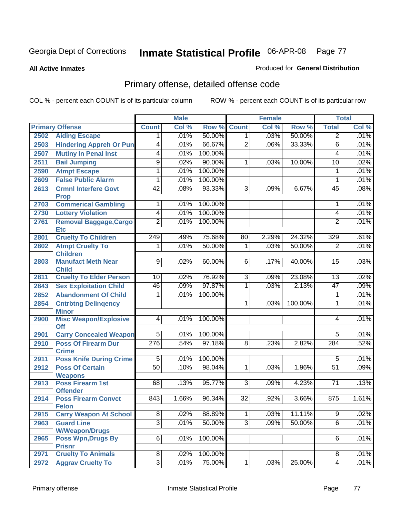#### **All Active Inmates**

### Produced for **General Distribution**

# Primary offense, detailed offense code

|      |                                                |                 | <b>Male</b> |         |                 | <b>Female</b> |         |                 | <b>Total</b> |
|------|------------------------------------------------|-----------------|-------------|---------|-----------------|---------------|---------|-----------------|--------------|
|      | <b>Primary Offense</b>                         | <b>Count</b>    | Col %       | Row %   | <b>Count</b>    | Col %         | Row %   | <b>Total</b>    | Col %        |
| 2502 | <b>Aiding Escape</b>                           | 1.              | .01%        | 50.00%  | 1 <sup>1</sup>  | .03%          | 50.00%  | $\overline{2}$  | .01%         |
| 2503 | <b>Hindering Appreh Or Pun</b>                 | $\overline{4}$  | .01%        | 66.67%  | $\overline{2}$  | .06%          | 33.33%  | 6               | .01%         |
| 2507 | <b>Mutiny In Penal Inst</b>                    | $\overline{4}$  | .01%        | 100.00% |                 |               |         | 4               | .01%         |
| 2511 | <b>Bail Jumping</b>                            | $\overline{9}$  | .02%        | 90.00%  | 1               | .03%          | 10.00%  | 10              | .02%         |
| 2590 | <b>Atmpt Escape</b>                            | $\overline{1}$  | .01%        | 100.00% |                 |               |         | 1               | .01%         |
| 2609 | <b>False Public Alarm</b>                      | 1               | .01%        | 100.00% |                 |               |         | 1               | .01%         |
| 2613 | <b>Crmnl Interfere Govt</b><br><b>Prop</b>     | $\overline{42}$ | .08%        | 93.33%  | $\overline{3}$  | .09%          | 6.67%   | 45              | .08%         |
| 2703 | <b>Commerical Gambling</b>                     | 1               | .01%        | 100.00% |                 |               |         | 1               | .01%         |
| 2730 | <b>Lottery Violation</b>                       | 4               | .01%        | 100.00% |                 |               |         | 4               | .01%         |
| 2761 | <b>Removal Baggage, Cargo</b><br><b>Etc</b>    | $\overline{2}$  | .01%        | 100.00% |                 |               |         | $\overline{2}$  | .01%         |
| 2801 | <b>Cruelty To Children</b>                     | 249             | .49%        | 75.68%  | 80              | 2.29%         | 24.32%  | 329             | .61%         |
| 2802 | <b>Atmpt Cruelty To</b>                        | 1               | .01%        | 50.00%  | 1               | .03%          | 50.00%  | $\overline{2}$  | .01%         |
|      | <b>Children</b>                                |                 |             |         |                 |               |         |                 |              |
| 2803 | <b>Manufact Meth Near</b>                      | $\overline{9}$  | .02%        | 60.00%  | $\overline{6}$  | .17%          | 40.00%  | 15              | .03%         |
| 2811 | <b>Child</b><br><b>Cruelty To Elder Person</b> | 10              | .02%        | 76.92%  | 3               | .09%          | 23.08%  | 13              | .02%         |
| 2843 | <b>Sex Exploitation Child</b>                  | $\overline{46}$ | .09%        | 97.87%  | $\overline{1}$  | .03%          | 2.13%   | 47              | .09%         |
| 2852 | <b>Abandonment Of Child</b>                    | 1               | .01%        | 100.00% |                 |               |         | 1               | .01%         |
| 2854 | <b>Cntrbtng Delingency</b>                     |                 |             |         | 1               | .03%          | 100.00% | 1               | .01%         |
|      | <b>Minor</b>                                   |                 |             |         |                 |               |         |                 |              |
| 2900 | <b>Misc Weapon/Explosive</b><br><b>Off</b>     | $\overline{4}$  | .01%        | 100.00% |                 |               |         | 4               | .01%         |
| 2901 | <b>Carry Concealed Weapon</b>                  | $\overline{5}$  | .01%        | 100.00% |                 |               |         | $\overline{5}$  | .01%         |
| 2910 | <b>Poss Of Firearm Dur</b>                     | 276             | .54%        | 97.18%  | 8               | .23%          | 2.82%   | 284             | .52%         |
|      | <b>Crime</b>                                   |                 |             |         |                 |               |         |                 |              |
| 2911 | <b>Poss Knife During Crime</b>                 | $\overline{5}$  | .01%        | 100.00% |                 |               |         | 5               | .01%         |
| 2912 | <b>Poss Of Certain</b><br><b>Weapons</b>       | $\overline{50}$ | .10%        | 98.04%  | 1               | .03%          | 1.96%   | 51              | .09%         |
| 2913 | <b>Poss Firearm 1st</b><br><b>Offender</b>     | 68              | .13%        | 95.77%  | $\overline{3}$  | .09%          | 4.23%   | $\overline{71}$ | .13%         |
| 2914 | <b>Poss Firearm Convct</b><br><b>Felon</b>     | 843             | 1.66%       | 96.34%  | $\overline{32}$ | .92%          | 3.66%   | 875             | 1.61%        |
| 2915 | <b>Carry Weapon At School</b>                  | $\overline{8}$  | .02%        | 88.89%  | $\overline{1}$  | .03%          | 11.11%  | $\overline{9}$  | .02%         |
| 2963 | <b>Guard Line</b>                              | $\overline{3}$  | .01%        | 50.00%  | $\overline{3}$  | .09%          | 50.00%  | $\overline{6}$  | .01%         |
|      | <b>W/Weapon/Drugs</b>                          |                 |             |         |                 |               |         |                 |              |
| 2965 | <b>Poss Wpn, Drugs By</b>                      | $\overline{6}$  | .01%        | 100.00% |                 |               |         | 6               | .01%         |
|      | <b>Prisnr</b>                                  |                 |             |         |                 |               |         |                 |              |
| 2971 | <b>Cruelty To Animals</b>                      | $\infty$        | .02%        | 100.00% |                 |               |         | 8               | .01%         |
| 2972 | <b>Aggrav Cruelty To</b>                       | $\overline{3}$  | .01%        | 75.00%  | $\mathbf{1}$    | .03%          | 25.00%  | 4               | .01%         |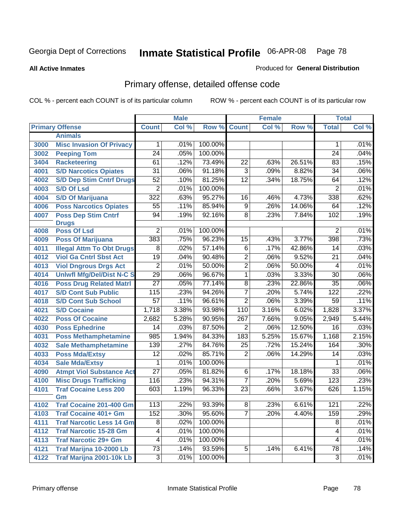**All Active Inmates**

### Produced for **General Distribution**

# Primary offense, detailed offense code

|      |                                  |                 | <b>Male</b> |         | <b>Female</b>   |       |        | <b>Total</b>    |       |
|------|----------------------------------|-----------------|-------------|---------|-----------------|-------|--------|-----------------|-------|
|      | <b>Primary Offense</b>           | <b>Count</b>    | Col %       | Row %   | <b>Count</b>    | Col % | Row %  | <b>Total</b>    | Col % |
|      | <b>Animals</b>                   |                 |             |         |                 |       |        |                 |       |
| 3000 | <b>Misc Invasion Of Privacy</b>  | $\mathbf 1$     | .01%        | 100.00% |                 |       |        | 1               | .01%  |
| 3002 | <b>Peeping Tom</b>               | $\overline{24}$ | .05%        | 100.00% |                 |       |        | $\overline{24}$ | .04%  |
| 3404 | <b>Racketeering</b>              | 61              | .12%        | 73.49%  | $\overline{22}$ | .63%  | 26.51% | 83              | .15%  |
| 4001 | <b>S/D Narcotics Opiates</b>     | $\overline{31}$ | .06%        | 91.18%  | $\overline{3}$  | .09%  | 8.82%  | $\overline{34}$ | .06%  |
| 4002 | <b>S/D Dep Stim Cntrf Drugs</b>  | 52              | .10%        | 81.25%  | $\overline{12}$ | .34%  | 18.75% | 64              | .12%  |
| 4003 | <b>S/D Of Lsd</b>                | $\overline{2}$  | .01%        | 100.00% |                 |       |        | $\overline{2}$  | .01%  |
| 4004 | <b>S/D Of Marijuana</b>          | 322             | .63%        | 95.27%  | 16              | .46%  | 4.73%  | 338             | .62%  |
| 4006 | <b>Poss Narcotics Opiates</b>    | $\overline{55}$ | .11%        | 85.94%  | $\overline{9}$  | .26%  | 14.06% | 64              | .12%  |
| 4007 | <b>Poss Dep Stim Cntrf</b>       | $\overline{94}$ | .19%        | 92.16%  | $\overline{8}$  | .23%  | 7.84%  | 102             | .19%  |
|      | <b>Drugs</b>                     |                 |             |         |                 |       |        |                 |       |
| 4008 | <b>Poss Of Lsd</b>               | $\overline{2}$  | .01%        | 100.00% |                 |       |        | $\overline{2}$  | .01%  |
| 4009 | <b>Poss Of Marijuana</b>         | 383             | .75%        | 96.23%  | $\overline{15}$ | .43%  | 3.77%  | 398             | .73%  |
| 4011 | <b>Illegal Attm To Obt Drugs</b> | 8               | .02%        | 57.14%  | $\overline{6}$  | .17%  | 42.86% | 14              | .03%  |
| 4012 | <b>Viol Ga Cntrl Sbst Act</b>    | $\overline{19}$ | .04%        | 90.48%  | $\overline{2}$  | .06%  | 9.52%  | $\overline{21}$ | .04%  |
| 4013 | <b>Viol Dngrous Drgs Act</b>     | $\overline{2}$  | .01%        | 50.00%  | $\overline{2}$  | .06%  | 50.00% | $\overline{4}$  | .01%  |
| 4014 | <b>Uniwfl Mfg/Del/Dist N-C S</b> | $\overline{29}$ | .06%        | 96.67%  | $\overline{1}$  | .03%  | 3.33%  | $\overline{30}$ | .06%  |
| 4016 | <b>Poss Drug Related Matri</b>   | $\overline{27}$ | .05%        | 77.14%  | 8               | .23%  | 22.86% | $\overline{35}$ | .06%  |
| 4017 | <b>S/D Cont Sub Public</b>       | 115             | .23%        | 94.26%  | 7               | .20%  | 5.74%  | 122             | .22%  |
| 4018 | <b>S/D Cont Sub School</b>       | $\overline{57}$ | .11%        | 96.61%  | $\overline{2}$  | .06%  | 3.39%  | 59              | .11%  |
| 4021 | <b>S/D Cocaine</b>               | 1,718           | 3.38%       | 93.98%  | 110             | 3.16% | 6.02%  | 1,828           | 3.37% |
| 4022 | <b>Poss Of Cocaine</b>           | 2,682           | 5.28%       | 90.95%  | 267             | 7.66% | 9.05%  | 2,949           | 5.44% |
| 4030 | <b>Poss Ephedrine</b>            | $\overline{14}$ | .03%        | 87.50%  | $\overline{2}$  | .06%  | 12.50% | $\overline{16}$ | .03%  |
| 4031 | <b>Poss Methamphetamine</b>      | 985             | 1.94%       | 84.33%  | 183             | 5.25% | 15.67% | 1,168           | 2.15% |
| 4032 | <b>Sale Methamphetamine</b>      | 139             | .27%        | 84.76%  | 25              | .72%  | 15.24% | 164             | .30%  |
| 4033 | <b>Poss Mda/Extsy</b>            | $\overline{12}$ | .02%        | 85.71%  | $\overline{2}$  | .06%  | 14.29% | 14              | .03%  |
| 4034 | <b>Sale Mda/Extsy</b>            | 1               | .01%        | 100.00% |                 |       |        | 1               | .01%  |
| 4090 | <b>Atmpt Viol Substance Act</b>  | $\overline{27}$ | .05%        | 81.82%  | 6               | .17%  | 18.18% | $\overline{33}$ | .06%  |
| 4100 | <b>Misc Drugs Trafficking</b>    | 116             | .23%        | 94.31%  | $\overline{7}$  | .20%  | 5.69%  | 123             | .23%  |
| 4101 | <b>Traf Cocaine Less 200</b>     | 603             | 1.19%       | 96.33%  | $\overline{23}$ | .66%  | 3.67%  | 626             | 1.15% |
|      | Gm                               |                 |             |         |                 |       |        |                 |       |
| 4102 | <b>Traf Cocaine 201-400 Gm</b>   | 113             | 22%         | 93.39%  | 8 <sup>1</sup>  | .23%  | 6.61%  | 121             | .22%  |
| 4103 | <b>Traf Cocaine 401+ Gm</b>      | 152             | .30%        | 95.60%  | 7               | .20%  | 4.40%  | 159             | .29%  |
| 4111 | <b>Traf Narcotic Less 14 Gm</b>  | $\overline{8}$  | .02%        | 100.00% |                 |       |        | $\overline{8}$  | .01%  |
| 4112 | <b>Traf Narcotic 15-28 Gm</b>    | $\overline{4}$  | .01%        | 100.00% |                 |       |        | $\overline{4}$  | .01%  |
| 4113 | <b>Traf Narcotic 29+ Gm</b>      | $\overline{4}$  | .01%        | 100.00% |                 |       |        | 4               | .01%  |
| 4121 | Traf Marijna 10-2000 Lb          | $\overline{73}$ | .14%        | 93.59%  | $\overline{5}$  | .14%  | 6.41%  | $\overline{78}$ | .14%  |
| 4122 | <b>Traf Marijna 2001-10k Lb</b>  | $\overline{3}$  | .01%        | 100.00% |                 |       |        | $\overline{3}$  | .01%  |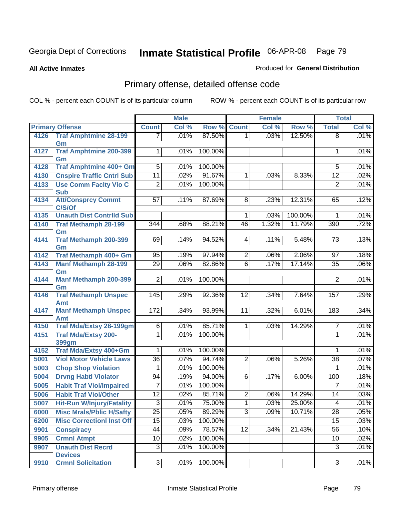**All Active Inmates**

### Produced for **General Distribution**

# Primary offense, detailed offense code

|      |                                       |                  | <b>Male</b> |         |                 | <b>Female</b> |         |                 | <b>Total</b> |
|------|---------------------------------------|------------------|-------------|---------|-----------------|---------------|---------|-----------------|--------------|
|      | <b>Primary Offense</b>                | <b>Count</b>     | Col %       | Row %   | <b>Count</b>    | Col %         | Row %   | <b>Total</b>    | Col %        |
| 4126 | <b>Traf Amphtmine 28-199</b>          | 7                | .01%        | 87.50%  | 1.              | .03%          | 12.50%  | $\overline{8}$  | .01%         |
|      | Gm                                    |                  |             |         |                 |               |         |                 |              |
| 4127 | <b>Traf Amphtmine 200-399</b>         | $\mathbf{1}$     | .01%        | 100.00% |                 |               |         | 1               | .01%         |
| 4128 | Gm<br>Traf Amphtmine 400+ Gm          | $\overline{5}$   | .01%        | 100.00% |                 |               |         | 5               | .01%         |
| 4130 | <b>Cnspire Traffic Cntrl Sub</b>      | $\overline{11}$  | .02%        | 91.67%  | $\mathbf{1}$    | .03%          | 8.33%   | $\overline{12}$ | .02%         |
| 4133 | <b>Use Comm Facity Vio C</b>          | $\overline{2}$   | .01%        | 100.00% |                 |               |         | $\overline{2}$  | .01%         |
|      | <b>Sub</b>                            |                  |             |         |                 |               |         |                 |              |
| 4134 | <b>Att/Consprcy Commt</b>             | $\overline{57}$  | .11%        | 87.69%  | $\overline{8}$  | .23%          | 12.31%  | 65              | .12%         |
|      | C/S/Of                                |                  |             |         |                 |               |         |                 |              |
| 4135 | <b>Unauth Dist Contrild Sub</b>       |                  |             |         | $\mathbf 1$     | .03%          | 100.00% | 1               | .01%         |
| 4140 | <b>Traf Methamph 28-199</b>           | $\overline{344}$ | .68%        | 88.21%  | 46              | 1.32%         | 11.79%  | 390             | .72%         |
|      | Gm                                    |                  |             |         |                 |               |         |                 |              |
| 4141 | <b>Traf Methamph 200-399</b>          | 69               | .14%        | 94.52%  | 4               | .11%          | 5.48%   | 73              | .13%         |
| 4142 | Gm<br>Traf Methamph 400+ Gm           | 95               | .19%        | 97.94%  | $\overline{2}$  | .06%          | 2.06%   | 97              | .18%         |
| 4143 | <b>Manf Methamph 28-199</b>           | $\overline{29}$  | .06%        | 82.86%  | $\overline{6}$  | .17%          | 17.14%  | $\overline{35}$ | .06%         |
|      | Gm                                    |                  |             |         |                 |               |         |                 |              |
| 4144 | <b>Manf Methamph 200-399</b>          | $\overline{2}$   | .01%        | 100.00% |                 |               |         | $\overline{2}$  | .01%         |
|      | Gm                                    |                  |             |         |                 |               |         |                 |              |
| 4146 | <b>Traf Methamph Unspec</b>           | $\overline{145}$ | .29%        | 92.36%  | 12              | .34%          | 7.64%   | 157             | .29%         |
|      | <b>Amt</b>                            |                  |             |         |                 |               |         |                 |              |
| 4147 | <b>Manf Methamph Unspec</b>           | 172              | .34%        | 93.99%  | 11              | .32%          | 6.01%   | 183             | .34%         |
| 4150 | Amt<br><b>Traf Mda/Extsy 28-199gm</b> | $\overline{6}$   | .01%        | 85.71%  | 1 <sup>1</sup>  | .03%          | 14.29%  | 7               | .01%         |
| 4151 | <b>Traf Mda/Extsy 200-</b>            | 1                | .01%        | 100.00% |                 |               |         | $\mathbf{1}$    | .01%         |
|      | <b>399gm</b>                          |                  |             |         |                 |               |         |                 |              |
| 4152 | Traf Mda/Extsy 400+Gm                 | 1                | .01%        | 100.00% |                 |               |         | 1               | .01%         |
| 5001 | <b>Viol Motor Vehicle Laws</b>        | $\overline{36}$  | .07%        | 94.74%  | $\overline{2}$  | .06%          | 5.26%   | $\overline{38}$ | .07%         |
| 5003 | <b>Chop Shop Violation</b>            | 1                | .01%        | 100.00% |                 |               |         | 1               | .01%         |
| 5004 | <b>Drvng Habtl Violator</b>           | 94               | .19%        | 94.00%  | 6               | .17%          | 6.00%   | 100             | .18%         |
| 5005 | <b>Habit Traf Viol/Impaired</b>       | 7                | .01%        | 100.00% |                 |               |         | 7               | .01%         |
| 5006 | <b>Habit Traf Viol/Other</b>          | $\overline{12}$  | .02%        | 85.71%  | $\overline{c}$  | .06%          | 14.29%  | 14              | .03%         |
| 5007 | <b>Hit-Run W/Injury/Fatality</b>      | $\overline{3}$   | .01%        | 75.00%  | $\mathbf{1}$    | .03%          | 25.00%  | 4               | .01%         |
| 6000 | <b>Misc Mrals/Pblic H/Safty</b>       | 25               | .05%        | 89.29%  | $\overline{3}$  | .09%          | 10.71%  | 28              | .05%         |
| 6200 | <b>Misc Correctionl Inst Off</b>      | 15               | .03%        | 100.00% |                 |               |         | 15              | .03%         |
| 9901 | <b>Conspiracy</b>                     | $\overline{44}$  | .09%        | 78.57%  | $\overline{12}$ | .34%          | 21.43%  | 56              | .10%         |
| 9905 | <b>Crmnl Atmpt</b>                    | 10               | .02%        | 100.00% |                 |               |         | 10              | .02%         |
| 9907 | <b>Unauth Dist Recrd</b>              | $\overline{3}$   | .01%        | 100.00% |                 |               |         | $\overline{3}$  | .01%         |
|      | <b>Devices</b>                        |                  |             |         |                 |               |         |                 |              |
| 9910 | <b>Crmnl Solicitation</b>             | $\overline{3}$   | .01%        | 100.00% |                 |               |         | $\overline{3}$  | .01%         |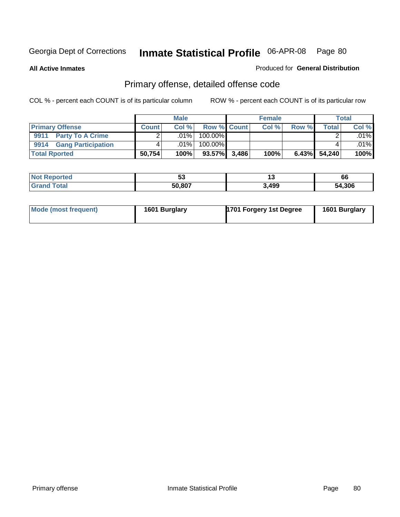**All Active Inmates**

#### Produced for **General Distribution**

# Primary offense, detailed offense code

|                         |              | <b>Male</b> |                    |       | <b>Female</b> |       |        | <b>Total</b> |
|-------------------------|--------------|-------------|--------------------|-------|---------------|-------|--------|--------------|
| <b>Primary Offense</b>  | <b>Count</b> | Col %       | <b>Row % Count</b> |       | Col %         | Row % | Total  | Col %        |
| 9911 Party To A Crime   |              | .01%        | 100.00%            |       |               |       |        | $.01\%$      |
| 9914 Gang Participation |              | .01%        | 100.00%            |       |               |       |        | $.01\%$      |
| <b>Total Rported</b>    | 50,754       | 100%        | 93.57%             | 3,486 | 100%          | 6.43% | 54,240 | 100%         |

| ted.        | v.     |      | 66   |
|-------------|--------|------|------|
| <b>otal</b> | 50.807 | ,499 | .306 |

| Mode (most frequent) | 1601 Burglary | 1701 Forgery 1st Degree | 1601 Burglary |
|----------------------|---------------|-------------------------|---------------|
|----------------------|---------------|-------------------------|---------------|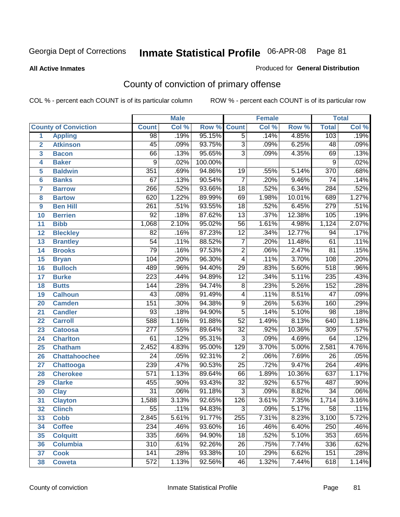**All Active Inmates**

#### Produced for **General Distribution**

# County of conviction of primary offense

|                         |                             |                  | <b>Male</b> |         |                 | <b>Female</b> |        |                  | <b>Total</b> |
|-------------------------|-----------------------------|------------------|-------------|---------|-----------------|---------------|--------|------------------|--------------|
|                         | <b>County of Conviction</b> | <b>Count</b>     | Col %       | Row %   | <b>Count</b>    | Col %         | Row %  | <b>Total</b>     | Col %        |
| 1                       | <b>Appling</b>              | $\overline{98}$  | .19%        | 95.15%  | $\overline{5}$  | .14%          | 4.85%  | 103              | .19%         |
| $\overline{2}$          | <b>Atkinson</b>             | $\overline{45}$  | .09%        | 93.75%  | $\overline{3}$  | .09%          | 6.25%  | 48               | .09%         |
| $\overline{\mathbf{3}}$ | <b>Bacon</b>                | 66               | .13%        | 95.65%  | $\overline{3}$  | .09%          | 4.35%  | 69               | .13%         |
| 4                       | <b>Baker</b>                | $\overline{9}$   | .02%        | 100.00% |                 |               |        | 9                | .02%         |
| 5                       | <b>Baldwin</b>              | 351              | .69%        | 94.86%  | 19              | .55%          | 5.14%  | $\overline{370}$ | .68%         |
| 6                       | <b>Banks</b>                | 67               | .13%        | 90.54%  | $\overline{7}$  | .20%          | 9.46%  | $\overline{74}$  | .14%         |
| 7                       | <b>Barrow</b>               | 266              | .52%        | 93.66%  | $\overline{18}$ | .52%          | 6.34%  | 284              | .52%         |
| 8                       | <b>Bartow</b>               | 620              | 1.22%       | 89.99%  | 69              | 1.98%         | 10.01% | 689              | 1.27%        |
| 9                       | <b>Ben Hill</b>             | $\overline{261}$ | .51%        | 93.55%  | $\overline{18}$ | .52%          | 6.45%  | $\overline{279}$ | .51%         |
| 10                      | <b>Berrien</b>              | 92               | .18%        | 87.62%  | $\overline{13}$ | .37%          | 12.38% | 105              | .19%         |
| 11                      | <b>Bibb</b>                 | 1,068            | 2.10%       | 95.02%  | $\overline{56}$ | 1.61%         | 4.98%  | 1,124            | 2.07%        |
| 12                      | <b>Bleckley</b>             | $\overline{82}$  | .16%        | 87.23%  | $\overline{12}$ | .34%          | 12.77% | 94               | .17%         |
| $\overline{13}$         | <b>Brantley</b>             | $\overline{54}$  | .11%        | 88.52%  | $\overline{7}$  | .20%          | 11.48% | 61               | .11%         |
| 14                      | <b>Brooks</b>               | $\overline{79}$  | .16%        | 97.53%  | $\overline{2}$  | .06%          | 2.47%  | $\overline{81}$  | .15%         |
| 15                      | <b>Bryan</b>                | 104              | .20%        | 96.30%  | $\overline{4}$  | .11%          | 3.70%  | 108              | .20%         |
| 16                      | <b>Bulloch</b>              | 489              | .96%        | 94.40%  | 29              | .83%          | 5.60%  | 518              | .96%         |
| 17                      | <b>Burke</b>                | $\overline{223}$ | .44%        | 94.89%  | $\overline{12}$ | .34%          | 5.11%  | 235              | .43%         |
| 18                      | <b>Butts</b>                | 144              | .28%        | 94.74%  | $\overline{8}$  | .23%          | 5.26%  | 152              | .28%         |
| 19                      | <b>Calhoun</b>              | $\overline{43}$  | .08%        | 91.49%  | 4               | .11%          | 8.51%  | $\overline{47}$  | .09%         |
| 20                      | <b>Camden</b>               | 151              | .30%        | 94.38%  | $\overline{9}$  | .26%          | 5.63%  | 160              | .29%         |
| 21                      | <b>Candler</b>              | $\overline{93}$  | .18%        | 94.90%  | $\overline{5}$  | .14%          | 5.10%  | $\overline{98}$  | .18%         |
| 22                      | <b>Carroll</b>              | 588              | 1.16%       | 91.88%  | $\overline{52}$ | 1.49%         | 8.13%  | 640              | 1.18%        |
| 23                      | <b>Catoosa</b>              | $\overline{277}$ | .55%        | 89.64%  | $\overline{32}$ | .92%          | 10.36% | 309              | .57%         |
| 24                      | <b>Charlton</b>             | 61               | .12%        | 95.31%  | $\overline{3}$  | .09%          | 4.69%  | 64               | .12%         |
| 25                      | <b>Chatham</b>              | 2,452            | 4.83%       | 95.00%  | 129             | 3.70%         | 5.00%  | 2,581            | 4.76%        |
| 26                      | <b>Chattahoochee</b>        | 24               | .05%        | 92.31%  | $\overline{2}$  | .06%          | 7.69%  | $\overline{26}$  | .05%         |
| 27                      | <b>Chattooga</b>            | 239              | .47%        | 90.53%  | $\overline{25}$ | .72%          | 9.47%  | 264              | .49%         |
| 28                      | <b>Cherokee</b>             | $\overline{571}$ | 1.13%       | 89.64%  | 66              | 1.89%         | 10.36% | 637              | 1.17%        |
| 29                      | <b>Clarke</b>               | 455              | .90%        | 93.43%  | $\overline{32}$ | .92%          | 6.57%  | 487              | .90%         |
| 30                      | <b>Clay</b>                 | $\overline{31}$  | .06%        | 91.18%  | $\overline{3}$  | .09%          | 8.82%  | $\overline{34}$  | .06%         |
| 31                      | <b>Clayton</b>              | 1,588            | 3.13%       | 92.65%  | 126             | 3.61%         | 7.35%  | 1,714            | 3.16%        |
| 32                      | <b>Clinch</b>               | 55               | .11%        | 94.83%  | 3               | .09%          | 5.17%  | 58               | .11%         |
| 33                      | <b>Cobb</b>                 | 2,845            | 5.61%       | 91.77%  | 255             | 7.31%         | 8.23%  | 3,100            | 5.72%        |
| 34                      | <b>Coffee</b>               | 234              | .46%        | 93.60%  | 16              | .46%          | 6.40%  | 250              | .46%         |
| 35                      | <b>Colquitt</b>             | 335              | .66%        | 94.90%  | 18              | .52%          | 5.10%  | 353              | .65%         |
| 36                      | <b>Columbia</b>             | 310              | .61%        | 92.26%  | 26              | .75%          | 7.74%  | 336              | .62%         |
| 37                      | <b>Cook</b>                 | 141              | .28%        | 93.38%  | 10              | .29%          | 6.62%  | 151              | .28%         |
| 38                      | <b>Coweta</b>               | 572              | 1.13%       | 92.56%  | 46              | 1.32%         | 7.44%  | 618              | 1.14%        |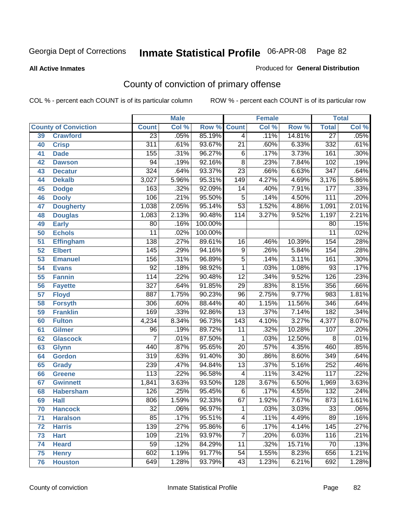**All Active Inmates**

### Produced for **General Distribution**

# County of conviction of primary offense

|    |                             |                  | <b>Male</b> |         |                  | <b>Female</b> |        |                  | <b>Total</b> |
|----|-----------------------------|------------------|-------------|---------|------------------|---------------|--------|------------------|--------------|
|    | <b>County of Conviction</b> | <b>Count</b>     | Col %       | Row %   | <b>Count</b>     | Col %         | Row %  | <b>Total</b>     | Col %        |
| 39 | <b>Crawford</b>             | $\overline{23}$  | .05%        | 85.19%  | $\overline{4}$   | .11%          | 14.81% | $\overline{27}$  | .05%         |
| 40 | <b>Crisp</b>                | 311              | .61%        | 93.67%  | $\overline{21}$  | .60%          | 6.33%  | 332              | .61%         |
| 41 | <b>Dade</b>                 | 155              | .31%        | 96.27%  | 6                | .17%          | 3.73%  | 161              | .30%         |
| 42 | <b>Dawson</b>               | 94               | .19%        | 92.16%  | $\overline{8}$   | .23%          | 7.84%  | 102              | .19%         |
| 43 | <b>Decatur</b>              | $\overline{324}$ | .64%        | 93.37%  | $\overline{23}$  | .66%          | 6.63%  | $\overline{347}$ | .64%         |
| 44 | <b>Dekalb</b>               | 3,027            | 5.96%       | 95.31%  | 149              | 4.27%         | 4.69%  | 3,176            | 5.86%        |
| 45 | <b>Dodge</b>                | 163              | .32%        | 92.09%  | 14               | .40%          | 7.91%  | 177              | .33%         |
| 46 | <b>Dooly</b>                | 106              | .21%        | 95.50%  | 5                | .14%          | 4.50%  | 111              | .20%         |
| 47 | <b>Dougherty</b>            | 1,038            | 2.05%       | 95.14%  | $\overline{53}$  | 1.52%         | 4.86%  | 1,091            | 2.01%        |
| 48 | <b>Douglas</b>              | 1,083            | 2.13%       | 90.48%  | $\overline{114}$ | 3.27%         | 9.52%  | 1,197            | 2.21%        |
| 49 | <b>Early</b>                | 80               | .16%        | 100.00% |                  |               |        | 80               | .15%         |
| 50 | <b>Echols</b>               | $\overline{11}$  | .02%        | 100.00% |                  |               |        | $\overline{11}$  | .02%         |
| 51 | <b>Effingham</b>            | 138              | .27%        | 89.61%  | 16               | .46%          | 10.39% | 154              | .28%         |
| 52 | <b>Elbert</b>               | 145              | .29%        | 94.16%  | $\overline{9}$   | .26%          | 5.84%  | 154              | .28%         |
| 53 | <b>Emanuel</b>              | 156              | .31%        | 96.89%  | $\overline{5}$   | .14%          | 3.11%  | 161              | .30%         |
| 54 | <b>Evans</b>                | $\overline{92}$  | .18%        | 98.92%  | 1                | .03%          | 1.08%  | 93               | .17%         |
| 55 | <b>Fannin</b>               | 114              | .22%        | 90.48%  | $\overline{12}$  | .34%          | 9.52%  | $\overline{126}$ | .23%         |
| 56 | <b>Fayette</b>              | $\overline{327}$ | .64%        | 91.85%  | 29               | .83%          | 8.15%  | 356              | .66%         |
| 57 | <b>Floyd</b>                | 887              | 1.75%       | 90.23%  | $\overline{96}$  | 2.75%         | 9.77%  | 983              | 1.81%        |
| 58 | <b>Forsyth</b>              | 306              | .60%        | 88.44%  | 40               | 1.15%         | 11.56% | 346              | .64%         |
| 59 | <b>Franklin</b>             | 169              | .33%        | 92.86%  | $\overline{13}$  | .37%          | 7.14%  | 182              | .34%         |
| 60 | <b>Fulton</b>               | 4,234            | 8.34%       | 96.73%  | $\overline{143}$ | 4.10%         | 3.27%  | 4,377            | 8.07%        |
| 61 | Gilmer                      | $\overline{96}$  | .19%        | 89.72%  | 11               | .32%          | 10.28% | 107              | .20%         |
| 62 | <b>Glascock</b>             | $\overline{7}$   | .01%        | 87.50%  | $\mathbf{1}$     | .03%          | 12.50% | 8                | .01%         |
| 63 | <b>Glynn</b>                | 440              | .87%        | 95.65%  | $\overline{20}$  | .57%          | 4.35%  | 460              | .85%         |
| 64 | <b>Gordon</b>               | 319              | .63%        | 91.40%  | $\overline{30}$  | .86%          | 8.60%  | 349              | .64%         |
| 65 | <b>Grady</b>                | 239              | .47%        | 94.84%  | $\overline{13}$  | .37%          | 5.16%  | 252              | .46%         |
| 66 | <b>Greene</b>               | 113              | .22%        | 96.58%  | 4                | .11%          | 3.42%  | 117              | .22%         |
| 67 | <b>Gwinnett</b>             | 1,841            | 3.63%       | 93.50%  | 128              | 3.67%         | 6.50%  | 1,969            | 3.63%        |
| 68 | <b>Habersham</b>            | 126              | .25%        | 95.45%  | 6                | .17%          | 4.55%  | 132              | .24%         |
| 69 | <b>Hall</b>                 | 806              | 1.59%       | 92.33%  | 67               | 1.92%         | 7.67%  | 873              | 1.61%        |
| 70 | <b>Hancock</b>              | 32               | .06%        | 96.97%  | 1                | .03%          | 3.03%  | 33               | $.06\%$      |
| 71 | <b>Haralson</b>             | 85               | .17%        | 95.51%  | 4                | .11%          | 4.49%  | 89               | .16%         |
| 72 | <b>Harris</b>               | 139              | .27%        | 95.86%  | $\overline{6}$   | .17%          | 4.14%  | 145              | .27%         |
| 73 | <b>Hart</b>                 | 109              | .21%        | 93.97%  | $\overline{7}$   | .20%          | 6.03%  | 116              | .21%         |
| 74 | <b>Heard</b>                | $\overline{59}$  | .12%        | 84.29%  | 11               | .32%          | 15.71% | 70               | .13%         |
| 75 | <b>Henry</b>                | 602              | 1.19%       | 91.77%  | 54               | 1.55%         | 8.23%  | 656              | 1.21%        |
| 76 | <b>Houston</b>              | 649              | 1.28%       | 93.79%  | 43               | 1.23%         | 6.21%  | 692              | 1.28%        |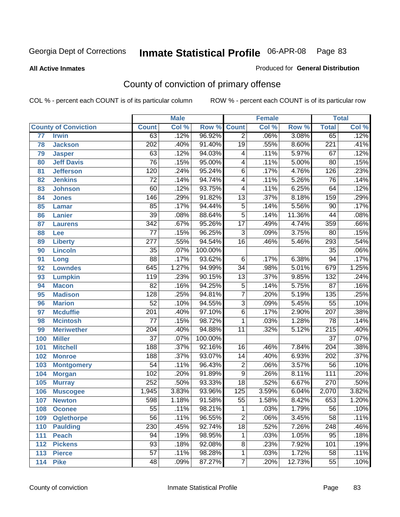#### **All Active Inmates**

### Produced for **General Distribution**

# County of conviction of primary offense

|     |                             |                  | <b>Male</b> |         |                          | <b>Female</b> |        |                  | <b>Total</b> |
|-----|-----------------------------|------------------|-------------|---------|--------------------------|---------------|--------|------------------|--------------|
|     | <b>County of Conviction</b> | <b>Count</b>     | Col %       | Row %   | <b>Count</b>             | Col %         | Row %  | <b>Total</b>     | Col %        |
| 77  | <b>Irwin</b>                | 63               | .12%        | 96.92%  | $\overline{2}$           | .06%          | 3.08%  | 65               | .12%         |
| 78  | <b>Jackson</b>              | $\overline{202}$ | .40%        | 91.40%  | $\overline{19}$          | .55%          | 8.60%  | $\overline{221}$ | .41%         |
| 79  | <b>Jasper</b>               | 63               | .12%        | 94.03%  | $\overline{\mathbf{4}}$  | .11%          | 5.97%  | 67               | .12%         |
| 80  | <b>Jeff Davis</b>           | $\overline{76}$  | .15%        | 95.00%  | $\overline{\mathcal{A}}$ | .11%          | 5.00%  | $\overline{80}$  | .15%         |
| 81  | <b>Jefferson</b>            | 120              | .24%        | 95.24%  | $\overline{6}$           | .17%          | 4.76%  | 126              | .23%         |
| 82  | <b>Jenkins</b>              | $\overline{72}$  | .14%        | 94.74%  | $\overline{4}$           | .11%          | 5.26%  | $\overline{76}$  | .14%         |
| 83  | <b>Johnson</b>              | 60               | .12%        | 93.75%  | $\overline{\mathcal{A}}$ | .11%          | 6.25%  | 64               | .12%         |
| 84  | <b>Jones</b>                | 146              | .29%        | 91.82%  | $\overline{13}$          | .37%          | 8.18%  | 159              | .29%         |
| 85  | <b>Lamar</b>                | 85               | .17%        | 94.44%  | $\overline{5}$           | .14%          | 5.56%  | $\overline{90}$  | .17%         |
| 86  | <b>Lanier</b>               | $\overline{39}$  | .08%        | 88.64%  | $\overline{5}$           | .14%          | 11.36% | $\overline{44}$  | .08%         |
| 87  | <b>Laurens</b>              | $\overline{342}$ | .67%        | 95.26%  | $\overline{17}$          | .49%          | 4.74%  | 359              | .66%         |
| 88  | <b>Lee</b>                  | $\overline{77}$  | .15%        | 96.25%  | $\overline{3}$           | .09%          | 3.75%  | $\overline{80}$  | .15%         |
| 89  | <b>Liberty</b>              | $\overline{277}$ | .55%        | 94.54%  | $\overline{16}$          | .46%          | 5.46%  | 293              | .54%         |
| 90  | <b>Lincoln</b>              | $\overline{35}$  | .07%        | 100.00% |                          |               |        | $\overline{35}$  | .06%         |
| 91  | Long                        | $\overline{88}$  | .17%        | 93.62%  | 6                        | .17%          | 6.38%  | 94               | .17%         |
| 92  | <b>Lowndes</b>              | 645              | 1.27%       | 94.99%  | $\overline{34}$          | .98%          | 5.01%  | 679              | 1.25%        |
| 93  | <b>Lumpkin</b>              | 119              | .23%        | 90.15%  | $\overline{13}$          | .37%          | 9.85%  | 132              | .24%         |
| 94  | <b>Macon</b>                | $\overline{82}$  | .16%        | 94.25%  | $\overline{5}$           | .14%          | 5.75%  | $\overline{87}$  | .16%         |
| 95  | <b>Madison</b>              | $\overline{128}$ | .25%        | 94.81%  | $\overline{7}$           | .20%          | 5.19%  | 135              | .25%         |
| 96  | <b>Marion</b>               | $\overline{52}$  | .10%        | 94.55%  | $\overline{3}$           | .09%          | 5.45%  | $\overline{55}$  | .10%         |
| 97  | <b>Mcduffie</b>             | $\overline{201}$ | .40%        | 97.10%  | $\overline{6}$           | .17%          | 2.90%  | $\overline{207}$ | .38%         |
| 98  | <b>Mcintosh</b>             | $\overline{77}$  | .15%        | 98.72%  | 1                        | .03%          | 1.28%  | $\overline{78}$  | .14%         |
| 99  | <b>Meriwether</b>           | $\overline{204}$ | .40%        | 94.88%  | $\overline{11}$          | .32%          | 5.12%  | $\overline{215}$ | .40%         |
| 100 | <b>Miller</b>               | $\overline{37}$  | .07%        | 100.00% |                          |               |        | $\overline{37}$  | .07%         |
| 101 | <b>Mitchell</b>             | 188              | .37%        | 92.16%  | 16                       | .46%          | 7.84%  | $\overline{204}$ | .38%         |
| 102 | <b>Monroe</b>               | 188              | .37%        | 93.07%  | $\overline{14}$          | .40%          | 6.93%  | 202              | .37%         |
| 103 | <b>Montgomery</b>           | $\overline{54}$  | .11%        | 96.43%  | $\overline{2}$           | .06%          | 3.57%  | $\overline{56}$  | .10%         |
| 104 | <b>Morgan</b>               | 102              | .20%        | 91.89%  | $\overline{9}$           | .26%          | 8.11%  | 111              | .20%         |
| 105 | <b>Murray</b>               | 252              | .50%        | 93.33%  | $\overline{18}$          | .52%          | 6.67%  | 270              | .50%         |
| 106 | <b>Muscogee</b>             | 1,945            | 3.83%       | 93.96%  | $\overline{125}$         | 3.59%         | 6.04%  | 2,070            | 3.82%        |
| 107 | <b>Newton</b>               | 598              | 1.18%       | 91.58%  | 55                       | 1.58%         | 8.42%  | 653              | 1.20%        |
| 108 | <b>Oconee</b>               | $\overline{55}$  | .11%        | 98.21%  | 1.                       | .03%          | 1.79%  | $\overline{56}$  | .10%         |
| 109 | <b>Oglethorpe</b>           | $\overline{56}$  | .11%        | 96.55%  | $\overline{2}$           | .06%          | 3.45%  | 58               | .11%         |
| 110 | <b>Paulding</b>             | 230              | .45%        | 92.74%  | $\overline{18}$          | .52%          | 7.26%  | $\overline{248}$ | .46%         |
| 111 | <b>Peach</b>                | 94               | .19%        | 98.95%  | 1                        | .03%          | 1.05%  | 95               | .18%         |
| 112 | <b>Pickens</b>              | 93               | .18%        | 92.08%  | $\overline{8}$           | .23%          | 7.92%  | 101              | .19%         |
| 113 | <b>Pierce</b>               | $\overline{57}$  | .11%        | 98.28%  | 1                        | .03%          | 1.72%  | 58               | .11%         |
| 114 | <b>Pike</b>                 | 48               | .09%        | 87.27%  | $\overline{7}$           | .20%          | 12.73% | $\overline{55}$  | .10%         |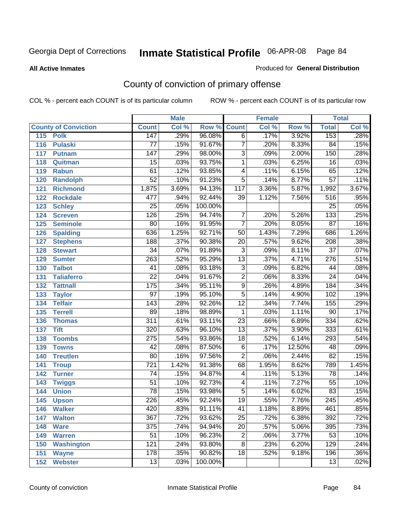**All Active Inmates**

### Produced for **General Distribution**

# County of conviction of primary offense

|                             |                  | <b>Male</b> |         |                 | <b>Female</b> |        |                  | <b>Total</b>               |
|-----------------------------|------------------|-------------|---------|-----------------|---------------|--------|------------------|----------------------------|
| <b>County of Conviction</b> | <b>Count</b>     | Col %       | Row %   | <b>Count</b>    | Col %         | Row %  | <b>Total</b>     | $\overline{\text{Col }\%}$ |
| 115<br><b>Polk</b>          | 147              | .29%        | 96.08%  | $\overline{6}$  | .17%          | 3.92%  | 153              | .28%                       |
| <b>Pulaski</b><br>116       | $\overline{77}$  | .15%        | 91.67%  | $\overline{7}$  | .20%          | 8.33%  | $\overline{84}$  | .15%                       |
| 117<br><b>Putnam</b>        | 147              | .29%        | 98.00%  | $\overline{3}$  | .09%          | 2.00%  | 150              | .28%                       |
| 118<br>Quitman              | $\overline{15}$  | .03%        | 93.75%  | $\mathbf{1}$    | .03%          | 6.25%  | $\overline{16}$  | .03%                       |
| 119<br><b>Rabun</b>         | 61               | .12%        | 93.85%  | 4               | .11%          | 6.15%  | 65               | .12%                       |
| 120<br><b>Randolph</b>      | $\overline{52}$  | .10%        | 91.23%  | $\overline{5}$  | .14%          | 8.77%  | $\overline{57}$  | .11%                       |
| 121<br><b>Richmond</b>      | 1,875            | 3.69%       | 94.13%  | 117             | 3.36%         | 5.87%  | 1,992            | 3.67%                      |
| 122<br><b>Rockdale</b>      | 477              | .94%        | 92.44%  | 39              | 1.12%         | 7.56%  | 516              | .95%                       |
| 123<br><b>Schley</b>        | $\overline{25}$  | .05%        | 100.00% |                 |               |        | $\overline{25}$  | .05%                       |
| 124<br><b>Screven</b>       | $\overline{126}$ | .25%        | 94.74%  | $\overline{7}$  | .20%          | 5.26%  | 133              | .25%                       |
| 125<br><b>Seminole</b>      | 80               | .16%        | 91.95%  | $\overline{7}$  | .20%          | 8.05%  | $\overline{87}$  | .16%                       |
| 126<br><b>Spalding</b>      | 636              | 1.25%       | 92.71%  | 50              | 1.43%         | 7.29%  | 686              | 1.26%                      |
| 127<br><b>Stephens</b>      | $\overline{188}$ | .37%        | 90.38%  | $\overline{20}$ | .57%          | 9.62%  | 208              | .38%                       |
| 128<br><b>Stewart</b>       | $\overline{34}$  | .07%        | 91.89%  | $\overline{3}$  | .09%          | 8.11%  | $\overline{37}$  | .07%                       |
| 129<br><b>Sumter</b>        | 263              | .52%        | 95.29%  | $\overline{13}$ | .37%          | 4.71%  | 276              | .51%                       |
| 130<br><b>Talbot</b>        | $\overline{41}$  | .08%        | 93.18%  | $\overline{3}$  | .09%          | 6.82%  | 44               | .08%                       |
| 131<br><b>Taliaferro</b>    | $\overline{22}$  | .04%        | 91.67%  | $\overline{2}$  | .06%          | 8.33%  | $\overline{24}$  | .04%                       |
| 132<br><b>Tattnall</b>      | $\overline{175}$ | .34%        | 95.11%  | $\overline{9}$  | .26%          | 4.89%  | 184              | .34%                       |
| 133<br><b>Taylor</b>        | $\overline{97}$  | .19%        | 95.10%  | $\overline{5}$  | .14%          | 4.90%  | 102              | .19%                       |
| <b>Telfair</b><br>134       | 143              | .28%        | 92.26%  | $\overline{12}$ | .34%          | 7.74%  | 155              | .29%                       |
| 135<br><b>Terrell</b>       | 89               | .18%        | 98.89%  | 1               | .03%          | 1.11%  | $\overline{90}$  | .17%                       |
| 136<br><b>Thomas</b>        | $\overline{311}$ | .61%        | 93.11%  | $\overline{23}$ | .66%          | 6.89%  | 334              | .62%                       |
| 137<br><b>Tift</b>          | 320              | .63%        | 96.10%  | $\overline{13}$ | .37%          | 3.90%  | 333              | .61%                       |
| $138$<br><b>Toombs</b>      | $\overline{275}$ | .54%        | 93.86%  | $\overline{18}$ | .52%          | 6.14%  | 293              | .54%                       |
| 139<br><b>Towns</b>         | $\overline{42}$  | .08%        | 87.50%  | $\overline{6}$  | .17%          | 12.50% | 48               | .09%                       |
| 140<br><b>Treutlen</b>      | $\overline{80}$  | .16%        | 97.56%  | $\overline{2}$  | .06%          | 2.44%  | $\overline{82}$  | .15%                       |
| 141<br><b>Troup</b>         | $\overline{721}$ | 1.42%       | 91.38%  | 68              | 1.95%         | 8.62%  | 789              | 1.45%                      |
| 142<br><b>Turner</b>        | $\overline{74}$  | .15%        | 94.87%  | 4               | .11%          | 5.13%  | $\overline{78}$  | .14%                       |
| 143<br><b>Twiggs</b>        | $\overline{51}$  | .10%        | 92.73%  | 4               | .11%          | 7.27%  | $\overline{55}$  | .10%                       |
| 144<br><b>Union</b>         | $\overline{78}$  | .15%        | 93.98%  | $\overline{5}$  | .14%          | 6.02%  | $\overline{83}$  | .15%                       |
| 145<br><b>Upson</b>         | 226              | .45%        | 92.24%  | $\overline{19}$ | .55%          | 7.76%  | $\overline{245}$ | .45%                       |
| 146<br><b>Walker</b>        | 420              | .83%        | 91.11%  | 41              | 1.18%         | 8.89%  | 461              | .85%                       |
| 147<br><b>Walton</b>        | $\overline{367}$ | .72%        | 93.62%  | $\overline{25}$ | .72%          | 6.38%  | 392              | .72%                       |
| 148<br><b>Ware</b>          | $\overline{375}$ | .74%        | 94.94%  | $\overline{20}$ | .57%          | 5.06%  | 395              | .73%                       |
| 149<br><b>Warren</b>        | 51               | .10%        | 96.23%  | $\overline{2}$  | .06%          | 3.77%  | 53               | .10%                       |
| 150<br><b>Washington</b>    | 121              | .24%        | 93.80%  | $\overline{8}$  | .23%          | 6.20%  | 129              | .24%                       |
| 151<br><b>Wayne</b>         | 178              | .35%        | 90.82%  | $\overline{18}$ | .52%          | 9.18%  | 196              | .36%                       |
| 152<br><b>Webster</b>       | $\overline{13}$  | .03%        | 100.00% |                 |               |        | $\overline{13}$  | .02%                       |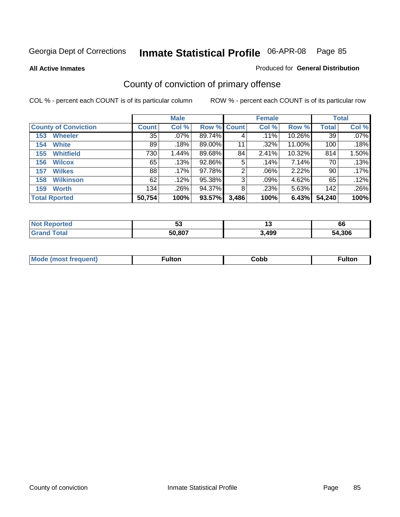**All Active Inmates**

### Produced for **General Distribution**

# County of conviction of primary offense

|                             |              | <b>Male</b> |             |       | <b>Female</b> |           |              | <b>Total</b> |
|-----------------------------|--------------|-------------|-------------|-------|---------------|-----------|--------------|--------------|
| <b>County of Conviction</b> | <b>Count</b> | Col %       | Row % Count |       | Col %         | Row %     | <b>Total</b> | Col %        |
| <b>Wheeler</b><br>153       | 35           | $.07\%$     | 89.74%      | 4     | .11%          | $10.26\%$ | 39           | $.07\%$      |
| <b>White</b><br>154         | 89           | .18%        | 89.00%      | 11    | .32%          | 11.00%    | 100          | .18%         |
| <b>Whitfield</b><br>155     | 730          | 1.44%       | 89.68%      | 84    | 2.41%         | 10.32%    | 814          | 1.50%        |
| 156<br><b>Wilcox</b>        | 65           | .13%        | 92.86%      | 5     | .14%          | 7.14%     | 70           | .13%         |
| <b>Wilkes</b><br>157        | 88           | .17%        | 97.78%      | 2     | $.06\%$       | 2.22%     | 90           | .17%         |
| <b>Wilkinson</b><br>158     | 62           | .12%        | 95.38%      | 3     | .09%          | 4.62%     | 65           | .12%         |
| <b>Worth</b><br>159         | 134          | .26%        | 94.37%      | 8     | .23%          | 5.63%     | 142          | .26%         |
| <b>Total Rported</b>        | 50,754       | 100%        | 93.57%      | 3,486 | 100%          | 6.43%     | 54,240       | 100%         |

| Reported<br><b>NOT</b> | --<br>ູບພ | יי    | 66          |
|------------------------|-----------|-------|-------------|
| ⊺ota.                  | 50,807    | 3,499 | .306<br>'nД |

| <b>Mo</b><br>uent) | ™ulton<br>_____ | obb∶ |  |
|--------------------|-----------------|------|--|
|                    |                 |      |  |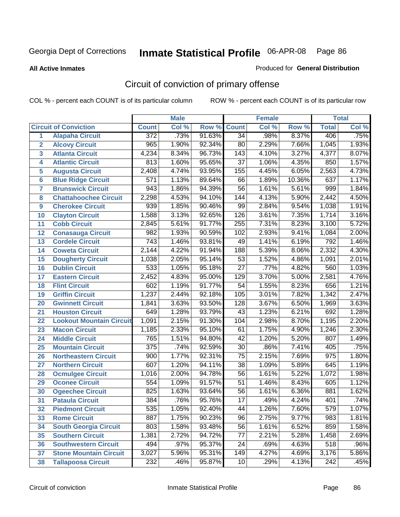**All Active Inmates**

#### Produced for **General Distribution**

# Circuit of conviction of primary offense

|                         |                                 |                  | <b>Male</b> |        |                  | <b>Female</b> |        |                  | <b>Total</b> |
|-------------------------|---------------------------------|------------------|-------------|--------|------------------|---------------|--------|------------------|--------------|
|                         | <b>Circuit of Conviction</b>    | <b>Count</b>     | Col %       | Row %  | <b>Count</b>     | Col %         | Row %  | <b>Total</b>     | Col %        |
| 1                       | <b>Alapaha Circuit</b>          | $\overline{372}$ | .73%        | 91.63% | $\overline{34}$  | .98%          | 8.37%  | 406              | .75%         |
| $\overline{2}$          | <b>Alcovy Circuit</b>           | 965              | 1.90%       | 92.34% | 80               | 2.29%         | 7.66%  | 1,045            | 1.93%        |
| $\overline{\mathbf{3}}$ | <b>Atlanta Circuit</b>          | 4,234            | 8.34%       | 96.73% | $\overline{143}$ | 4.10%         | 3.27%  | 4,377            | 8.07%        |
| 4                       | <b>Atlantic Circuit</b>         | 813              | 1.60%       | 95.65% | $\overline{37}$  | 1.06%         | 4.35%  | 850              | 1.57%        |
| 5                       | <b>Augusta Circuit</b>          | 2,408            | 4.74%       | 93.95% | 155              | 4.45%         | 6.05%  | 2,563            | 4.73%        |
| $6\phantom{a}$          | <b>Blue Ridge Circuit</b>       | $\overline{571}$ | 1.13%       | 89.64% | 66               | 1.89%         | 10.36% | 637              | 1.17%        |
| $\overline{\mathbf{7}}$ | <b>Brunswick Circuit</b>        | $\overline{943}$ | 1.86%       | 94.39% | $\overline{56}$  | 1.61%         | 5.61%  | 999              | 1.84%        |
| 8                       | <b>Chattahoochee Circuit</b>    | 2,298            | 4.53%       | 94.10% | $\overline{144}$ | 4.13%         | 5.90%  | 2,442            | 4.50%        |
| 9                       | <b>Cherokee Circuit</b>         | 939              | 1.85%       | 90.46% | 99               | 2.84%         | 9.54%  | 1,038            | 1.91%        |
| 10                      | <b>Clayton Circuit</b>          | 1,588            | 3.13%       | 92.65% | 126              | 3.61%         | 7.35%  | 1,714            | 3.16%        |
| 11                      | <b>Cobb Circuit</b>             | 2,845            | 5.61%       | 91.77% | $\overline{255}$ | 7.31%         | 8.23%  | 3,100            | 5.72%        |
| 12                      | <b>Conasauga Circuit</b>        | 982              | 1.93%       | 90.59% | 102              | 2.93%         | 9.41%  | 1,084            | 2.00%        |
| 13                      | <b>Cordele Circuit</b>          | $\overline{743}$ | 1.46%       | 93.81% | 49               | 1.41%         | 6.19%  | 792              | 1.46%        |
| 14                      | <b>Coweta Circuit</b>           | 2,144            | 4.22%       | 91.94% | 188              | 5.39%         | 8.06%  | 2,332            | 4.30%        |
| 15                      | <b>Dougherty Circuit</b>        | 1,038            | 2.05%       | 95.14% | 53               | 1.52%         | 4.86%  | 1,091            | 2.01%        |
| 16                      | <b>Dublin Circuit</b>           | 533              | 1.05%       | 95.18% | $\overline{27}$  | .77%          | 4.82%  | 560              | 1.03%        |
| 17                      | <b>Eastern Circuit</b>          | 2,452            | 4.83%       | 95.00% | $\overline{129}$ | 3.70%         | 5.00%  | 2,581            | 4.76%        |
| 18                      | <b>Flint Circuit</b>            | 602              | 1.19%       | 91.77% | $\overline{54}$  | 1.55%         | 8.23%  | 656              | 1.21%        |
| 19                      | <b>Griffin Circuit</b>          | 1,237            | 2.44%       | 92.18% | 105              | 3.01%         | 7.82%  | 1,342            | 2.47%        |
| 20                      | <b>Gwinnett Circuit</b>         | 1,841            | 3.63%       | 93.50% | $\overline{128}$ | 3.67%         | 6.50%  | 1,969            | 3.63%        |
| 21                      | <b>Houston Circuit</b>          | 649              | 1.28%       | 93.79% | $\overline{43}$  | 1.23%         | 6.21%  | 692              | 1.28%        |
| $\overline{22}$         | <b>Lookout Mountain Circuit</b> | 1,091            | 2.15%       | 91.30% | 104              | 2.98%         | 8.70%  | 1,195            | 2.20%        |
| 23                      | <b>Macon Circuit</b>            | 1,185            | 2.33%       | 95.10% | 61               | 1.75%         | 4.90%  | 1,246            | 2.30%        |
| 24                      | <b>Middle Circuit</b>           | 765              | 1.51%       | 94.80% | $\overline{42}$  | 1.20%         | 5.20%  | 807              | 1.49%        |
| 25                      | <b>Mountain Circuit</b>         | $\overline{375}$ | .74%        | 92.59% | $\overline{30}$  | .86%          | 7.41%  | 405              | .75%         |
| 26                      | <b>Northeastern Circuit</b>     | $\overline{900}$ | 1.77%       | 92.31% | $\overline{75}$  | 2.15%         | 7.69%  | $\overline{975}$ | 1.80%        |
| 27                      | <b>Northern Circuit</b>         | 607              | 1.20%       | 94.11% | $\overline{38}$  | 1.09%         | 5.89%  | 645              | 1.19%        |
| 28                      | <b>Ocmulgee Circuit</b>         | 1,016            | 2.00%       | 94.78% | $\overline{56}$  | 1.61%         | 5.22%  | 1,072            | 1.98%        |
| 29                      | <b>Oconee Circuit</b>           | 554              | 1.09%       | 91.57% | $\overline{51}$  | 1.46%         | 8.43%  | 605              | 1.12%        |
| 30                      | <b>Ogeechee Circuit</b>         | 825              | 1.63%       | 93.64% | $\overline{56}$  | 1.61%         | 6.36%  | 881              | 1.62%        |
| $\overline{31}$         | <b>Pataula Circuit</b>          | 384              | .76%        | 95.76% | $\overline{17}$  | .49%          | 4.24%  | 401              | .74%         |
| 32                      | <b>Piedmont Circuit</b>         | 535              | 1.05%       | 92.40% | 44               | 1.26%         | 7.60%  | 579              | $1.07\%$     |
| 33                      | <b>Rome Circuit</b>             | 887              | 1.75%       | 90.23% | 96               | 2.75%         | 9.77%  | 983              | 1.81%        |
| 34                      | <b>South Georgia Circuit</b>    | 803              | 1.58%       | 93.48% | $\overline{56}$  | 1.61%         | 6.52%  | 859              | 1.58%        |
| 35                      | <b>Southern Circuit</b>         | 1,381            | 2.72%       | 94.72% | 77               | 2.21%         | 5.28%  | 1,458            | 2.69%        |
| 36                      | <b>Southwestern Circuit</b>     | 494              | .97%        | 95.37% | 24               | .69%          | 4.63%  | $\overline{518}$ | .96%         |
| 37                      | <b>Stone Mountain Circuit</b>   | 3,027            | 5.96%       | 95.31% | 149              | 4.27%         | 4.69%  | 3,176            | 5.86%        |
| 38                      | <b>Tallapoosa Circuit</b>       | 232              | .46%        | 95.87% | 10               | .29%          | 4.13%  | 242              | .45%         |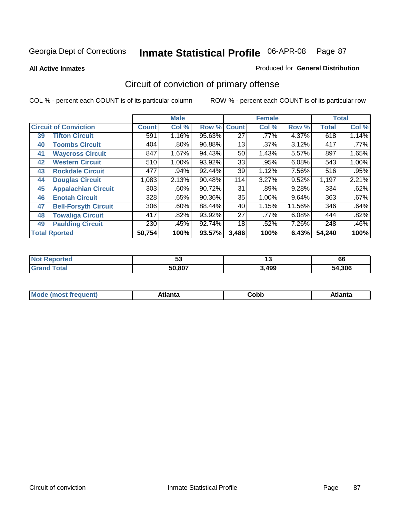**All Active Inmates**

#### Produced for **General Distribution**

# Circuit of conviction of primary offense

|    |                              |        | <b>Male</b> |        |              | <b>Female</b> |        |              | <b>Total</b> |
|----|------------------------------|--------|-------------|--------|--------------|---------------|--------|--------------|--------------|
|    | <b>Circuit of Conviction</b> |        | Col %       | Row %  | <b>Count</b> | Col %         | Row %  | <b>Total</b> | Col %        |
| 39 | <b>Tifton Circuit</b>        | 591    | 1.16%       | 95.63% | 27           | $.77\%$       | 4.37%  | 618          | 1.14%        |
| 40 | <b>Toombs Circuit</b>        | 404    | $.80\%$     | 96.88% | 13           | $.37\%$       | 3.12%  | 417          | .77%         |
| 41 | <b>Waycross Circuit</b>      | 847    | 1.67%       | 94.43% | 50           | 1.43%         | 5.57%  | 897          | 1.65%        |
| 42 | <b>Western Circuit</b>       | 510    | 1.00%       | 93.92% | 33           | .95%          | 6.08%  | 543          | 1.00%        |
| 43 | <b>Rockdale Circuit</b>      | 477    | .94%        | 92.44% | 39           | 1.12%         | 7.56%  | 516          | .95%         |
| 44 | <b>Douglas Circuit</b>       | 1,083  | 2.13%       | 90.48% | 114          | 3.27%         | 9.52%  | 1,197        | 2.21%        |
| 45 | <b>Appalachian Circuit</b>   | 303    | $.60\%$     | 90.72% | 31           | .89%          | 9.28%  | 334          | .62%         |
| 46 | <b>Enotah Circuit</b>        | 328    | .65%        | 90.36% | 35           | 1.00%         | 9.64%  | 363          | .67%         |
| 47 | <b>Bell-Forsyth Circuit</b>  | 306    | .60%        | 88.44% | 40           | 1.15%         | 11.56% | 346          | .64%         |
| 48 | <b>Towaliga Circuit</b>      | 417    | $.82\%$     | 93.92% | 27           | .77%          | 6.08%  | 444          | .82%         |
| 49 | <b>Paulding Circuit</b>      | 230    | .45%        | 92.74% | 18           | .52%          | 7.26%  | 248          | .46%         |
|    | <b>Total Rported</b>         | 50,754 | 100%        | 93.57% | 3,486        | 100%          | 6.43%  | 54,240       | 100%         |

| TE 10 | - -<br>ູບ | יי    | 66         |
|-------|-----------|-------|------------|
|       | 50.807    | 3,499 | .306<br>מר |

| <b>M</b> ດ<br>.<br>. | $+1$ ant $\cdot$<br>ιαπιω<br>. <i>. .</i> | ∶obb<br>- - - - - | 'anta |
|----------------------|-------------------------------------------|-------------------|-------|
|----------------------|-------------------------------------------|-------------------|-------|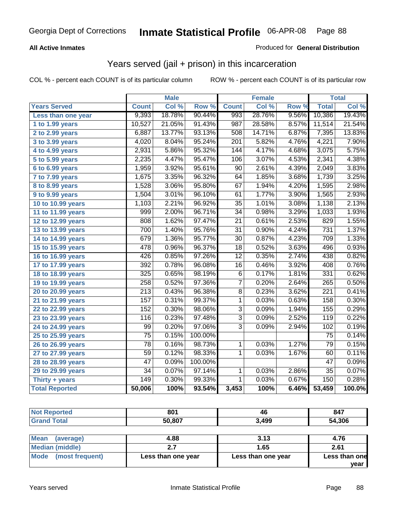### **All Active Inmates**

### Produced for **General Distribution**

## Years served (jail + prison) in this incarceration

|                              |                    | <b>Male</b> |         |                  | <b>Female</b> |       |                  | <b>Total</b> |
|------------------------------|--------------------|-------------|---------|------------------|---------------|-------|------------------|--------------|
| <b>Years Served</b>          | <b>Count</b>       | Col %       | Row %   | <b>Count</b>     | Col %         | Row % | <b>Total</b>     | Col %        |
| Less than one year           | 9,393              | 18.78%      | 90.44%  | 993              | 28.76%        | 9.56% | 10,386           | 19.43%       |
| 1 to 1.99 years              | 10,527             | 21.05%      | 91.43%  | $\overline{987}$ | 28.58%        | 8.57% | 11,514           | 21.54%       |
| 2 to 2.99 years              | 6,887              | 13.77%      | 93.13%  | 508              | 14.71%        | 6.87% | 7,395            | 13.83%       |
| 3 to 3.99 years              | 4,020              | 8.04%       | 95.24%  | 201              | 5.82%         | 4.76% | 4,221            | 7.90%        |
| $\overline{4}$ to 4.99 years | 2,931              | 5.86%       | 95.32%  | 144              | 4.17%         | 4.68% | 3,075            | 5.75%        |
| 5 to 5.99 years              | 2,235              | 4.47%       | 95.47%  | 106              | 3.07%         | 4.53% | 2,341            | 4.38%        |
| $6$ to 6.99 years            | 1,959              | 3.92%       | 95.61%  | $\overline{90}$  | 2.61%         | 4.39% | 2,049            | 3.83%        |
| $\overline{7}$ to 7.99 years | $\overline{1,}675$ | 3.35%       | 96.32%  | 64               | 1.85%         | 3.68% | 1,739            | 3.25%        |
| 8 to 8.99 years              | 1,528              | 3.06%       | 95.80%  | $\overline{67}$  | 1.94%         | 4.20% | 1,595            | 2.98%        |
| 9 to 9.99 years              | 1,504              | 3.01%       | 96.10%  | 61               | 1.77%         | 3.90% | 1,565            | 2.93%        |
| 10 to 10.99 years            | 1,103              | 2.21%       | 96.92%  | $\overline{35}$  | 1.01%         | 3.08% | 1,138            | 2.13%        |
| 11 to 11.99 years            | 999                | 2.00%       | 96.71%  | $\overline{34}$  | 0.98%         | 3.29% | 1,033            | 1.93%        |
| 12 to 12.99 years            | 808                | 1.62%       | 97.47%  | 21               | 0.61%         | 2.53% | 829              | 1.55%        |
| 13 to 13.99 years            | 700                | 1.40%       | 95.76%  | $\overline{31}$  | 0.90%         | 4.24% | 731              | 1.37%        |
| 14 to 14.99 years            | 679                | 1.36%       | 95.77%  | $\overline{30}$  | 0.87%         | 4.23% | 709              | 1.33%        |
| 15 to 15.99 years            | 478                | 0.96%       | 96.37%  | $\overline{18}$  | 0.52%         | 3.63% | 496              | 0.93%        |
| 16 to 16.99 years            | 426                | 0.85%       | 97.26%  | $\overline{12}$  | 0.35%         | 2.74% | 438              | 0.82%        |
| 17 to 17.99 years            | 392                | 0.78%       | 96.08%  | $\overline{16}$  | 0.46%         | 3.92% | 408              | 0.76%        |
| 18 to 18.99 years            | 325                | 0.65%       | 98.19%  | 6                | 0.17%         | 1.81% | 331              | 0.62%        |
| 19 to 19.99 years            | 258                | 0.52%       | 97.36%  | $\overline{7}$   | 0.20%         | 2.64% | $\overline{265}$ | 0.50%        |
| 20 to 20.99 years            | $\overline{213}$   | 0.43%       | 96.38%  | $\overline{8}$   | 0.23%         | 3.62% | $\overline{221}$ | 0.41%        |
| 21 to 21.99 years            | 157                | 0.31%       | 99.37%  | 1                | 0.03%         | 0.63% | 158              | 0.30%        |
| 22 to 22.99 years            | 152                | 0.30%       | 98.06%  | $\overline{3}$   | 0.09%         | 1.94% | 155              | 0.29%        |
| 23 to 23.99 years            | 116                | 0.23%       | 97.48%  | $\overline{3}$   | 0.09%         | 2.52% | 119              | 0.22%        |
| 24 to 24.99 years            | 99                 | 0.20%       | 97.06%  | $\overline{3}$   | 0.09%         | 2.94% | 102              | 0.19%        |
| 25 to 25.99 years            | $\overline{75}$    | 0.15%       | 100.00% |                  |               |       | $\overline{75}$  | 0.14%        |
| 26 to 26.99 years            | 78                 | 0.16%       | 98.73%  | 1                | 0.03%         | 1.27% | 79               | 0.15%        |
| 27 to 27.99 years            | $\overline{59}$    | 0.12%       | 98.33%  | $\mathbf{1}$     | 0.03%         | 1.67% | 60               | 0.11%        |
| 28 to 28.99 years            | $\overline{47}$    | 0.09%       | 100.00% |                  |               |       | $\overline{47}$  | 0.09%        |
| 29 to 29.99 years            | $\overline{34}$    | 0.07%       | 97.14%  | 1                | 0.03%         | 2.86% | $\overline{35}$  | 0.07%        |
| Thirty + years               | $\overline{149}$   | 0.30%       | 99.33%  | $\mathbf{1}$     | 0.03%         | 0.67% | 150              | 0.28%        |
| <b>Total Reported</b>        | 50,006             | 100%        | 93.54%  | 3,453            | 100%          | 6.46% | 53,459           | 100.0%       |

| <b>Not</b><br><b>Reported</b> | 801    | 46    | 847    |
|-------------------------------|--------|-------|--------|
| Total<br>Grar                 | 50,807 | 3,499 | 54,306 |
|                               |        |       |        |

| Mean<br>(average)       | 4.88               | 3.13               | 4.76          |
|-------------------------|--------------------|--------------------|---------------|
| Median (middle)         |                    | 1.65               | 2.61          |
| Mode<br>(most frequent) | Less than one year | Less than one year | Less than one |
|                         |                    |                    | vear          |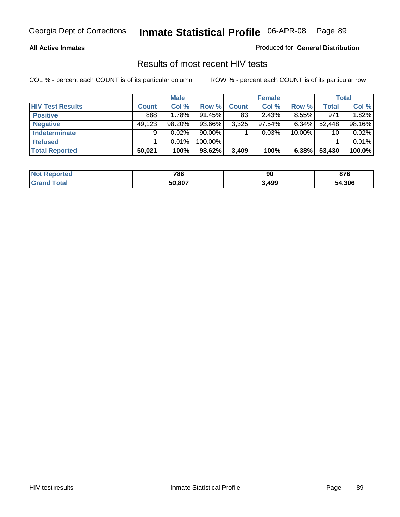### **All Active Inmates**

Produced for **General Distribution**

### Results of most recent HIV tests

|                         |              | <b>Male</b> |           |              | <b>Female</b> |          |              | Total  |
|-------------------------|--------------|-------------|-----------|--------------|---------------|----------|--------------|--------|
| <b>HIV Test Results</b> | <b>Count</b> | Col %       | Row %     | <b>Count</b> | Col %         | Row %    | <b>Total</b> | Col %  |
| <b>Positive</b>         | 888          | 1.78%       | $91.45\%$ | 83           | 2.43%         | $8.55\%$ | 971          | 1.82%  |
| <b>Negative</b>         | 49,123       | $98.20\%$   | 93.66%    | 3,325        | 97.54%        | $6.34\%$ | 52,448       | 98.16% |
| <b>Indeterminate</b>    | 9            | $0.02\%$    | $90.00\%$ |              | 0.03%         | 10.00%   | 10           | 0.02%  |
| <b>Refused</b>          |              | 0.01%       | 100.00%   |              |               |          |              | 0.01%  |
| <b>Total Reported</b>   | 50,021       | 100%        | 93.62%    | 3,409        | 100%          | 6.38%    | 53,430       | 100.0% |

| <b>Not</b><br>Reported | 786    | 90   | 070<br>o 1 0 |
|------------------------|--------|------|--------------|
| <b>Grand</b><br>⊺otal  | 50,807 | ,499 | 54,306       |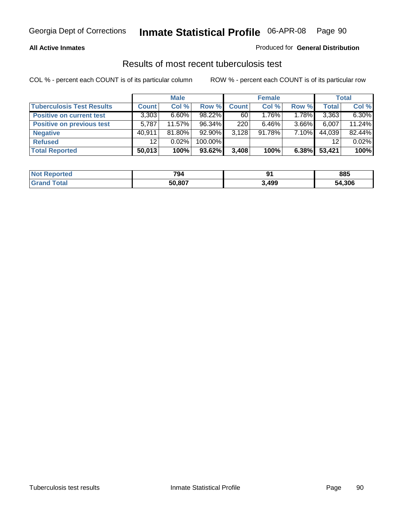### **All Active Inmates**

### Produced for **General Distribution**

### Results of most recent tuberculosis test

|                                  |                 | <b>Male</b> |           |              | <b>Female</b> |          |              | Total  |
|----------------------------------|-----------------|-------------|-----------|--------------|---------------|----------|--------------|--------|
| <b>Tuberculosis Test Results</b> | <b>Count</b>    | Col %       | Row %     | <b>Count</b> | Col %         | Row %    | <b>Total</b> | Col %  |
| <b>Positive on current test</b>  | 3,303           | $6.60\%$    | $98.22\%$ | 60           | $1.76\%$      | 1.78%    | 3,363        | 6.30%  |
| <b>Positive on previous test</b> | 5,787           | $11.57\%$   | 96.34%    | 220          | $6.46\%$      | $3.66\%$ | 6,007        | 11.24% |
| <b>Negative</b>                  | 40.911          | 81.80%      | $92.90\%$ | 3,128        | 91.78%        | 7.10%    | 44,039       | 82.44% |
| <b>Refused</b>                   | 12 <sup>°</sup> | 0.02%       | 100.00%   |              |               |          | 12           | 0.02%  |
| <b>Total Reported</b>            | 50,013          | 100%        | 93.62%    | 3,408        | 100%          | 6.38%    | 53,421       | 100%   |

| <b>Not Reported</b>    | 794    | Q۰<br>$\cdot$ | 885    |
|------------------------|--------|---------------|--------|
| <b>'Grand</b><br>Total | 50.807 | 3,499         | 54,306 |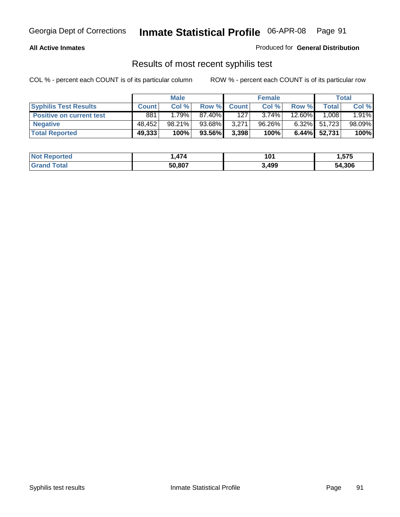### **All Active Inmates**

Produced for **General Distribution**

### Results of most recent syphilis test

|                                 |              | <b>Male</b> |        |              | <b>Female</b> |          |              | Total  |
|---------------------------------|--------------|-------------|--------|--------------|---------------|----------|--------------|--------|
| <b>Syphilis Test Results</b>    | <b>Count</b> | Col %       | Row %  | <b>Count</b> | Col %         | Row %    | Total        | Col %  |
| <b>Positive on current test</b> | 881          | 1.79%       | 87.40% | 127          | $3.74\%$      | 12.60%   | 1.008        | 1.91%  |
| <b>Negative</b>                 | 48.452       | $98.21\%$   | 93.68% | 3,271        | 96.26%        | $6.32\%$ | 51,723       | 98.09% |
| <b>Total Reported</b>           | 49,333       | 100%        | 93.56% | 3,398        | 100%          |          | 6.44% 52,731 | 100%   |

| <b>Not Reported</b> | $\rightarrow$<br>474 | 101   | 1,575  |
|---------------------|----------------------|-------|--------|
| <b>Grand Total</b>  | 50.807               | 3,499 | 54,306 |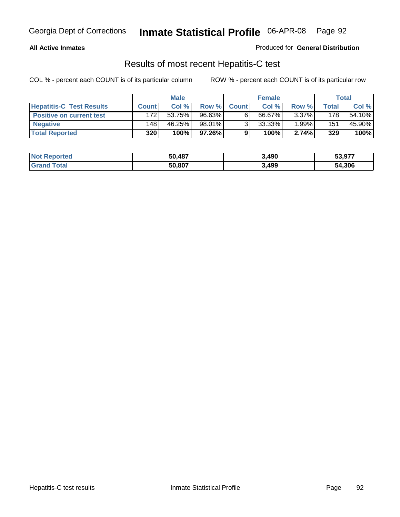### **All Active Inmates**

Produced for **General Distribution**

### Results of most recent Hepatitis-C test

|                                 |              | <b>Male</b> |        |              | <b>Female</b> |          |             | Total  |
|---------------------------------|--------------|-------------|--------|--------------|---------------|----------|-------------|--------|
| <b>Hepatitis-C Test Results</b> | <b>Count</b> | Col %       | Row %I | <b>Count</b> | Col %         | Row %    | $\tau$ otal | Col %  |
| <b>Positive on current test</b> | 172          | 53.75%      | 96.63% |              | 66.67%        | $3.37\%$ | 178         | 54.10% |
| <b>Negative</b>                 | 148          | 46.25%      | 98.01% |              | 33.33%        | 1.99%    | 151         | 45.90% |
| <b>Total Reported</b>           | 320          | 100%        | 97.26% |              | 100%          | 2.74%    | 329         | 100%   |

| <b>Not Reported</b> | 50,487 | 3,490 | 53,977 |
|---------------------|--------|-------|--------|
| <b>Grand Total</b>  | 50,807 | 3,499 | 54,306 |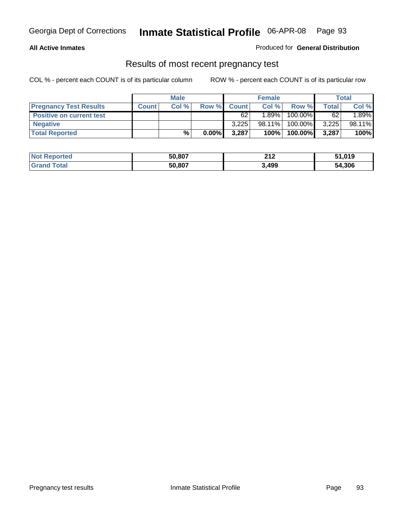### **All Active Inmates**

Produced for **General Distribution**

### Results of most recent pregnancy test

|                                 |              | <b>Male</b> |          |              | <b>Female</b> |         |              | <b>Total</b> |
|---------------------------------|--------------|-------------|----------|--------------|---------------|---------|--------------|--------------|
| <b>Pregnancy Test Results</b>   | <b>Count</b> | Col%        | Row %    | <b>Count</b> | Col %         | Row %   | <b>Total</b> | Col %        |
| <b>Positive on current test</b> |              |             |          | 62           | 1.89%         | 100.00% | 62           | 1.89%        |
| <b>Negative</b>                 |              |             |          | 3.225        | 98.11%        | 100.00% | 3,225        | 98.11%       |
| <b>Total Reported</b>           |              | $\%$        | $0.00\%$ | 3.287        | 100%          | 100.00% | 3,287        | 100%         |

| <b>Not Reported</b> | 50,807 | 212   | 51,019 |
|---------------------|--------|-------|--------|
| <b>Grand Total</b>  | 50,807 | 3,499 | 54,306 |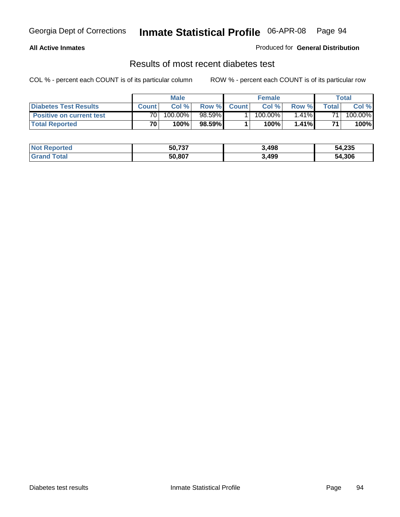### **All Active Inmates**

### Produced for **General Distribution**

### Results of most recent diabetes test

|                                 | <b>Male</b>     |         |           | <b>Female</b> |            |          | Total |         |
|---------------------------------|-----------------|---------|-----------|---------------|------------|----------|-------|---------|
| <b>Diabetes Test Results</b>    | <b>Count</b>    | Col %   | Row %     | <b>Count</b>  | Col %      | Row %I   | Total | Col %   |
| <b>Positive on current test</b> | 70 <sub>1</sub> | 100.00% | $98.59\%$ |               | $100.00\%$ | $1.41\%$ | 71    | 100.00% |
| <b>Total Reported</b>           | 70 <sub>1</sub> | 100%    | 98.59%    |               | 100%       | 1.41%    | 71    | 100%    |

| <b>Not Reported</b> | 50,737 | 3,498 | 54,235 |
|---------------------|--------|-------|--------|
| iotal<br>Gran       | 50.807 | 3,499 | 54,306 |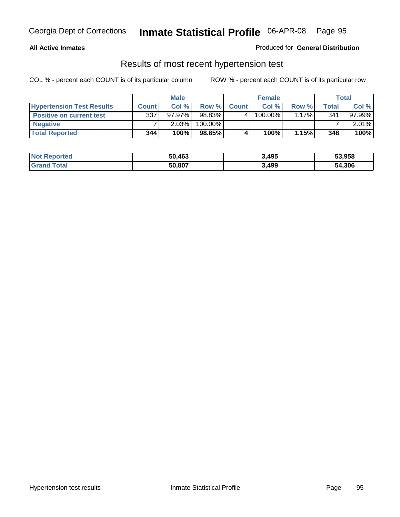### **All Active Inmates**

### Produced for **General Distribution**

### Results of most recent hypertension test

|                                  | <b>Male</b>  |           |         | <b>Female</b> |         |          | <b>Total</b> |           |
|----------------------------------|--------------|-----------|---------|---------------|---------|----------|--------------|-----------|
| <b>Hypertension Test Results</b> | <b>Count</b> | Col %     | Row %   | <b>Count</b>  | Col%    | Row %    | Total        | Col %     |
| <b>Positive on current test</b>  | 337          | $97.97\%$ | 98.83%  |               | 100.00% | $1.17\%$ | 341          | $97.99\%$ |
| <b>Negative</b>                  |              | 2.03%     | 100.00% |               |         |          |              | $2.01\%$  |
| <b>Total Reported</b>            | 344          | 100%      | 98.85%  |               | 100%    | 1.15%    | 348          | 100%      |

| <b>Not Reported</b> | 50,463 | 3,495 | 53,958 |
|---------------------|--------|-------|--------|
| <b>Grand Total</b>  | 50,807 | 3,499 | 54,306 |